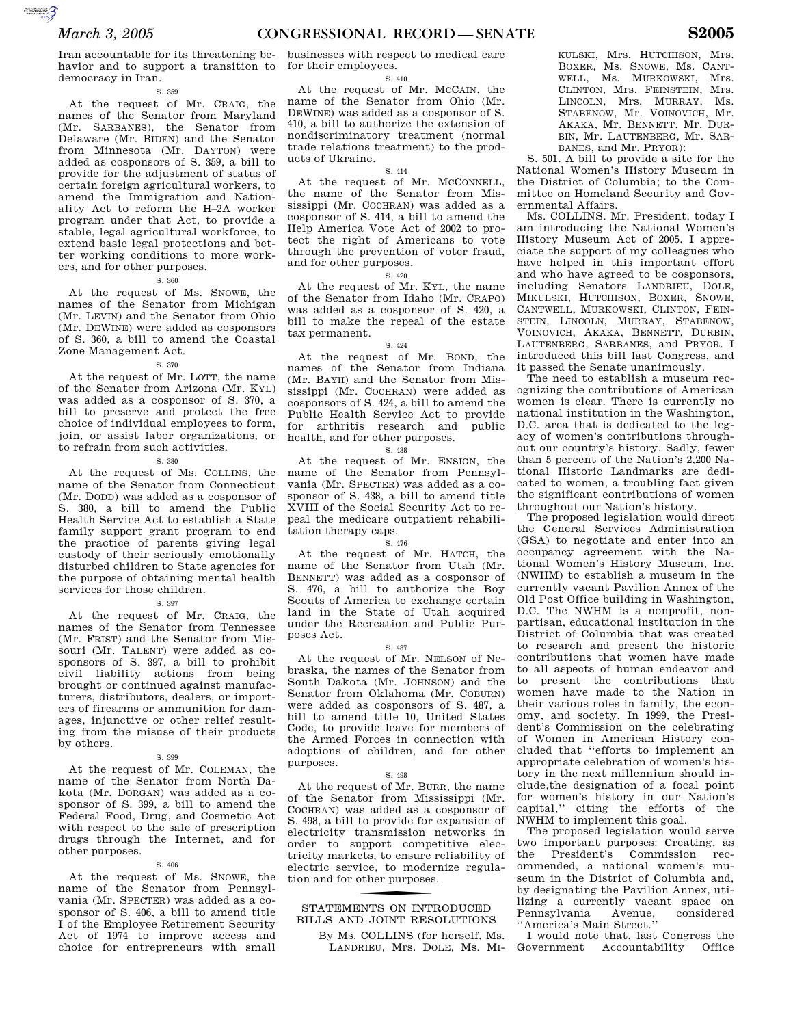havior and to support a transition to for their employees. democracy in Iran.

#### S. 359

At the request of Mr. CRAIG, the names of the Senator from Maryland (Mr. SARBANES), the Senator from Delaware (Mr. BIDEN) and the Senator from Minnesota (Mr. DAYTON) were added as cosponsors of S. 359, a bill to provide for the adjustment of status of certain foreign agricultural workers, to amend the Immigration and Nationality Act to reform the H–2A worker program under that Act, to provide a stable, legal agricultural workforce, to extend basic legal protections and better working conditions to more workers, and for other purposes.

#### S. 360

At the request of Ms. SNOWE, the names of the Senator from Michigan (Mr. LEVIN) and the Senator from Ohio (Mr. DEWINE) were added as cosponsors of S. 360, a bill to amend the Coastal Zone Management Act.

#### S. 370

At the request of Mr. LOTT, the name of the Senator from Arizona (Mr. KYL) was added as a cosponsor of S. 370, a bill to preserve and protect the free choice of individual employees to form, join, or assist labor organizations, or to refrain from such activities.

S. 380

At the request of Ms. COLLINS, the name of the Senator from Connecticut (Mr. DODD) was added as a cosponsor of S. 380, a bill to amend the Public Health Service Act to establish a State family support grant program to end the practice of parents giving legal custody of their seriously emotionally disturbed children to State agencies for the purpose of obtaining mental health services for those children.

#### S. 397

At the request of Mr. CRAIG, the names of the Senator from Tennessee (Mr. FRIST) and the Senator from Missouri (Mr. TALENT) were added as cosponsors of S. 397, a bill to prohibit civil liability actions from being brought or continued against manufacturers, distributors, dealers, or importers of firearms or ammunition for damages, injunctive or other relief resulting from the misuse of their products by others.

#### S. 399

At the request of Mr. COLEMAN, the name of the Senator from North Dakota (Mr. DORGAN) was added as a cosponsor of S. 399, a bill to amend the Federal Food, Drug, and Cosmetic Act with respect to the sale of prescription drugs through the Internet, and for other purposes.

#### S. 406

At the request of Ms. SNOWE, the name of the Senator from Pennsylvania (Mr. SPECTER) was added as a cosponsor of S. 406, a bill to amend title I of the Employee Retirement Security Act of 1974 to improve access and choice for entrepreneurs with small

#### S. 410

At the request of Mr. MCCAIN, the name of the Senator from Ohio (Mr. DEWINE) was added as a cosponsor of S. 410, a bill to authorize the extension of nondiscriminatory treatment (normal trade relations treatment) to the products of Ukraine.

### S. 414

At the request of Mr. MCCONNELL, the name of the Senator from Mississippi (Mr. COCHRAN) was added as a cosponsor of S. 414, a bill to amend the Help America Vote Act of 2002 to protect the right of Americans to vote through the prevention of voter fraud, and for other purposes.

### S. 420

At the request of Mr. KYL, the name of the Senator from Idaho (Mr. CRAPO) was added as a cosponsor of S. 420, a bill to make the repeal of the estate tax permanent.

### S. 424

At the request of Mr. BOND, the names of the Senator from Indiana (Mr. BAYH) and the Senator from Mississippi (Mr. COCHRAN) were added as cosponsors of S. 424, a bill to amend the Public Health Service Act to provide for arthritis research and public health, and for other purposes.

### S. 438

At the request of Mr. ENSIGN, the name of the Senator from Pennsylvania (Mr. SPECTER) was added as a cosponsor of S. 438, a bill to amend title XVIII of the Social Security Act to repeal the medicare outpatient rehabilitation therapy caps.

### S. 476

At the request of Mr. HATCH, the name of the Senator from Utah (Mr. BENNETT) was added as a cosponsor of S. 476, a bill to authorize the Boy Scouts of America to exchange certain land in the State of Utah acquired under the Recreation and Public Purposes Act.

#### S. 487

At the request of Mr. NELSON of Nebraska, the names of the Senator from South Dakota (Mr. JOHNSON) and the Senator from Oklahoma (Mr. COBURN) were added as cosponsors of S. 487, a bill to amend title 10, United States Code, to provide leave for members of the Armed Forces in connection with adoptions of children, and for other purposes.

#### S. 498

At the request of Mr. BURR, the name of the Senator from Mississippi (Mr. COCHRAN) was added as a cosponsor of S. 498, a bill to provide for expansion of electricity transmission networks in order to support competitive electricity markets, to ensure reliability of electric service, to modernize regulation and for other purposes.

# BILLS AND JOINT RESOLUTIONS STATEMENTS ON INTRODUCED

By Ms. COLLINS (for herself, Ms. LANDRIEU, Mrs. DOLE, Ms. MI- KULSKI, Mrs. HUTCHISON, Mrs. BOXER, Ms. SNOWE, Ms. CANT-WELL, Ms. MURKOWSKI, Mrs. CLINTON, Mrs. FEINSTEIN, Mrs. LINCOLN, Mrs. MURRAY, Ms. STABENOW, Mr. VOINOVICH, Mr. AKAKA, Mr. BENNETT, Mr. DUR-BIN, Mr. LAUTENBERG, Mr. SAR-BANES, and Mr. PRYOR):

S. 501. A bill to provide a site for the National Women's History Museum in the District of Columbia; to the Committee on Homeland Security and Governmental Affairs.

Ms. COLLINS. Mr. President, today I am introducing the National Women's History Museum Act of 2005. I appreciate the support of my colleagues who have helped in this important effort and who have agreed to be cosponsors, including Senators LANDRIEU, DOLE, MIKULSKI, HUTCHISON, BOXER, SNOWE, CANTWELL, MURKOWSKI, CLINTON, FEIN-STEIN, LINCOLN, MURRAY, STABENOW, VOINOVICH, AKAKA, BENNETT, DURBIN, LAUTENBERG, SARBANES, and PRYOR. I introduced this bill last Congress, and it passed the Senate unanimously.

The need to establish a museum recognizing the contributions of American women is clear. There is currently no national institution in the Washington, D.C. area that is dedicated to the legacy of women's contributions throughout our country's history. Sadly, fewer than 5 percent of the Nation's 2,200 National Historic Landmarks are dedicated to women, a troubling fact given the significant contributions of women throughout our Nation's history.

The proposed legislation would direct the General Services Administration (GSA) to negotiate and enter into an occupancy agreement with the National Women's History Museum, Inc. (NWHM) to establish a museum in the currently vacant Pavilion Annex of the Old Post Office building in Washington, D.C. The NWHM is a nonprofit, nonpartisan, educational institution in the District of Columbia that was created to research and present the historic contributions that women have made to all aspects of human endeavor and to present the contributions that women have made to the Nation in their various roles in family, the economy, and society. In 1999, the President's Commission on the celebrating of Women in American History concluded that ''efforts to implement an appropriate celebration of women's history in the next millennium should include,the designation of a focal point for women's history in our Nation's capital,'' citing the efforts of the NWHM to implement this goal.

The proposed legislation would serve two important purposes: Creating, as<br>the President's Commission recthe President's Commission recommended, a national women's museum in the District of Columbia and, by designating the Pavilion Annex, utilizing a currently vacant space on Pennsylvania Avenue, considered ''America's Main Street.''

I would note that, last Congress the Government Accountability Office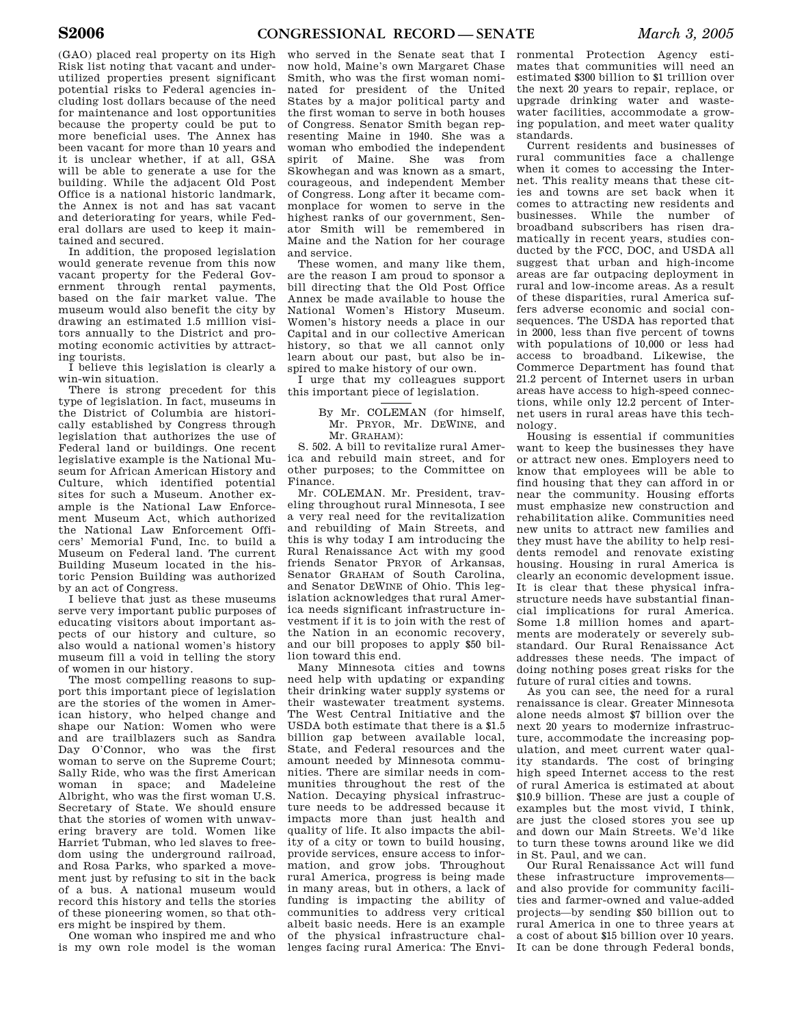(GAO) placed real property on its High Risk list noting that vacant and underutilized properties present significant potential risks to Federal agencies including lost dollars because of the need for maintenance and lost opportunities because the property could be put to more beneficial uses. The Annex has been vacant for more than 10 years and it is unclear whether, if at all, GSA will be able to generate a use for the building. While the adjacent Old Post Office is a national historic landmark, the Annex is not and has sat vacant and deteriorating for years, while Federal dollars are used to keep it maintained and secured.

In addition, the proposed legislation would generate revenue from this now vacant property for the Federal Government through rental payments, based on the fair market value. The museum would also benefit the city by drawing an estimated 1.5 million visitors annually to the District and promoting economic activities by attracting tourists.

I believe this legislation is clearly a win-win situation.

There is strong precedent for this type of legislation. In fact, museums in the District of Columbia are historically established by Congress through legislation that authorizes the use of Federal land or buildings. One recent legislative example is the National Museum for African American History and Culture, which identified potential sites for such a Museum. Another example is the National Law Enforcement Museum Act, which authorized the National Law Enforcement Officers' Memorial Fund, Inc. to build a Museum on Federal land. The current Building Museum located in the historic Pension Building was authorized by an act of Congress.

I believe that just as these museums serve very important public purposes of educating visitors about important aspects of our history and culture, so also would a national women's history museum fill a void in telling the story of women in our history.

The most compelling reasons to support this important piece of legislation are the stories of the women in American history, who helped change and shape our Nation: Women who were and are trailblazers such as Sandra Day O'Connor, who was the first woman to serve on the Supreme Court; Sally Ride, who was the first American woman in space; and Madeleine Albright, who was the first woman U.S. Secretary of State. We should ensure that the stories of women with unwavering bravery are told. Women like Harriet Tubman, who led slaves to freedom using the underground railroad, and Rosa Parks, who sparked a movement just by refusing to sit in the back of a bus. A national museum would record this history and tells the stories of these pioneering women, so that others might be inspired by them.

One woman who inspired me and who is my own role model is the woman

who served in the Senate seat that I now hold, Maine's own Margaret Chase Smith, who was the first woman nominated for president of the United States by a major political party and the first woman to serve in both houses of Congress. Senator Smith began representing Maine in 1940. She was a woman who embodied the independent spirit of Maine. She was from Skowhegan and was known as a smart, courageous, and independent Member of Congress. Long after it became commonplace for women to serve in the highest ranks of our government, Senator Smith will be remembered in Maine and the Nation for her courage and service.

These women, and many like them, are the reason I am proud to sponsor a bill directing that the Old Post Office Annex be made available to house the National Women's History Museum. Women's history needs a place in our Capital and in our collective American history, so that we all cannot only learn about our past, but also be inspired to make history of our own.

I urge that my colleagues support this important piece of legislation.

> By Mr. COLEMAN (for himself, Mr. PRYOR, Mr. DEWINE, and Mr. GRAHAM):

S. 502. A bill to revitalize rural America and rebuild main street, and for other purposes; to the Committee on Finance.

Mr. COLEMAN. Mr. President, traveling throughout rural Minnesota, I see a very real need for the revitalization and rebuilding of Main Streets, and this is why today I am introducing the Rural Renaissance Act with my good friends Senator PRYOR of Arkansas, Senator GRAHAM of South Carolina, and Senator DEWINE of Ohio. This legislation acknowledges that rural America needs significant infrastructure investment if it is to join with the rest of the Nation in an economic recovery, and our bill proposes to apply \$50 billion toward this end.

Many Minnesota cities and towns need help with updating or expanding their drinking water supply systems or their wastewater treatment systems. The West Central Initiative and the USDA both estimate that there is a \$1.5 billion gap between available local, State, and Federal resources and the amount needed by Minnesota communities. There are similar needs in communities throughout the rest of the Nation. Decaying physical infrastructure needs to be addressed because it impacts more than just health and quality of life. It also impacts the ability of a city or town to build housing, provide services, ensure access to information, and grow jobs. Throughout rural America, progress is being made in many areas, but in others, a lack of funding is impacting the ability of communities to address very critical albeit basic needs. Here is an example of the physical infrastructure chal-

ronmental Protection Agency estimates that communities will need an estimated \$300 billion to \$1 trillion over the next 20 years to repair, replace, or upgrade drinking water and wastewater facilities, accommodate a growing population, and meet water quality standards.

Current residents and businesses of rural communities face a challenge when it comes to accessing the Internet. This reality means that these cities and towns are set back when it comes to attracting new residents and businesses. While the number of broadband subscribers has risen dramatically in recent years, studies conducted by the FCC, DOC, and USDA all suggest that urban and high-income areas are far outpacing deployment in rural and low-income areas. As a result of these disparities, rural America suffers adverse economic and social consequences. The USDA has reported that in 2000, less than five percent of towns with populations of 10,000 or less had access to broadband. Likewise, the Commerce Department has found that 21.2 percent of Internet users in urban areas have access to high-speed connections, while only 12.2 percent of Internet users in rural areas have this technology.

Housing is essential if communities want to keep the businesses they have or attract new ones. Employers need to know that employees will be able to find housing that they can afford in or near the community. Housing efforts must emphasize new construction and rehabilitation alike. Communities need new units to attract new families and they must have the ability to help residents remodel and renovate existing housing. Housing in rural America is clearly an economic development issue. It is clear that these physical infrastructure needs have substantial financial implications for rural America. Some 1.8 million homes and apartments are moderately or severely substandard. Our Rural Renaissance Act addresses these needs. The impact of doing nothing poses great risks for the future of rural cities and towns.

As you can see, the need for a rural renaissance is clear. Greater Minnesota alone needs almost \$7 billion over the next 20 years to modernize infrastructure, accommodate the increasing population, and meet current water quality standards. The cost of bringing high speed Internet access to the rest of rural America is estimated at about \$10.9 billion. These are just a couple of examples but the most vivid, I think, are just the closed stores you see up and down our Main Streets. We'd like to turn these towns around like we did in St. Paul, and we can.

lenges facing rural America: The Envi-It can be done through Federal bonds, Our Rural Renaissance Act will fund these infrastructure improvements and also provide for community facilities and farmer-owned and value-added projects—by sending \$50 billion out to rural America in one to three years at a cost of about \$15 billion over 10 years.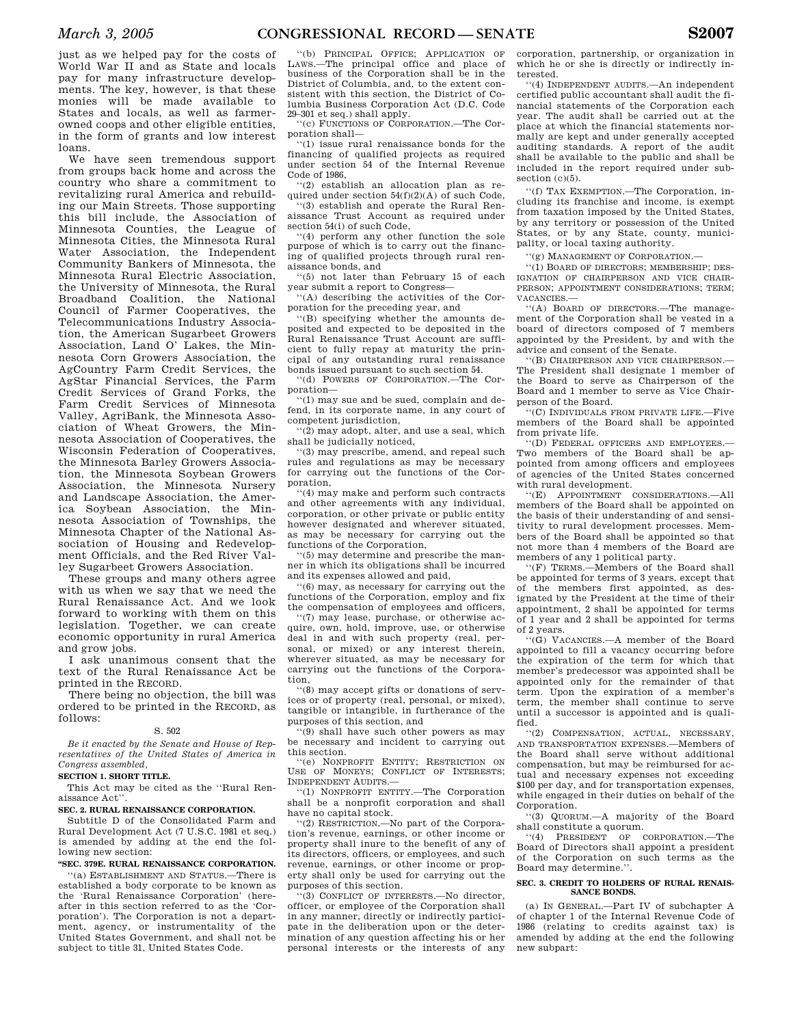just as we helped pay for the costs of World War II and as State and locals pay for many infrastructure developments. The key, however, is that these monies will be made available to States and locals, as well as farmerowned coops and other eligible entities, in the form of grants and low interest loans.

We have seen tremendous support from groups back home and across the country who share a commitment to revitalizing rural America and rebuilding our Main Streets. Those supporting this bill include, the Association of Minnesota Counties, the League of Minnesota Cities, the Minnesota Rural Water Association, the Independent Community Bankers of Minnesota, the Minnesota Rural Electric Association, the University of Minnesota, the Rural Broadband Coalition, the National Council of Farmer Cooperatives, the Telecommunications Industry Association, the American Sugarbeet Growers Association, Land O' Lakes, the Minnesota Corn Growers Association, the AgCountry Farm Credit Services, the AgStar Financial Services, the Farm Credit Services of Grand Forks, the Farm Credit Services of Minnesota Valley, AgriBank, the Minnesota Association of Wheat Growers, the Minnesota Association of Cooperatives, the Wisconsin Federation of Cooperatives, the Minnesota Barley Growers Association, the Minnesota Soybean Growers Association, the Minnesota Nursery and Landscape Association, the America Soybean Association, the Minnesota Association of Townships, the Minnesota Chapter of the National Association of Housing and Redevelopment Officials, and the Red River Valley Sugarbeet Growers Association.

These groups and many others agree with us when we say that we need the Rural Renaissance Act. And we look forward to working with them on this legislation. Together, we can create economic opportunity in rural America and grow jobs.

I ask unanimous consent that the text of the Rural Renaissance Act be printed in the RECORD.

There being no objection, the bill was ordered to be printed in the RECORD, as follows:

### S. 502

*Be it enacted by the Senate and House of Representatives of the United States of America in Congress assembled,* 

#### **SECTION 1. SHORT TITLE.**

This Act may be cited as the ''Rural Renaissance Act''.

### **SEC. 2. RURAL RENAISSANCE CORPORATION.**

Subtitle D of the Consolidated Farm and Rural Development Act (7 U.S.C. 1981 et seq.) is amended by adding at the end the following new section:

### **''SEC. 379E. RURAL RENAISSANCE CORPORATION.**

''(a) ESTABLISHMENT AND STATUS.—There is established a body corporate to be known as the 'Rural Renaissance Corporation' (hereafter in this section referred to as the 'Corporation'). The Corporation is not a department, agency, or instrumentality of the United States Government, and shall not be subject to title 31, United States Code.

''(b) PRINCIPAL OFFICE; APPLICATION OF LAWS.—The principal office and place of business of the Corporation shall be in the District of Columbia, and, to the extent consistent with this section, the District of Columbia Business Corporation Act (D.C. Code 29–301 et seq.) shall apply.

''(c) FUNCTIONS OF CORPORATION.—The Corporation shall—

''(1) issue rural renaissance bonds for the financing of qualified projects as required under section 54 of the Internal Revenue Code of 1986,

''(2) establish an allocation plan as required under section  $54(f)(2)(A)$  of such Code,

''(3) establish and operate the Rural Renaissance Trust Account as required under section 54(i) of such Code,

''(4) perform any other function the sole purpose of which is to carry out the financing of qualified projects through rural renaissance bonds, and

''(5) not later than February 15 of each year submit a report to Congress—

''(A) describing the activities of the Corporation for the preceding year, and

''(B) specifying whether the amounts deposited and expected to be deposited in the Rural Renaissance Trust Account are sufficient to fully repay at maturity the principal of any outstanding rural renaissance bonds issued pursuant to such section 54.

''(d) POWERS OF CORPORATION.—The Corporation—

''(1) may sue and be sued, complain and defend, in its corporate name, in any court of competent jurisdiction,

''(2) may adopt, alter, and use a seal, which shall be judicially noticed,

''(3) may prescribe, amend, and repeal such rules and regulations as may be necessary for carrying out the functions of the Corporation,

''(4) may make and perform such contracts and other agreements with any individual, corporation, or other private or public entity however designated and wherever situated, as may be necessary for carrying out the functions of the Corporation,

''(5) may determine and prescribe the manner in which its obligations shall be incurred and its expenses allowed and paid,

''(6) may, as necessary for carrying out the functions of the Corporation, employ and fix the compensation of employees and officers,

''(7) may lease, purchase, or otherwise acquire, own, hold, improve, use, or otherwise deal in and with such property (real, personal, or mixed) or any interest therein, wherever situated, as may be necessary for carrying out the functions of the Corporation,

''(8) may accept gifts or donations of services or of property (real, personal, or mixed), tangible or intangible, in furtherance of the purposes of this section, and

''(9) shall have such other powers as may be necessary and incident to carrying out this section.

''(e) NONPROFIT ENTITY; RESTRICTION ON USE OF MONEYS; CONFLICT OF INTERESTS; INDEPENDENT AUDITS.—

''(1) NONPROFIT ENTITY.—The Corporation shall be a nonprofit corporation and shall have no capital stock.

''(2) RESTRICTION.—No part of the Corporation's revenue, earnings, or other income or property shall inure to the benefit of any of its directors, officers, or employees, and such revenue, earnings, or other income or property shall only be used for carrying out the purposes of this section.

 $(3)$  CONFLICT OF INTERESTS. No director, officer, or employee of the Corporation shall in any manner, directly or indirectly participate in the deliberation upon or the determination of any question affecting his or her personal interests or the interests of any

corporation, partnership, or organization in which he or she is directly or indirectly interested.

''(4) INDEPENDENT AUDITS.—An independent certified public accountant shall audit the financial statements of the Corporation each year. The audit shall be carried out at the place at which the financial statements normally are kept and under generally accepted auditing standards. A report of the audit shall be available to the public and shall be included in the report required under subsection  $(c)(5)$ .

''(f) TAX EXEMPTION.—The Corporation, including its franchise and income, is exempt from taxation imposed by the United States, by any territory or possession of the United States, or by any State, county, municipality, or local taxing authority.

''(g) MANAGEMENT OF CORPORATION.—

''(1) BOARD OF DIRECTORS; MEMBERSHIP; DES-IGNATION OF CHAIRPERSON AND VICE CHAIR-PERSON; APPOINTMENT CONSIDERATIONS; TERM; VACANCIES.—

''(A) BOARD OF DIRECTORS.—The management of the Corporation shall be vested in a board of directors composed of 7 members appointed by the President, by and with the advice and consent of the Senate.

''(B) CHAIRPERSON AND VICE CHAIRPERSON.— The President shall designate 1 member of the Board to serve as Chairperson of the Board and 1 member to serve as Vice Chairperson of the Board.

''(C) INDIVIDUALS FROM PRIVATE LIFE.—Five members of the Board shall be appointed from private life.

''(D) FEDERAL OFFICERS AND EMPLOYEES.— Two members of the Board shall be appointed from among officers and employees of agencies of the United States concerned with rural development.

''(E) APPOINTMENT CONSIDERATIONS.—All members of the Board shall be appointed on the basis of their understanding of and sensitivity to rural development processes. Members of the Board shall be appointed so that not more than 4 members of the Board are members of any 1 political party.

''(F) TERMS.—Members of the Board shall be appointed for terms of 3 years, except that of the members first appointed, as designated by the President at the time of their appointment, 2 shall be appointed for terms of 1 year and 2 shall be appointed for terms of 2 years.

''(G) VACANCIES.—A member of the Board appointed to fill a vacancy occurring before the expiration of the term for which that member's predecessor was appointed shall be appointed only for the remainder of that term. Upon the expiration of a member's term, the member shall continue to serve until a successor is appointed and is qualified.

''(2) COMPENSATION, ACTUAL, NECESSARY, AND TRANSPORTATION EXPENSES.—Members of the Board shall serve without additional compensation, but may be reimbursed for actual and necessary expenses not exceeding \$100 per day, and for transportation expenses, while engaged in their duties on behalf of the Corporation.

''(3) QUORUM.—A majority of the Board shall constitute a quorum.

''(4) PRESIDENT OF CORPORATION.—The Board of Directors shall appoint a president of the Corporation on such terms as the Board may determine.''.

### **SEC. 3. CREDIT TO HOLDERS OF RURAL RENAIS-SANCE BONDS.**

(a) IN GENERAL.—Part IV of subchapter A of chapter 1 of the Internal Revenue Code of 1986 (relating to credits against tax) is amended by adding at the end the following new subpart: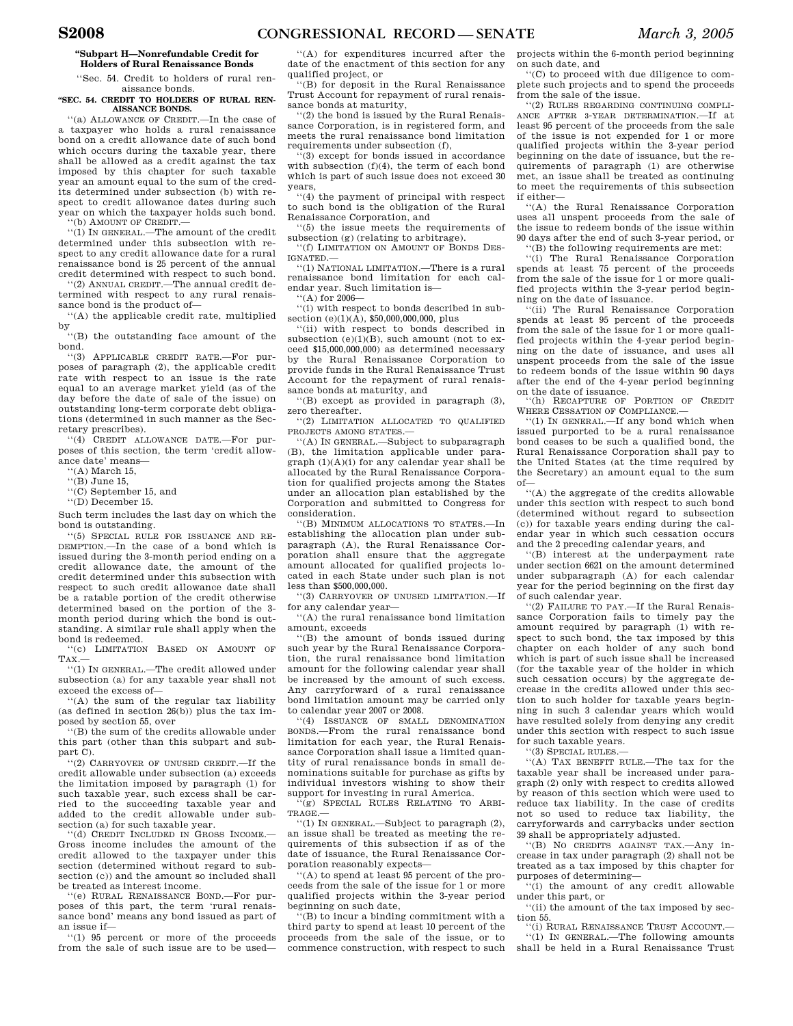### **''Subpart H—Nonrefundable Credit for Holders of Rural Renaissance Bonds**

''Sec. 54. Credit to holders of rural renaissance bonds.

**''SEC. 54. CREDIT TO HOLDERS OF RURAL REN-AISSANCE BONDS.** 

''(a) ALLOWANCE OF CREDIT.—In the case of a taxpayer who holds a rural renaissance bond on a credit allowance date of such bond which occurs during the taxable year, there shall be allowed as a credit against the tax imposed by this chapter for such taxable year an amount equal to the sum of the credits determined under subsection (b) with respect to credit allowance dates during such year on which the taxpayer holds such bond. ''(b) AMOUNT OF CREDIT.—

''(1) IN GENERAL.—The amount of the credit determined under this subsection with respect to any credit allowance date for a rural renaissance bond is 25 percent of the annual credit determined with respect to such bond.

''(2) ANNUAL CREDIT.—The annual credit determined with respect to any rural renaissance bond is the product of—

''(A) the applicable credit rate, multiplied by

''(B) the outstanding face amount of the bond.

''(3) APPLICABLE CREDIT RATE.—For purposes of paragraph (2), the applicable credit rate with respect to an issue is the rate equal to an average market yield (as of the day before the date of sale of the issue) on outstanding long-term corporate debt obligations (determined in such manner as the Secretary prescribes).

''(4) CREDIT ALLOWANCE DATE.—For purposes of this section, the term 'credit allowance date' means—

''(A) March 15,

''(B) June 15,

''(C) September 15, and

''(D) December 15.

Such term includes the last day on which the bond is outstanding.

''(5) SPECIAL RULE FOR ISSUANCE AND RE-DEMPTION.—In the case of a bond which is issued during the 3-month period ending on a credit allowance date, the amount of the credit determined under this subsection with respect to such credit allowance date shall be a ratable portion of the credit otherwise determined based on the portion of the 3 month period during which the bond is outstanding. A similar rule shall apply when the bond is redeemed.

''(c) LIMITATION BASED ON AMOUNT OF TAX.—

''(1) IN GENERAL.—The credit allowed under subsection (a) for any taxable year shall not exceed the excess of—

''(A) the sum of the regular tax liability (as defined in section  $26(b)$ ) plus the tax imposed by section 55, over

''(B) the sum of the credits allowable under this part (other than this subpart and subpart C).

''(2) CARRYOVER OF UNUSED CREDIT.—If the credit allowable under subsection (a) exceeds the limitation imposed by paragraph (1) for such taxable year, such excess shall be carried to the succeeding taxable year and added to the credit allowable under subsection (a) for such taxable year. ''(d) CREDIT INCLUDED IN GROSS INCOME.—

Gross income includes the amount of the credit allowed to the taxpayer under this section (determined without regard to subsection (c)) and the amount so included shall be treated as interest income.

''(e) RURAL RENAISSANCE BOND.—For purposes of this part, the term 'rural renaissance bond' means any bond issued as part of an issue if—

''(1) 95 percent or more of the proceeds from the sale of such issue are to be used—

''(A) for expenditures incurred after the date of the enactment of this section for any qualified project, or

''(B) for deposit in the Rural Renaissance Trust Account for repayment of rural renaissance bonds at maturity,

''(2) the bond is issued by the Rural Renaissance Corporation, is in registered form, and meets the rural renaissance bond limitation requirements under subsection (f),

''(3) except for bonds issued in accordance with subsection (f)(4), the term of each bond which is part of such issue does not exceed 30 years,

''(4) the payment of principal with respect to such bond is the obligation of the Rural Renaissance Corporation, and

''(5) the issue meets the requirements of subsection (g) (relating to arbitrage).

''(f) LIMITATION ON AMOUNT OF BONDS DES-IGNATED.—

''(1) NATIONAL LIMITATION.—There is a rural renaissance bond limitation for each calendar year. Such limitation is—

''(A) for 2006—

''(i) with respect to bonds described in subsection  $(e)(1)(\overline{A})$ , \$50,000,000,000, plus

''(ii) with respect to bonds described in subsection  $(e)(1)(B)$ , such amount (not to exceed \$15,000,000,000) as determined necessary by the Rural Renaissance Corporation to provide funds in the Rural Renaissance Trust Account for the repayment of rural renaissance bonds at maturity, and

''(B) except as provided in paragraph (3), zero thereafter.

''(2) LIMITATION ALLOCATED TO QUALIFIED PROJECTS AMONG STATES.—

''(A) IN GENERAL.—Subject to subparagraph (B), the limitation applicable under para $graph (1)(A)(i)$  for any calendar year shall be allocated by the Rural Renaissance Corporation for qualified projects among the States under an allocation plan established by the Corporation and submitted to Congress for consideration.

''(B) MINIMUM ALLOCATIONS TO STATES.—In establishing the allocation plan under subparagraph (A), the Rural Renaissance Corporation shall ensure that the aggregate amount allocated for qualified projects located in each State under such plan is not less than \$500,000,000.

''(3) CARRYOVER OF UNUSED LIMITATION.—If for any calendar year—

''(A) the rural renaissance bond limitation amount, exceeds

''(B) the amount of bonds issued during such year by the Rural Renaissance Corporation, the rural renaissance bond limitation amount for the following calendar year shall be increased by the amount of such excess. Any carryforward of a rural renaissance bond limitation amount may be carried only to calendar year 2007 or 2008.

''(4) ISSUANCE OF SMALL DENOMINATION BONDS.—From the rural renaissance bond limitation for each year, the Rural Renaissance Corporation shall issue a limited quantity of rural renaissance bonds in small denominations suitable for purchase as gifts by individual investors wishing to show their support for investing in rural America.

(g) SPECIAL RULES RELATING TO ARBI-TRAGE.—

''(1) IN GENERAL.—Subject to paragraph (2), an issue shall be treated as meeting the requirements of this subsection if as of the date of issuance, the Rural Renaissance Corporation reasonably expects—

''(A) to spend at least 95 percent of the proceeds from the sale of the issue for 1 or more qualified projects within the 3-year period beginning on such date,

 $($ B $)$  to incur a binding commitment with a third party to spend at least 10 percent of the proceeds from the sale of the issue, or to commence construction, with respect to such

projects within the 6-month period beginning on such date, and

''(C) to proceed with due diligence to complete such projects and to spend the proceeds from the sale of the issue.

''(2) RULES REGARDING CONTINUING COMPLI-ANCE AFTER 3-YEAR DETERMINATION.—If at least 95 percent of the proceeds from the sale of the issue is not expended for 1 or more qualified projects within the 3-year period beginning on the date of issuance, but the requirements of paragraph (1) are otherwise met, an issue shall be treated as continuing to meet the requirements of this subsection if either—

''(A) the Rural Renaissance Corporation uses all unspent proceeds from the sale of the issue to redeem bonds of the issue within 90 days after the end of such 3-year period, or

''(B) the following requirements are met:

''(i) The Rural Renaissance Corporation spends at least 75 percent of the proceeds from the sale of the issue for 1 or more qualified projects within the 3-year period beginning on the date of issuance.

''(ii) The Rural Renaissance Corporation spends at least 95 percent of the proceeds from the sale of the issue for 1 or more qualified projects within the 4-year period beginning on the date of issuance, and uses all unspent proceeds from the sale of the issue to redeem bonds of the issue within 90 days after the end of the 4-year period beginning

on the date of issuance. ''(h) RECAPTURE OF PORTION OF CREDIT WHERE CESSATION OF COMPLIANCE.

''(1) IN GENERAL.—If any bond which when issued purported to be a rural renaissance bond ceases to be such a qualified bond, the Rural Renaissance Corporation shall pay to the United States (at the time required by the Secretary) an amount equal to the sum of—

''(A) the aggregate of the credits allowable under this section with respect to such bond (determined without regard to subsection (c)) for taxable years ending during the calendar year in which such cessation occurs and the 2 preceding calendar years, and

''(B) interest at the underpayment rate under section 6621 on the amount determined under subparagraph (A) for each calendar year for the period beginning on the first day of such calendar year.

''(2) FAILURE TO PAY.—If the Rural Renaissance Corporation fails to timely pay the amount required by paragraph (1) with respect to such bond, the tax imposed by this chapter on each holder of any such bond which is part of such issue shall be increased (for the taxable year of the holder in which such cessation occurs) by the aggregate decrease in the credits allowed under this section to such holder for taxable years beginning in such 3 calendar years which would have resulted solely from denying any credit under this section with respect to such issue for such taxable years.

''(3) SPECIAL RULES.—

''(A) TAX BENEFIT RULE.—The tax for the taxable year shall be increased under paragraph (2) only with respect to credits allowed by reason of this section which were used to reduce tax liability. In the case of credits not so used to reduce tax liability, the carryforwards and carrybacks under section 39 shall be appropriately adjusted.

''(B) NO CREDITS AGAINST TAX.—Any increase in tax under paragraph (2) shall not be treated as a tax imposed by this chapter for purposes of determining—

''(i) the amount of any credit allowable under this part, or

''(ii) the amount of the tax imposed by section 55.

''(i) RURAL RENAISSANCE TRUST ACCOUNT.— ''(1) IN GENERAL.—The following amounts shall be held in a Rural Renaissance Trust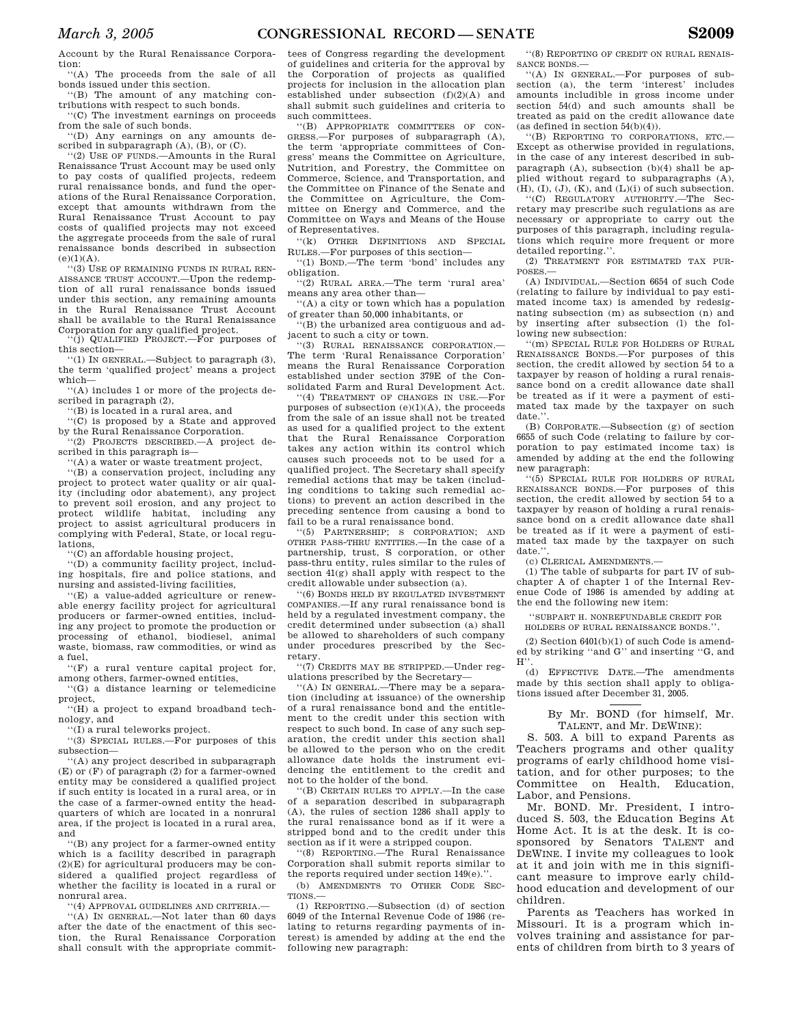Account by the Rural Renaissance Corporation:

''(A) The proceeds from the sale of all bonds issued under this section.

''(B) The amount of any matching contributions with respect to such bonds. ''(C) The investment earnings on proceeds

from the sale of such bonds. ''(D) Any earnings on any amounts described in subparagraph (A), (B), or (C).

''(2) USE OF FUNDS.—Amounts in the Rural Renaissance Trust Account may be used only to pay costs of qualified projects, redeem rural renaissance bonds, and fund the operations of the Rural Renaissance Corporation, except that amounts withdrawn from the Rural Renaissance Trust Account to pay costs of qualified projects may not exceed the aggregate proceeds from the sale of rural renaissance bonds described in subsection  $(e)(1)(A)$ .

''(3) USE OF REMAINING FUNDS IN RURAL REN-AISSANCE TRUST ACCOUNT.—Upon the redemption of all rural renaissance bonds issued under this section, any remaining amounts in the Rural Renaissance Trust Account shall be available to the Rural Renaissance Corporation for any qualified project.

'(j) QUALIFIED PROJECT.—For purposes of this section—

''(1) IN GENERAL.—Subject to paragraph (3), the term 'qualified project' means a project which—

''(A) includes 1 or more of the projects described in paragraph (2),

''(B) is located in a rural area, and

''(C) is proposed by a State and approved by the Rural Renaissance Corporation.

''(2) PROJECTS DESCRIBED.—A project described in this paragraph is—

'(A) a water or waste treatment project,

''(B) a conservation project, including any project to protect water quality or air quality (including odor abatement), any project to prevent soil erosion, and any project to protect wildlife habitat, including any project to assist agricultural producers in complying with Federal, State, or local regulations,

''(C) an affordable housing project,

''(D) a community facility project, including hospitals, fire and police stations, and nursing and assisted-living facilities,

''(E) a value-added agriculture or renewable energy facility project for agricultural producers or farmer-owned entities, including any project to promote the production or processing of ethanol, biodiesel, animal waste, biomass, raw commodities, or wind as a fuel,

''(F) a rural venture capital project for, among others, farmer-owned entities,

''(G) a distance learning or telemedicine project,

''(H) a project to expand broadband technology, and

''(I) a rural teleworks project.

''(3) SPECIAL RULES.—For purposes of this subsection—

''(A) any project described in subparagraph (E) or (F) of paragraph (2) for a farmer-owned entity may be considered a qualified project if such entity is located in a rural area, or in the case of a farmer-owned entity the headquarters of which are located in a nonrural area, if the project is located in a rural area, and

''(B) any project for a farmer-owned entity which is a facility described in paragraph  $(2)(E)$  for agricultural producers may be considered a qualified project regardless of whether the facility is located in a rural or nonrural area.

''(4) APPROVAL GUIDELINES AND CRITERIA.—

''(A) IN GENERAL.—Not later than 60 days after the date of the enactment of this section, the Rural Renaissance Corporation shall consult with the appropriate commit-

tees of Congress regarding the development of guidelines and criteria for the approval by the Corporation of projects as qualified projects for inclusion in the allocation plan established under subsection (f)(2)(A) and shall submit such guidelines and criteria to such committees.

''(B) APPROPRIATE COMMITTEES OF CON-GRESS.—For purposes of subparagraph (A), the term 'appropriate committees of Congress' means the Committee on Agriculture, Nutrition, and Forestry, the Committee on Commerce, Science, and Transportation, and the Committee on Finance of the Senate and the Committee on Agriculture, the Committee on Energy and Commerce, and the Committee on Ways and Means of the House of Representatives.

''(k) OTHER DEFINITIONS AND SPECIAL RULES.—For purposes of this section—

''(1) BOND.—The term 'bond' includes any obligation.

''(2) RURAL AREA.—The term 'rural area' means any area other than—

''(A) a city or town which has a population of greater than 50,000 inhabitants, or

''(B) the urbanized area contiguous and adjacent to such a city or town.

''(3) RURAL RENAISSANCE CORPORATION.— The term 'Rural Renaissance Corporation' means the Rural Renaissance Corporation established under section 379E of the Consolidated Farm and Rural Development Act.

''(4) TREATMENT OF CHANGES IN USE.—For purposes of subsection  $(e)(1)(A)$ , the proceeds from the sale of an issue shall not be treated as used for a qualified project to the extent that the Rural Renaissance Corporation takes any action within its control which causes such proceeds not to be used for a qualified project. The Secretary shall specify remedial actions that may be taken (including conditions to taking such remedial actions) to prevent an action described in the preceding sentence from causing a bond to fail to be a rural renaissance bond.

''(5) PARTNERSHIP; S CORPORATION; AND OTHER PASS-THRU ENTITIES.—In the case of a partnership, trust, S corporation, or other pass-thru entity, rules similar to the rules of section 41(g) shall apply with respect to the credit allowable under subsection (a).

''(6) BONDS HELD BY REGULATED INVESTMENT COMPANIES.—If any rural renaissance bond is held by a regulated investment company, the credit determined under subsection (a) shall be allowed to shareholders of such company under procedures prescribed by the Secretary.

''(7) CREDITS MAY BE STRIPPED.—Under regulations prescribed by the Secretary—

''(A) IN GENERAL.—There may be a separation (including at issuance) of the ownership of a rural renaissance bond and the entitlement to the credit under this section with respect to such bond. In case of any such separation, the credit under this section shall be allowed to the person who on the credit allowance date holds the instrument evidencing the entitlement to the credit and not to the holder of the bond.

''(B) CERTAIN RULES TO APPLY.—In the case of a separation described in subparagraph (A), the rules of section 1286 shall apply to the rural renaissance bond as if it were a stripped bond and to the credit under this section as if it were a stripped coupon.

''(8) REPORTING.—The Rural Renaissance Corporation shall submit reports similar to the reports required under section 149(e).'

(b) AMENDMENTS TO OTHER CODE SEC-TIONS.—

(1) REPORTING.—Subsection (d) of section 6049 of the Internal Revenue Code of 1986 (relating to returns regarding payments of interest) is amended by adding at the end the following new paragraph:

''(8) REPORTING OF CREDIT ON RURAL RENAIS-SANCE BONDS.—

''(A) IN GENERAL.—For purposes of subsection (a), the term 'interest' includes amounts includible in gross income under section 54(d) and such amounts shall be treated as paid on the credit allowance date (as defined in section  $54(b)(4)$ ).

''(B) REPORTING TO CORPORATIONS, ETC.— Except as otherwise provided in regulations, in the case of any interest described in subparagraph (A), subsection (b)(4) shall be applied without regard to subparagraphs (A),  $(H), (I), (J), (K), and (L)(i)$  of such subsection.

''(C) REGULATORY AUTHORITY.—The Secretary may prescribe such regulations as are necessary or appropriate to carry out the purposes of this paragraph, including regulations which require more frequent or more detailed reporting."

(2) TREATMENT FOR ESTIMATED TAX PUR-POSES.—

(A) INDIVIDUAL.—Section 6654 of such Code (relating to failure by individual to pay estimated income tax) is amended by redesignating subsection (m) as subsection (n) and by inserting after subsection (l) the following new subsection:

''(m) SPECIAL RULE FOR HOLDERS OF RURAL RENAISSANCE BONDS.—For purposes of this section, the credit allowed by section 54 to a taxpayer by reason of holding a rural renaissance bond on a credit allowance date shall be treated as if it were a payment of estimated tax made by the taxpayer on such date.'

(B) CORPORATE.—Subsection (g) of section 6655 of such Code (relating to failure by corporation to pay estimated income tax) is amended by adding at the end the following new paragraph:

''(5) SPECIAL RULE FOR HOLDERS OF RURAL RENAISSANCE BONDS.—For purposes of this section, the credit allowed by section 54 to a taxpayer by reason of holding a rural renaissance bond on a credit allowance date shall be treated as if it were a payment of estimated tax made by the taxpayer on such date.'

(c) CLERICAL AMENDMENTS.—

(1) The table of subparts for part IV of subchapter A of chapter 1 of the Internal Revenue Code of 1986 is amended by adding at the end the following new item:

''SUBPART H. NONREFUNDABLE CREDIT FOR

HOLDERS OF RURAL RENAISSANCE BONDS.''.

(2) Section 6401(b)(1) of such Code is amended by striking ''and G'' and inserting ''G, and  $H$ <sup>"</sup>.

(d) EFFECTIVE DATE.—The amendments made by this section shall apply to obligations issued after December 31, 2005.

> By Mr. BOND (for himself, Mr. TALENT, and Mr. DEWINE):

S. 503. A bill to expand Parents as Teachers programs and other quality programs of early childhood home visitation, and for other purposes; to the Committee on Health, Education, Labor, and Pensions.

Mr. BOND. Mr. President, I introduced S. 503, the Education Begins At Home Act. It is at the desk. It is cosponsored by Senators TALENT and DEWINE. I invite my colleagues to look at it and join with me in this significant measure to improve early childhood education and development of our children.

Parents as Teachers has worked in Missouri. It is a program which involves training and assistance for parents of children from birth to 3 years of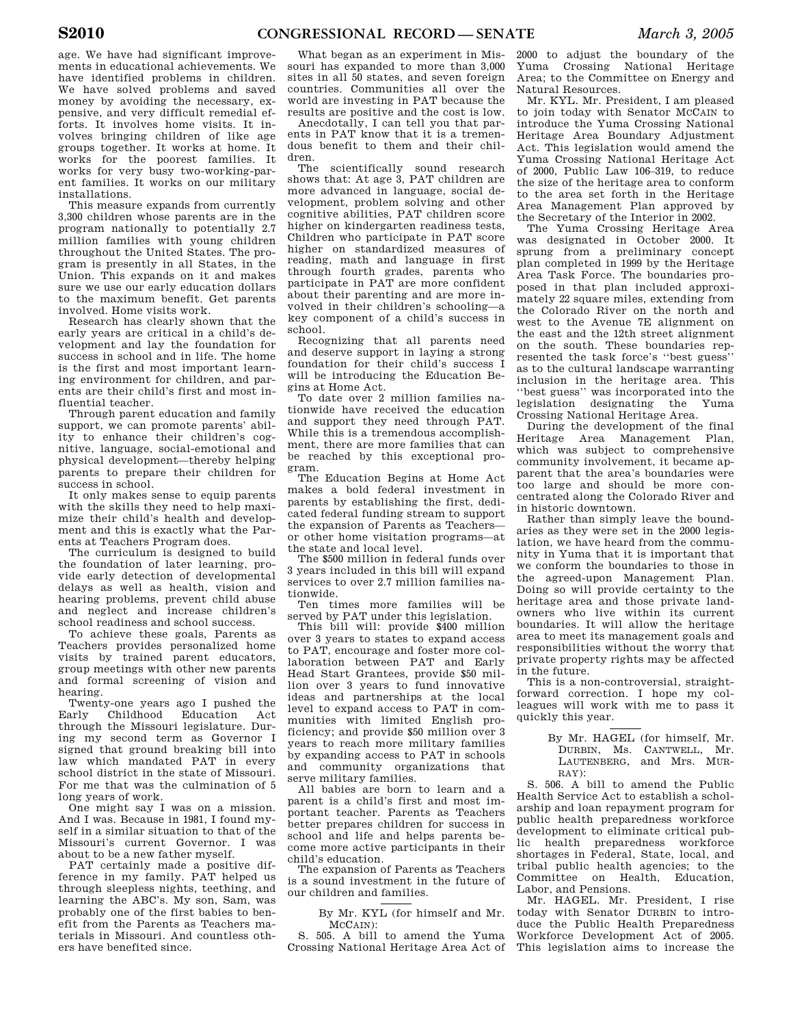age. We have had significant improvements in educational achievements. We have identified problems in children. We have solved problems and saved money by avoiding the necessary, expensive, and very difficult remedial efforts. It involves home visits. It involves bringing children of like age groups together. It works at home. It works for the poorest families. It works for very busy two-working-parent families. It works on our military installations.

This measure expands from currently 3,300 children whose parents are in the program nationally to potentially 2.7 million families with young children throughout the United States. The program is presently in all States, in the Union. This expands on it and makes sure we use our early education dollars to the maximum benefit. Get parents involved. Home visits work.

Research has clearly shown that the early years are critical in a child's development and lay the foundation for success in school and in life. The home is the first and most important learning environment for children, and parents are their child's first and most influential teacher.

Through parent education and family support, we can promote parents' ability to enhance their children's cognitive, language, social-emotional and physical development—thereby helping parents to prepare their children for success in school.

It only makes sense to equip parents with the skills they need to help maximize their child's health and development and this is exactly what the Parents at Teachers Program does.

The curriculum is designed to build the foundation of later learning, provide early detection of developmental delays as well as health, vision and hearing problems, prevent child abuse and neglect and increase children's school readiness and school success.

To achieve these goals, Parents as Teachers provides personalized home visits by trained parent educators, group meetings with other new parents and formal screening of vision and hearing.

Twenty-one years ago I pushed the Early Childhood Education Act through the Missouri legislature. During my second term as Governor I signed that ground breaking bill into law which mandated PAT in every school district in the state of Missouri. For me that was the culmination of 5 long years of work.

One might say I was on a mission. And I was. Because in 1981, I found myself in a similar situation to that of the Missouri's current Governor. I was about to be a new father myself.

PAT certainly made a positive difference in my family. PAT helped us through sleepless nights, teething, and learning the ABC's. My son, Sam, was probably one of the first babies to benefit from the Parents as Teachers materials in Missouri. And countless others have benefited since.

What began as an experiment in Missouri has expanded to more than 3,000 sites in all 50 states, and seven foreign countries. Communities all over the world are investing in PAT because the results are positive and the cost is low.

Anecdotally, I can tell you that parents in PAT know that it is a tremendous benefit to them and their children.

The scientifically sound research shows that: At age 3, PAT children are more advanced in language, social development, problem solving and other cognitive abilities, PAT children score higher on kindergarten readiness tests, Children who participate in PAT score higher on standardized measures of reading, math and language in first through fourth grades, parents who participate in PAT are more confident about their parenting and are more involved in their children's schooling—a key component of a child's success in school.

Recognizing that all parents need and deserve support in laying a strong foundation for their child's success I will be introducing the Education Begins at Home Act.

To date over 2 million families nationwide have received the education and support they need through PAT. While this is a tremendous accomplishment, there are more families that can be reached by this exceptional program.

The Education Begins at Home Act makes a bold federal investment in parents by establishing the first, dedicated federal funding stream to support the expansion of Parents as Teachers or other home visitation programs—at the state and local level.

The \$500 million in federal funds over 3 years included in this bill will expand services to over 2.7 million families nationwide.

Ten times more families will be served by PAT under this legislation.

This bill will: provide \$400 million over 3 years to states to expand access to PAT, encourage and foster more collaboration between PAT and Early Head Start Grantees, provide \$50 million over 3 years to fund innovative ideas and partnerships at the local level to expand access to PAT in communities with limited English proficiency; and provide \$50 million over 3 years to reach more military families by expanding access to PAT in schools and community organizations that serve military families.

All babies are born to learn and a parent is a child's first and most important teacher. Parents as Teachers better prepares children for success in school and life and helps parents become more active participants in their child's education.

The expansion of Parents as Teachers is a sound investment in the future of our children and families.

By Mr. KYL (for himself and Mr. MCCAIN):

S. 505. A bill to amend the Yuma Crossing National Heritage Area Act of

2000 to adjust the boundary of the Yuma Crossing National Heritage Area; to the Committee on Energy and Natural Resources.

Mr. KYL. Mr. President, I am pleased to join today with Senator MCCAIN to introduce the Yuma Crossing National Heritage Area Boundary Adjustment Act. This legislation would amend the Yuma Crossing National Heritage Act of 2000, Public Law 106–319, to reduce the size of the heritage area to conform to the area set forth in the Heritage Area Management Plan approved by the Secretary of the Interior in 2002.

The Yuma Crossing Heritage Area was designated in October 2000. It sprung from a preliminary concept plan completed in 1999 by the Heritage Area Task Force. The boundaries proposed in that plan included approximately 22 square miles, extending from the Colorado River on the north and west to the Avenue 7E alignment on the east and the 12th street alignment on the south. These boundaries represented the task force's ''best guess'' as to the cultural landscape warranting inclusion in the heritage area. This ''best guess'' was incorporated into the legislation designating the Yuma Crossing National Heritage Area.

During the development of the final Heritage Area Management Plan, which was subject to comprehensive community involvement, it became apparent that the area's boundaries were too large and should be more concentrated along the Colorado River and in historic downtown.

Rather than simply leave the boundaries as they were set in the 2000 legislation, we have heard from the community in Yuma that it is important that we conform the boundaries to those in the agreed-upon Management Plan. Doing so will provide certainty to the heritage area and those private landowners who live within its current boundaries. It will allow the heritage area to meet its management goals and responsibilities without the worry that private property rights may be affected in the future.

This is a non-controversial, straightforward correction. I hope my colleagues will work with me to pass it quickly this year.

> By Mr. HAGEL (for himself, Mr. DURBIN, Ms. CANTWELL, Mr. LAUTENBERG, and Mrs. MUR-RAY):

S. 506. A bill to amend the Public Health Service Act to establish a scholarship and loan repayment program for public health preparedness workforce development to eliminate critical public health preparedness workforce shortages in Federal, State, local, and tribal public health agencies; to the Committee on Health, Education, Labor, and Pensions.

Mr. HAGEL. Mr. President, I rise today with Senator DURBIN to introduce the Public Health Preparedness Workforce Development Act of 2005. This legislation aims to increase the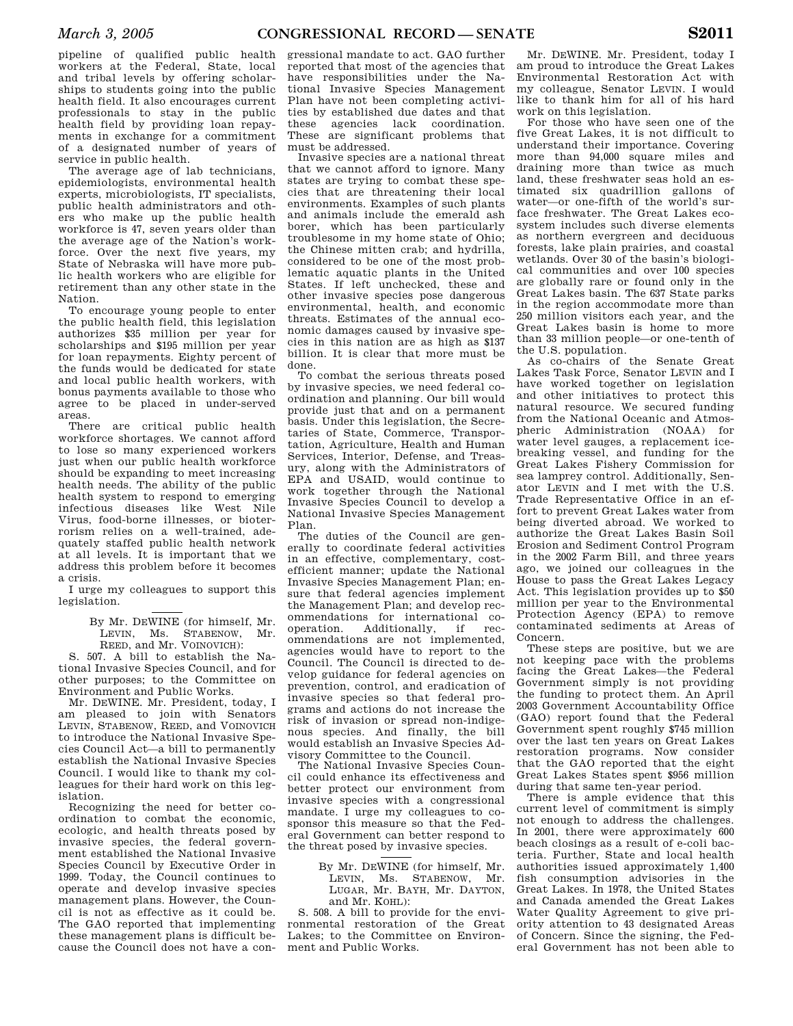pipeline of qualified public health workers at the Federal, State, local and tribal levels by offering scholarships to students going into the public health field. It also encourages current professionals to stay in the public health field by providing loan repayments in exchange for a commitment of a designated number of years of service in public health.

The average age of lab technicians, epidemiologists, environmental health experts, microbiologists, IT specialists, public health administrators and others who make up the public health workforce is 47, seven years older than the average age of the Nation's workforce. Over the next five years, my State of Nebraska will have more public health workers who are eligible for retirement than any other state in the Nation.

To encourage young people to enter the public health field, this legislation authorizes \$35 million per year for scholarships and \$195 million per year for loan repayments. Eighty percent of the funds would be dedicated for state and local public health workers, with bonus payments available to those who agree to be placed in under-served areas.

There are critical public health workforce shortages. We cannot afford to lose so many experienced workers just when our public health workforce should be expanding to meet increasing health needs. The ability of the public health system to respond to emerging infectious diseases like West Nile Virus, food-borne illnesses, or bioterrorism relies on a well-trained, adequately staffed public health network at all levels. It is important that we address this problem before it becomes a crisis.

I urge my colleagues to support this legislation.

> By Mr. DEWINE (for himself, Mr. LEVIN, Ms. STABENOW, Mr. REED, and Mr. VOINOVICH):

S. 507. A bill to establish the National Invasive Species Council, and for other purposes; to the Committee on Environment and Public Works.

Mr. DEWINE. Mr. President, today, I am pleased to join with Senators LEVIN, STABENOW, REED, and VOINOVICH to introduce the National Invasive Species Council Act—a bill to permanently establish the National Invasive Species Council. I would like to thank my colleagues for their hard work on this legislation.

Recognizing the need for better coordination to combat the economic, ecologic, and health threats posed by invasive species, the federal government established the National Invasive Species Council by Executive Order in 1999. Today, the Council continues to operate and develop invasive species management plans. However, the Council is not as effective as it could be. The GAO reported that implementing these management plans is difficult because the Council does not have a con-

gressional mandate to act. GAO further reported that most of the agencies that have responsibilities under the National Invasive Species Management Plan have not been completing activities by established due dates and that these agencies lack coordination. These are significant problems that must be addressed.

Invasive species are a national threat that we cannot afford to ignore. Many states are trying to combat these species that are threatening their local environments. Examples of such plants and animals include the emerald ash borer, which has been particularly troublesome in my home state of Ohio; the Chinese mitten crab; and hydrilla, considered to be one of the most problematic aquatic plants in the United States. If left unchecked, these and other invasive species pose dangerous environmental, health, and economic threats. Estimates of the annual economic damages caused by invasive species in this nation are as high as \$137 billion. It is clear that more must be done.

To combat the serious threats posed by invasive species, we need federal coordination and planning. Our bill would provide just that and on a permanent basis. Under this legislation, the Secretaries of State, Commerce, Transportation, Agriculture, Health and Human Services, Interior, Defense, and Treasury, along with the Administrators of EPA and USAID, would continue to work together through the National Invasive Species Council to develop a National Invasive Species Management Plan.

The duties of the Council are generally to coordinate federal activities in an effective, complementary, costefficient manner; update the National Invasive Species Management Plan; ensure that federal agencies implement the Management Plan; and develop recommendations for international cooperation. Additionally, if recommendations are not implemented, agencies would have to report to the Council. The Council is directed to develop guidance for federal agencies on prevention, control, and eradication of invasive species so that federal programs and actions do not increase the risk of invasion or spread non-indigenous species. And finally, the bill would establish an Invasive Species Advisory Committee to the Council.

The National Invasive Species Council could enhance its effectiveness and better protect our environment from invasive species with a congressional mandate. I urge my colleagues to cosponsor this measure so that the Federal Government can better respond to the threat posed by invasive species.

> By Mr. DEWINE (for himself, Mr. LEVIN, Ms. STABENOW, Mr. LUGAR, Mr. BAYH, Mr. DAYTON, and Mr. KOHL):

S. 508. A bill to provide for the environmental restoration of the Great Lakes; to the Committee on Environment and Public Works.

Mr. DEWINE. Mr. President, today I am proud to introduce the Great Lakes Environmental Restoration Act with my colleague, Senator LEVIN. I would like to thank him for all of his hard work on this legislation.

For those who have seen one of the five Great Lakes, it is not difficult to understand their importance. Covering more than 94,000 square miles and draining more than twice as much land, these freshwater seas hold an estimated six quadrillion gallons of water—or one-fifth of the world's surface freshwater. The Great Lakes ecosystem includes such diverse elements as northern evergreen and deciduous forests, lake plain prairies, and coastal wetlands. Over 30 of the basin's biological communities and over 100 species are globally rare or found only in the Great Lakes basin. The 637 State parks in the region accommodate more than 250 million visitors each year, and the Great Lakes basin is home to more than 33 million people—or one-tenth of the U.S. population.

As co-chairs of the Senate Great Lakes Task Force, Senator LEVIN and I have worked together on legislation and other initiatives to protect this natural resource. We secured funding from the National Oceanic and Atmospheric Administration (NOAA) for water level gauges, a replacement icebreaking vessel, and funding for the Great Lakes Fishery Commission for sea lamprey control. Additionally, Senator LEVIN and I met with the U.S. Trade Representative Office in an effort to prevent Great Lakes water from being diverted abroad. We worked to authorize the Great Lakes Basin Soil Erosion and Sediment Control Program in the 2002 Farm Bill, and three years ago, we joined our colleagues in the House to pass the Great Lakes Legacy Act. This legislation provides up to \$50 million per year to the Environmental Protection Agency (EPA) to remove contaminated sediments at Areas of Concern.

These steps are positive, but we are not keeping pace with the problems facing the Great Lakes—the Federal Government simply is not providing the funding to protect them. An April 2003 Government Accountability Office (GAO) report found that the Federal Government spent roughly \$745 million over the last ten years on Great Lakes restoration programs. Now consider that the GAO reported that the eight Great Lakes States spent \$956 million during that same ten-year period.

There is ample evidence that this current level of commitment is simply not enough to address the challenges. In 2001, there were approximately 600 beach closings as a result of e-coli bacteria. Further, State and local health authorities issued approximately 1,400 fish consumption advisories in the Great Lakes. In 1978, the United States and Canada amended the Great Lakes Water Quality Agreement to give priority attention to 43 designated Areas of Concern. Since the signing, the Federal Government has not been able to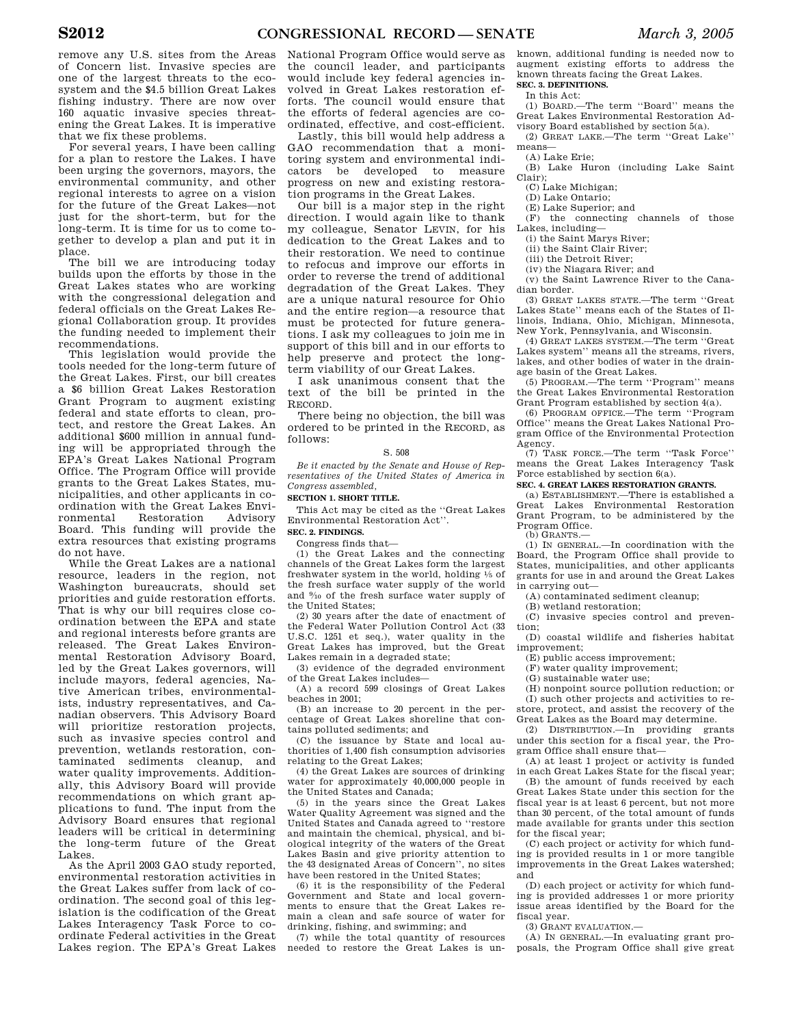remove any U.S. sites from the Areas of Concern list. Invasive species are one of the largest threats to the ecosystem and the \$4.5 billion Great Lakes fishing industry. There are now over 160 aquatic invasive species threatening the Great Lakes. It is imperative that we fix these problems.

For several years, I have been calling for a plan to restore the Lakes. I have been urging the governors, mayors, the environmental community, and other regional interests to agree on a vision for the future of the Great Lakes—not just for the short-term, but for the long-term. It is time for us to come together to develop a plan and put it in place.

The bill we are introducing today builds upon the efforts by those in the Great Lakes states who are working with the congressional delegation and federal officials on the Great Lakes Regional Collaboration group. It provides the funding needed to implement their recommendations.

This legislation would provide the tools needed for the long-term future of the Great Lakes. First, our bill creates a \$6 billion Great Lakes Restoration Grant Program to augment existing federal and state efforts to clean, protect, and restore the Great Lakes. An additional \$600 million in annual funding will be appropriated through the EPA's Great Lakes National Program Office. The Program Office will provide grants to the Great Lakes States, municipalities, and other applicants in coordination with the Great Lakes Environmental Restoration Advisory Board. This funding will provide the extra resources that existing programs do not have.

While the Great Lakes are a national resource, leaders in the region, not Washington bureaucrats, should set priorities and guide restoration efforts. That is why our bill requires close coordination between the EPA and state and regional interests before grants are released. The Great Lakes Environmental Restoration Advisory Board, led by the Great Lakes governors, will include mayors, federal agencies, Native American tribes, environmentalists, industry representatives, and Canadian observers. This Advisory Board will prioritize restoration projects, such as invasive species control and prevention, wetlands restoration, contaminated sediments cleanup, and water quality improvements. Additionally, this Advisory Board will provide recommendations on which grant applications to fund. The input from the Advisory Board ensures that regional leaders will be critical in determining the long-term future of the Great Lakes.

As the April 2003 GAO study reported, environmental restoration activities in the Great Lakes suffer from lack of coordination. The second goal of this legislation is the codification of the Great Lakes Interagency Task Force to coordinate Federal activities in the Great Lakes region. The EPA's Great Lakes National Program Office would serve as the council leader, and participants would include key federal agencies involved in Great Lakes restoration efforts. The council would ensure that the efforts of federal agencies are coordinated, effective, and cost-efficient.

Lastly, this bill would help address a GAO recommendation that a monitoring system and environmental indicators be developed to measure progress on new and existing restoration programs in the Great Lakes.

Our bill is a major step in the right direction. I would again like to thank my colleague, Senator LEVIN, for his dedication to the Great Lakes and to their restoration. We need to continue to refocus and improve our efforts in order to reverse the trend of additional degradation of the Great Lakes. They are a unique natural resource for Ohio and the entire region—a resource that must be protected for future generations. I ask my colleagues to join me in support of this bill and in our efforts to help preserve and protect the longterm viability of our Great Lakes.

I ask unanimous consent that the text of the bill be printed in the RECORD.

There being no objection, the bill was ordered to be printed in the RECORD, as follows:

#### S. 508

*Be it enacted by the Senate and House of Representatives of the United States of America in Congress assembled,* 

**SECTION 1. SHORT TITLE.** 

This Act may be cited as the ''Great Lakes Environmental Restoration Act''.

**SEC. 2. FINDINGS.** 

Congress finds that—

(1) the Great Lakes and the connecting channels of the Great Lakes form the largest freshwater system in the world, holding  $\frac{1}{5}$  of the fresh surface water supply of the world and 9⁄10 of the fresh surface water supply of the United States;

(2) 30 years after the date of enactment of the Federal Water Pollution Control Act (33 U.S.C. 1251 et seq.), water quality in the Great Lakes has improved, but the Great Lakes remain in a degraded state;

(3) evidence of the degraded environment of the Great Lakes includes—

(A) a record 599 closings of Great Lakes beaches in 2001;

(B) an increase to 20 percent in the percentage of Great Lakes shoreline that contains polluted sediments; and

(C) the issuance by State and local authorities of 1,400 fish consumption advisories relating to the Great Lakes;

(4) the Great Lakes are sources of drinking water for approximately 40,000,000 people in the United States and Canada;

(5) in the years since the Great Lakes Water Quality Agreement was signed and the United States and Canada agreed to ''restore and maintain the chemical, physical, and biological integrity of the waters of the Great Lakes Basin and give priority attention to the 43 designated Areas of Concern'', no sites have been restored in the United States;

(6) it is the responsibility of the Federal Government and State and local governments to ensure that the Great Lakes remain a clean and safe source of water for drinking, fishing, and swimming; and

(7) while the total quantity of resources needed to restore the Great Lakes is unknown, additional funding is needed now to augment existing efforts to address the known threats facing the Great Lakes. **SEC. 3. DEFINITIONS.** 

## In this Act:

(1) BOARD.—The term ''Board'' means the Great Lakes Environmental Restoration Advisory Board established by section 5(a).

(2) GREAT LAKE.—The term ''Great Lake'' means—

(A) Lake Erie;

(B) Lake Huron (including Lake Saint Clair);

(C) Lake Michigan;

(D) Lake Ontario;

(E) Lake Superior; and

(F) the connecting channels of those Lakes, including—

(i) the Saint Marys River;

(ii) the Saint Clair River;

(iii) the Detroit River;

(iv) the Niagara River; and

(v) the Saint Lawrence River to the Canadian border.

(3) GREAT LAKES STATE.—The term ''Great Lakes State'' means each of the States of Illinois, Indiana, Ohio, Michigan, Minnesota, New York, Pennsylvania, and Wisconsin.

(4) GREAT LAKES SYSTEM.—The term ''Great Lakes system'' means all the streams, rivers, lakes, and other bodies of water in the drainage basin of the Great Lakes.

(5) PROGRAM.—The term ''Program'' means the Great Lakes Environmental Restoration Grant Program established by section 4(a).

(6) PROGRAM OFFICE.—The term ''Program Office'' means the Great Lakes National Program Office of the Environmental Protection Agency.

(7) TASK FORCE.—The term ''Task Force'' means the Great Lakes Interagency Task Force established by section 6(a).

### **SEC. 4. GREAT LAKES RESTORATION GRANTS.**

(a) ESTABLISHMENT.—There is established a Great Lakes Environmental Restoration Grant Program, to be administered by the Program Office.

(b) GRANTS.—

(1) IN GENERAL.—In coordination with the Board, the Program Office shall provide to States, municipalities, and other applicants grants for use in and around the Great Lakes in carrying out—

(A) contaminated sediment cleanup;

(B) wetland restoration;

(C) invasive species control and prevention;

(D) coastal wildlife and fisheries habitat

improvement;

(E) public access improvement;

(F) water quality improvement;

(G) sustainable water use;

(H) nonpoint source pollution reduction; or (I) such other projects and activities to restore, protect, and assist the recovery of the Great Lakes as the Board may determine.

(2) DISTRIBUTION.—In providing grants under this section for a fiscal year, the Program Office shall ensure that—

(A) at least 1 project or activity is funded in each Great Lakes State for the fiscal year;

(B) the amount of funds received by each Great Lakes State under this section for the fiscal year is at least 6 percent, but not more than 30 percent, of the total amount of funds made available for grants under this section for the fiscal year;

(C) each project or activity for which funding is provided results in 1 or more tangible improvements in the Great Lakes watershed; and

(D) each project or activity for which funding is provided addresses 1 or more priority issue areas identified by the Board for the fiscal year.

(3) GRANT EVALUATION.—

(A) IN GENERAL.—In evaluating grant proposals, the Program Office shall give great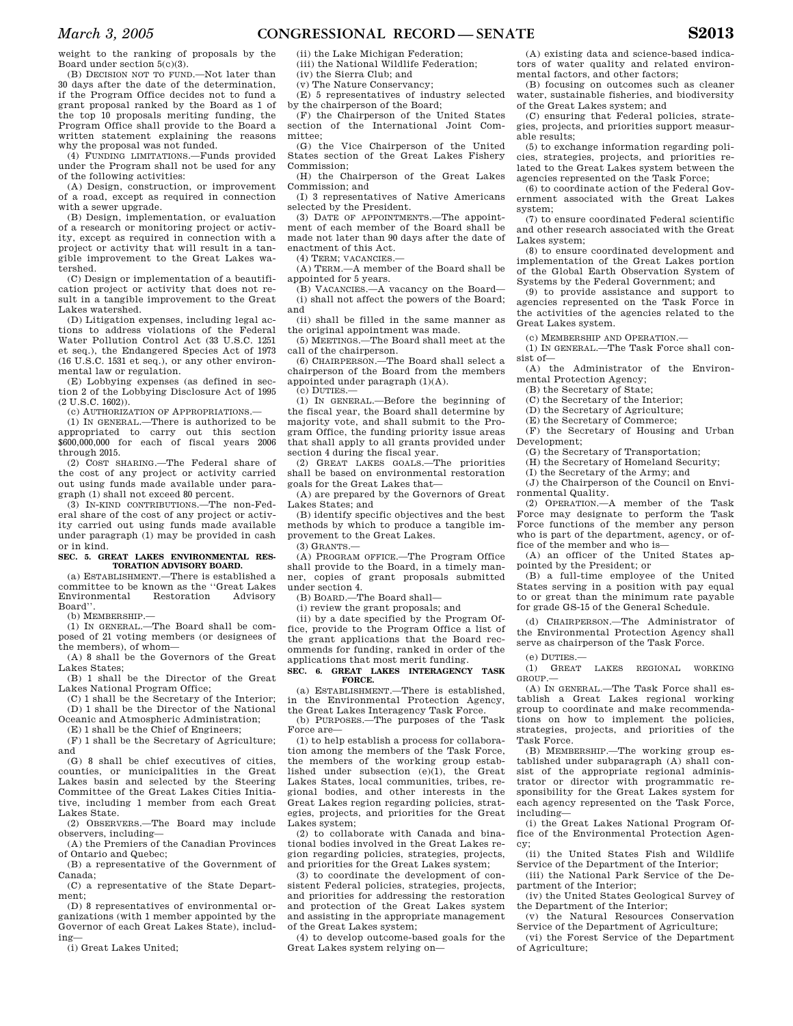weight to the ranking of proposals by the Board under section 5(c)(3).

(B) DECISION NOT TO FUND.—Not later than 30 days after the date of the determination, if the Program Office decides not to fund a grant proposal ranked by the Board as 1 of the top 10 proposals meriting funding, the Program Office shall provide to the Board a written statement explaining the reasons why the proposal was not funded.

(4) FUNDING LIMITATIONS.—Funds provided under the Program shall not be used for any of the following activities:

(A) Design, construction, or improvement of a road, except as required in connection with a sewer upgrade.

(B) Design, implementation, or evaluation of a research or monitoring project or activity, except as required in connection with a project or activity that will result in a tangible improvement to the Great Lakes watershed.

(C) Design or implementation of a beautification project or activity that does not result in a tangible improvement to the Great Lakes watershed.

(D) Litigation expenses, including legal actions to address violations of the Federal Water Pollution Control Act (33 U.S.C. 1251 et seq.), the Endangered Species Act of 1973 (16 U.S.C. 1531 et seq.), or any other environmental law or regulation.

(E) Lobbying expenses (as defined in section 2 of the Lobbying Disclosure Act of 1995 (2 U.S.C. 1602)).

(c) AUTHORIZATION OF APPROPRIATIONS.—

(1) IN GENERAL.—There is authorized to be appropriated to carry out this section \$600,000,000 for each of fiscal years 2006 through 2015.

(2) COST SHARING.—The Federal share of the cost of any project or activity carried out using funds made available under paragraph (1) shall not exceed 80 percent.

(3) IN-KIND CONTRIBUTIONS.—The non-Federal share of the cost of any project or activity carried out using funds made available under paragraph (1) may be provided in cash or in kind.

### **SEC. 5. GREAT LAKES ENVIRONMENTAL RES-TORATION ADVISORY BOARD.**

(a) ESTABLISHMENT.—There is established a committee to be known as the ''Great Lakes Environmental Restoration Advisory Board''.

(b) MEMBERSHIP.—

(1) IN GENERAL.—The Board shall be composed of 21 voting members (or designees of the members), of whom—

(A) 8 shall be the Governors of the Great Lakes States;

(B) 1 shall be the Director of the Great Lakes National Program Office;

(C) 1 shall be the Secretary of the Interior; (D) 1 shall be the Director of the National

Oceanic and Atmospheric Administration;

(E) 1 shall be the Chief of Engineers;

(F) 1 shall be the Secretary of Agriculture; and

(G) 8 shall be chief executives of cities, counties, or municipalities in the Great Lakes basin and selected by the Steering Committee of the Great Lakes Cities Initiative, including 1 member from each Great Lakes State.

(2) OBSERVERS.—The Board may include observers, including—

(A) the Premiers of the Canadian Provinces of Ontario and Quebec;

(B) a representative of the Government of Canada;

(C) a representative of the State Department;

(D) 8 representatives of environmental organizations (with 1 member appointed by the Governor of each Great Lakes State), including—

(i) Great Lakes United;

(ii) the Lake Michigan Federation; (iii) the National Wildlife Federation;

(iv) the Sierra Club; and

(v) The Nature Conservancy;

(E) 5 representatives of industry selected by the chairperson of the Board;

(F) the Chairperson of the United States section of the International Joint Committee;

(G) the Vice Chairperson of the United States section of the Great Lakes Fishery Commission;

(H) the Chairperson of the Great Lakes Commission; and

(I) 3 representatives of Native Americans selected by the President.

(3) DATE OF APPOINTMENTS.—The appointment of each member of the Board shall be made not later than 90 days after the date of enactment of this Act.

(4) TERM; VACANCIES.—

(A) TERM.—A member of the Board shall be appointed for 5 years.

(B) VACANCIES.—A vacancy on the Board— (i) shall not affect the powers of the Board; and

(ii) shall be filled in the same manner as the original appointment was made.

(5) MEETINGS.—The Board shall meet at the call of the chairperson.

(6) CHAIRPERSON.—The Board shall select a chairperson of the Board from the members appointed under paragraph (1)(A).

(c) DUTIES.—

(1) IN GENERAL.—Before the beginning of the fiscal year, the Board shall determine by majority vote, and shall submit to the Program Office, the funding priority issue areas that shall apply to all grants provided under section 4 during the fiscal year.

(2) GREAT LAKES GOALS.—The priorities shall be based on environmental restoration goals for the Great Lakes that—

(A) are prepared by the Governors of Great Lakes States; and

(B) identify specific objectives and the best methods by which to produce a tangible improvement to the Great Lakes.  $(3)$  GRANTS  $-$ 

(A) PROGRAM OFFICE.—The Program Office shall provide to the Board, in a timely manner, copies of grant proposals submitted under section 4.

(B) BOARD.—The Board shall—

(i) review the grant proposals; and

(ii) by a date specified by the Program Office, provide to the Program Office a list of the grant applications that the Board recommends for funding, ranked in order of the applications that most merit funding.

**SEC. 6. GREAT LAKES INTERAGENCY TASK FORCE.** 

(a) ESTABLISHMENT.—There is established, in the Environmental Protection Agency, the Great Lakes Interagency Task Force.

(b) PURPOSES.—The purposes of the Task Force are—

(1) to help establish a process for collaboration among the members of the Task Force, the members of the working group established under subsection (e)(1), the Great Lakes States, local communities, tribes, regional bodies, and other interests in the Great Lakes region regarding policies, strategies, projects, and priorities for the Great Lakes system;

(2) to collaborate with Canada and binational bodies involved in the Great Lakes region regarding policies, strategies, projects, and priorities for the Great Lakes system;

(3) to coordinate the development of consistent Federal policies, strategies, projects, and priorities for addressing the restoration and protection of the Great Lakes system and assisting in the appropriate management of the Great Lakes system;

(4) to develop outcome-based goals for the Great Lakes system relying on—

(A) existing data and science-based indicators of water quality and related environmental factors, and other factors;

(B) focusing on outcomes such as cleaner water, sustainable fisheries, and biodiversity of the Great Lakes system; and

(C) ensuring that Federal policies, strategies, projects, and priorities support measurable results;

(5) to exchange information regarding policies, strategies, projects, and priorities related to the Great Lakes system between the agencies represented on the Task Force;

(6) to coordinate action of the Federal Government associated with the Great Lakes system;

(7) to ensure coordinated Federal scientific and other research associated with the Great Lakes system;

(8) to ensure coordinated development and implementation of the Great Lakes portion of the Global Earth Observation System of Systems by the Federal Government; and

(9) to provide assistance and support to agencies represented on the Task Force in the activities of the agencies related to the Great Lakes system.

(c) MEMBERSHIP AND OPERATION.—

(1) IN GENERAL.—The Task Force shall consist of—

(A) the Administrator of the Environmental Protection Agency;

(B) the Secretary of State;

(C) the Secretary of the Interior;

(D) the Secretary of Agriculture;

(E) the Secretary of Commerce;

(F) the Secretary of Housing and Urban Development;

(G) the Secretary of Transportation;

(H) the Secretary of Homeland Security;

(I) the Secretary of the Army; and

 $J$ ) the Chairperson of the Council on Environmental Quality.

(2) OPERATION.—A member of the Task Force may designate to perform the Task Force functions of the member any person who is part of the department, agency, or office of the member and who is—

(A) an officer of the United States appointed by the President; or

(B) a full-time employee of the United States serving in a position with pay equal to or great than the minimum rate payable for grade GS-15 of the General Schedule.

(d) CHAIRPERSON.—The Administrator of the Environmental Protection Agency shall serve as chairperson of the Task Force.

(e) DUTIES.—

(1) GREAT LAKES REGIONAL WORKING GROUP.—

(A) IN GENERAL.—The Task Force shall establish a Great Lakes regional working group to coordinate and make recommendations on how to implement the policies, strategies, projects, and priorities of the Task Force.

(B) MEMBERSHIP.—The working group established under subparagraph (A) shall consist of the appropriate regional administrator or director with programmatic responsibility for the Great Lakes system for each agency represented on the Task Force, including—

(i) the Great Lakes National Program Office of the Environmental Protection Agency;

(ii) the United States Fish and Wildlife Service of the Department of the Interior;

(iii) the National Park Service of the Department of the Interior;

(iv) the United States Geological Survey of the Department of the Interior;

(v) the Natural Resources Conservation Service of the Department of Agriculture;

(vi) the Forest Service of the Department of Agriculture;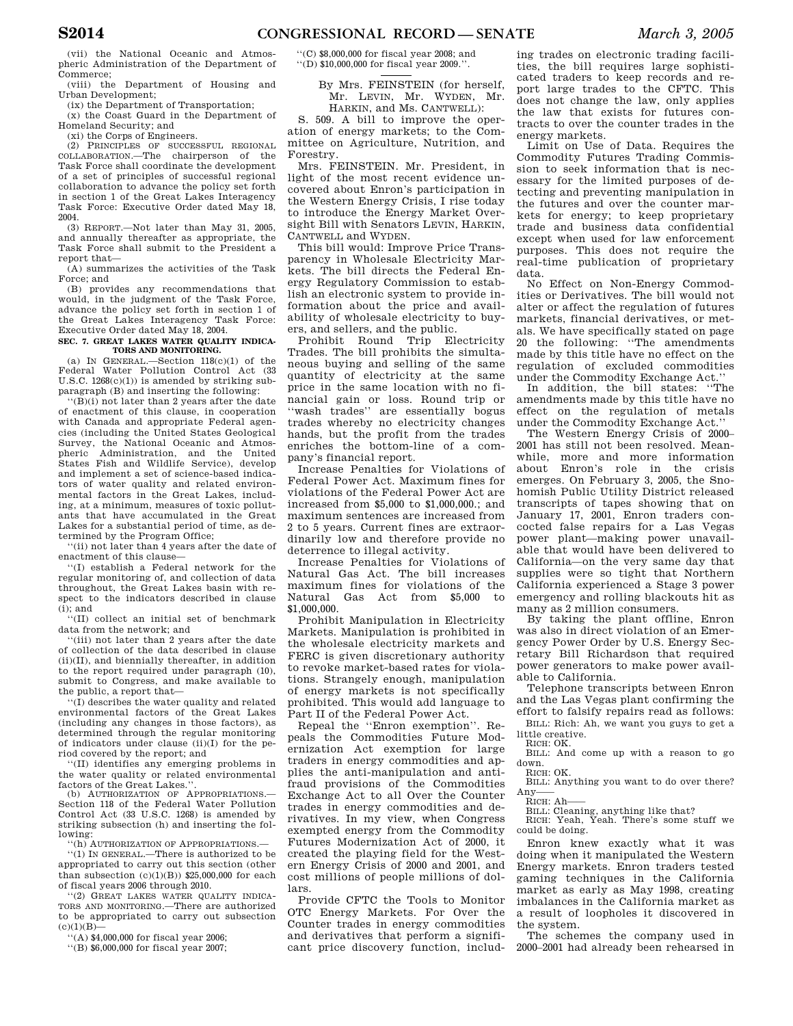(vii) the National Oceanic and Atmospheric Administration of the Department of Commerce;

(viii) the Department of Housing and Urban Development;

(ix) the Department of Transportation; (x) the Coast Guard in the Department of Homeland Security; and

(xi) the Corps of Engineers.

(2) PRINCIPLES OF SUCCESSFUL REGIONAL COLLABORATION.—The chairperson of the Task Force shall coordinate the development of a set of principles of successful regional collaboration to advance the policy set forth in section 1 of the Great Lakes Interagency Task Force: Executive Order dated May 18, 2004.

(3) REPORT.—Not later than May 31, 2005, and annually thereafter as appropriate, the Task Force shall submit to the President a report that—

(A) summarizes the activities of the Task Force; and

(B) provides any recommendations that would, in the judgment of the Task Force, advance the policy set forth in section 1 of the Great Lakes Interagency Task Force: Executive Order dated May 18, 2004.

### **SEC. 7. GREAT LAKES WATER QUALITY INDICA-TORS AND MONITORING.**

(a) IN GENERAL.—Section  $118(c)(1)$  of the Federal Water Pollution Control Act (33 U.S.C. 1268(c)(1)) is amended by striking subparagraph (B) and inserting the following:

''(B)(i) not later than 2 years after the date of enactment of this clause, in cooperation with Canada and appropriate Federal agencies (including the United States Geological Survey, the National Oceanic and Atmospheric Administration, and the United States Fish and Wildlife Service), develop and implement a set of science-based indicators of water quality and related environmental factors in the Great Lakes, including, at a minimum, measures of toxic pollutants that have accumulated in the Great Lakes for a substantial period of time, as determined by the Program Office;

''(ii) not later than 4 years after the date of enactment of this clause—

''(I) establish a Federal network for the regular monitoring of, and collection of data throughout, the Great Lakes basin with respect to the indicators described in clause  $(i)$ ; and

''(II) collect an initial set of benchmark data from the network; and

''(iii) not later than 2 years after the date of collection of the data described in clause (ii)(II), and biennially thereafter, in addition to the report required under paragraph (10), submit to Congress, and make available to the public, a report that—

'(I) describes the water quality and related environmental factors of the Great Lakes (including any changes in those factors), as determined through the regular monitoring of indicators under clause (ii)(I) for the period covered by the report; and

''(II) identifies any emerging problems in the water quality or related environmental factors of the Great Lakes.'

(b) AUTHORIZATION OF APPROPRIATIONS.— Section 118 of the Federal Water Pollution Control Act (33 U.S.C. 1268) is amended by striking subsection (h) and inserting the following:

''(h) AUTHORIZATION OF APPROPRIATIONS.—

''(1) IN GENERAL.—There is authorized to be appropriated to carry out this section (other than subsection  $(c)(1)(B)$  \$25,000,000 for each of fiscal years 2006 through 2010.

''(2) GREAT LAKES WATER QUALITY INDICA-TORS AND MONITORING.—There are authorized to be appropriated to carry out subsection  $(c)(1)(B)$ 

''(A) \$4,000,000 for fiscal year 2006;

''(B) \$6,000,000 for fiscal year 2007;

''(C) \$8,000,000 for fiscal year 2008; and  $\lq\lq\lq$  (D)  $\$10,000,000$  for fiscal year 2009.''

By Mrs. FEINSTEIN (for herself, Mr. LEVIN, Mr. WYDEN, Mr. HARKIN, and Ms. CANTWELL):

S. 509. A bill to improve the operation of energy markets; to the Committee on Agriculture, Nutrition, and Forestry.

Mrs. FEINSTEIN. Mr. President, in light of the most recent evidence uncovered about Enron's participation in the Western Energy Crisis, I rise today to introduce the Energy Market Oversight Bill with Senators LEVIN, HARKIN, CANTWELL and WYDEN.

This bill would: Improve Price Transparency in Wholesale Electricity Markets. The bill directs the Federal Energy Regulatory Commission to establish an electronic system to provide information about the price and availability of wholesale electricity to buyers, and sellers, and the public.

Prohibit Round Trip Electricity Trades. The bill prohibits the simultaneous buying and selling of the same quantity of electricity at the same price in the same location with no financial gain or loss. Round trip or ''wash trades'' are essentially bogus trades whereby no electricity changes hands, but the profit from the trades enriches the bottom-line of a company's financial report.

Increase Penalties for Violations of Federal Power Act. Maximum fines for violations of the Federal Power Act are increased from \$5,000 to \$1,000,000.; and maximum sentences are increased from 2 to 5 years. Current fines are extraordinarily low and therefore provide no deterrence to illegal activity.

Increase Penalties for Violations of Natural Gas Act. The bill increases maximum fines for violations of the Natural Gas Act from \$5,000 to \$1,000,000.

Prohibit Manipulation in Electricity Markets. Manipulation is prohibited in the wholesale electricity markets and FERC is given discretionary authority to revoke market-based rates for violations. Strangely enough, manipulation of energy markets is not specifically prohibited. This would add language to Part II of the Federal Power Act.

Repeal the ''Enron exemption''. Repeals the Commodities Future Modernization Act exemption for large traders in energy commodities and applies the anti-manipulation and antifraud provisions of the Commodities Exchange Act to all Over the Counter trades in energy commodities and derivatives. In my view, when Congress exempted energy from the Commodity Futures Modernization Act of 2000, it created the playing field for the Western Energy Crisis of 2000 and 2001, and cost millions of people millions of dollars.

Provide CFTC the Tools to Monitor OTC Energy Markets. For Over the Counter trades in energy commodities and derivatives that perform a significant price discovery function, includ-

ing trades on electronic trading facilities, the bill requires large sophisticated traders to keep records and report large trades to the CFTC. This does not change the law, only applies the law that exists for futures contracts to over the counter trades in the energy markets.

Limit on Use of Data. Requires the Commodity Futures Trading Commission to seek information that is necessary for the limited purposes of detecting and preventing manipulation in the futures and over the counter markets for energy; to keep proprietary trade and business data confidential except when used for law enforcement purposes. This does not require the real-time publication of proprietary data.

No Effect on Non-Energy Commodities or Derivatives. The bill would not alter or affect the regulation of futures markets, financial derivatives, or metals. We have specifically stated on page 20 the following: ''The amendments made by this title have no effect on the regulation of excluded commodities under the Commodity Exchange Act.''

In addition, the bill states: ''The amendments made by this title have no effect on the regulation of metals under the Commodity Exchange Act.''

The Western Energy Crisis of 2000– 2001 has still not been resolved. Meanwhile, more and more information about Enron's role in the crisis emerges. On February 3, 2005, the Snohomish Public Utility District released transcripts of tapes showing that on January 17, 2001, Enron traders concocted false repairs for a Las Vegas power plant—making power unavailable that would have been delivered to California—on the very same day that supplies were so tight that Northern California experienced a Stage 3 power emergency and rolling blackouts hit as many as 2 million consumers.

By taking the plant offline, Enron was also in direct violation of an Emergency Power Order by U.S. Energy Secretary Bill Richardson that required power generators to make power available to California.

Telephone transcripts between Enron and the Las Vegas plant confirming the effort to falsify repairs read as follows:

BILL: Rich: Ah, we want you guys to get a little creative.

RICH: OK.

BILL: And come up with a reason to go down. RICH: OK.

BILL: Anything you want to do over there? Any

RICH: Ah-

BILL: Cleaning, anything like that? RICH: Yeah, Yeah. There's some stuff we could be doing.

Enron knew exactly what it was doing when it manipulated the Western Energy markets. Enron traders tested gaming techniques in the California market as early as May 1998, creating imbalances in the California market as a result of loopholes it discovered in the system.

The schemes the company used in 2000–2001 had already been rehearsed in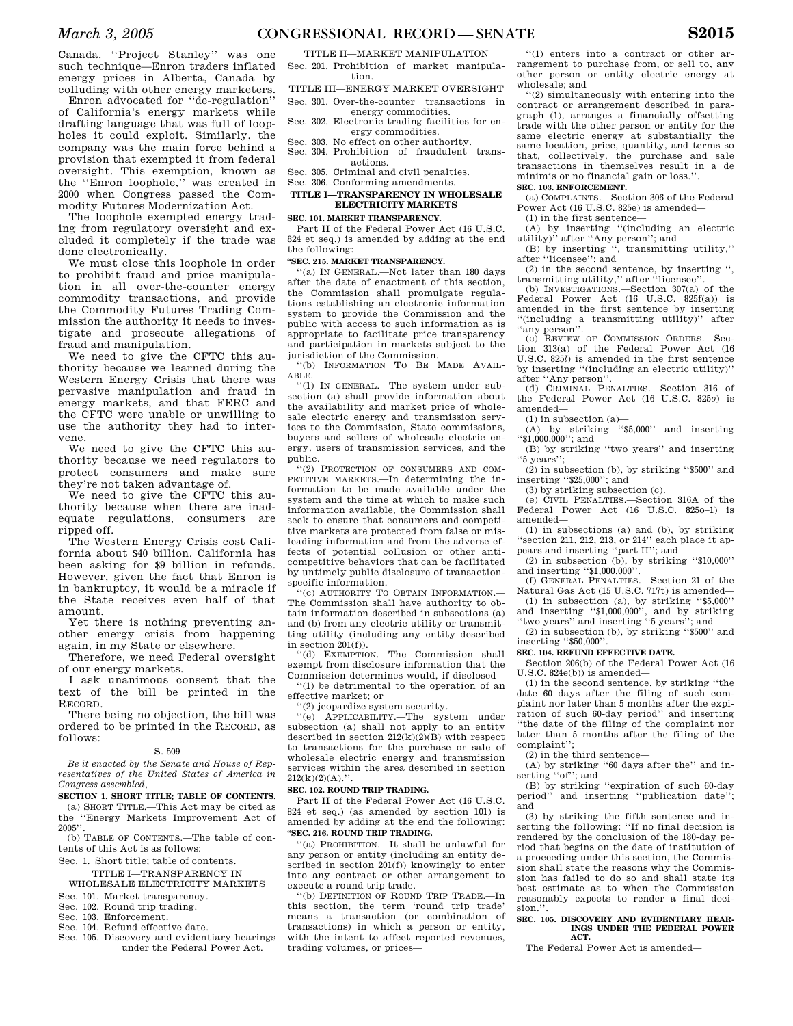Canada. ''Project Stanley'' was one such technique—Enron traders inflated energy prices in Alberta, Canada by colluding with other energy marketers.

Enron advocated for ''de-regulation'' of California's energy markets while drafting language that was full of loopholes it could exploit. Similarly, the company was the main force behind a provision that exempted it from federal oversight. This exemption, known as the ''Enron loophole,'' was created in 2000 when Congress passed the Commodity Futures Modernization Act.

The loophole exempted energy trading from regulatory oversight and excluded it completely if the trade was done electronically.

We must close this loophole in order to prohibit fraud and price manipulation in all over-the-counter energy commodity transactions, and provide the Commodity Futures Trading Commission the authority it needs to investigate and prosecute allegations of fraud and manipulation.

We need to give the CFTC this authority because we learned during the Western Energy Crisis that there was pervasive manipulation and fraud in energy markets, and that FERC and the CFTC were unable or unwilling to use the authority they had to intervene.

We need to give the CFTC this authority because we need regulators to protect consumers and make sure they're not taken advantage of.

We need to give the CFTC this authority because when there are inadequate regulations, consumers are ripped off.

The Western Energy Crisis cost California about \$40 billion. California has been asking for \$9 billion in refunds. However, given the fact that Enron is in bankruptcy, it would be a miracle if the State receives even half of that amount.

Yet there is nothing preventing another energy crisis from happening again, in my State or elsewhere.

Therefore, we need Federal oversight of our energy markets.

I ask unanimous consent that the text of the bill be printed in the RECORD.

There being no objection, the bill was ordered to be printed in the RECORD, as follows:

#### S. 509

*Be it enacted by the Senate and House of Representatives of the United States of America in Congress assembled,*

**SECTION 1. SHORT TITLE; TABLE OF CONTENTS.**  (a) SHORT TITLE.—This Act may be cited as the ''Energy Markets Improvement Act of  $2005$ <sup>\*</sup>

(b) TABLE OF CONTENTS.—The table of contents of this Act is as follows:

Sec. 1. Short title; table of contents.

TITLE I—TRANSPARENCY IN WHOLESALE ELECTRICITY MARKETS

- Sec. 101. Market transparency.
- Sec. 102. Round trip trading.
- Sec. 103. Enforcement.
- Sec. 104. Refund effective date.
- Sec. 105. Discovery and evidentiary hearings under the Federal Power Act.

TITLE II—MARKET MANIPULATION Sec. 201. Prohibition of market manipula-

tion.

TITLE III—ENERGY MARKET OVERSIGHT Sec. 301. Over-the-counter transactions in

- energy commodities.
- Sec. 302. Electronic trading facilities for energy commodities. Sec. 303. No effect on other authority.
- Sec. 304. Prohibition of fraudulent transactions.
- Sec. 305. Criminal and civil penalties.
- Sec. 306. Conforming amendments.

### **TITLE I—TRANSPARENCY IN WHOLESALE ELECTRICITY MARKETS**

#### **SEC. 101. MARKET TRANSPARENCY.**

Part II of the Federal Power Act (16 U.S.C. 824 et seq.) is amended by adding at the end the following:

### **''SEC. 215. MARKET TRANSPARENCY.**

''(a) IN GENERAL.—Not later than 180 days after the date of enactment of this section, the Commission shall promulgate regulations establishing an electronic information system to provide the Commission and the public with access to such information as is appropriate to facilitate price transparency and participation in markets subject to the jurisdiction of the Commission.

''(b) INFORMATION TO BE MADE AVAIL-ABLE.—

''(1) IN GENERAL.—The system under subsection (a) shall provide information about the availability and market price of wholesale electric energy and transmission services to the Commission, State commissions, buyers and sellers of wholesale electric energy, users of transmission services, and the public.

''(2) PROTECTION OF CONSUMERS AND COM-PETITIVE MARKETS.—In determining the information to be made available under the system and the time at which to make such information available, the Commission shall seek to ensure that consumers and competitive markets are protected from false or misleading information and from the adverse effects of potential collusion or other anticompetitive behaviors that can be facilitated by untimely public disclosure of transactionspecific information.

''(c) AUTHORITY TO OBTAIN INFORMATION.— The Commission shall have authority to obtain information described in subsections (a) and (b) from any electric utility or transmitting utility (including any entity described in section 201(f)).

''(d) EXEMPTION.—The Commission shall exempt from disclosure information that the Commission determines would, if disclosed— ''(1) be detrimental to the operation of an effective market; or

''(2) jeopardize system security.

''(e) APPLICABILITY.—The system under subsection (a) shall not apply to an entity described in section  $212(k)(2)(B)$  with respect to transactions for the purchase or sale of wholesale electric energy and transmission services within the area described in section  $212(k)(2)(A)$ ."

### **SEC. 102. ROUND TRIP TRADING.**

Part II of the Federal Power Act (16 U.S.C. 824 et seq.) (as amended by section 101) is amended by adding at the end the following: **''SEC. 216. ROUND TRIP TRADING.** 

''(a) PROHIBITION.—It shall be unlawful for any person or entity (including an entity described in section 201(f)) knowingly to enter into any contract or other arrangement to execute a round trip trade.

''(b) DEFINITION OF ROUND TRIP TRADE.—In this section, the term 'round trip trade' means a transaction (or combination of transactions) in which a person or entity, with the intent to affect reported revenues, trading volumes, or prices—

''(1) enters into a contract or other arrangement to purchase from, or sell to, any other person or entity electric energy at wholesale; and

''(2) simultaneously with entering into the contract or arrangement described in paragraph (1), arranges a financially offsetting trade with the other person or entity for the same electric energy at substantially the same location, price, quantity, and terms so that, collectively, the purchase and sale transactions in themselves result in a de minimis or no financial gain or loss.'

#### **SEC. 103. ENFORCEMENT.**  (a) COMPLAINTS.—Section 306 of the Federal

Power Act (16 U.S.C. 825e) is amended— (1) in the first sentence—

(A) by inserting ''(including an electric

utility)" after "Any person"; and<br>(B) by inserting ", transmittir , transmitting utility."

after ''licensee''; and

(2) in the second sentence, by inserting '', transmitting utility," after "licensee".<br>
(b) INVESTIGATIONS.—Section 307(a) of the

Federal Power Act (16 U.S.C. 825f(a)) is amended in the first sentence by inserting ''(including a transmitting utility)'' after ''any person''.

(c) REVIEW OF COMMISSION ORDERS.—Section 313(a) of the Federal Power Act (16 U.S.C. 825*l*) is amended in the first sentence by inserting ''(including an electric utility)'' after ''Any person''.

(d) CRIMINAL PENALTIES.—Section 316 of the Federal Power Act (16 U.S.C. 825*o*) is amended—

 $(1)$  in subsection  $(a)$ —

 $(A)$  by striking "\$5,000" and inserting  $``\$1,000,000"$ ; and

(B) by striking ''two years'' and inserting ''5 years'';

(2) in subsection (b), by striking ''\$500'' and inserting ''\$25,000''; and

(3) by striking subsection (c).

(e) CIVIL PENALTIES.—Section 316A of the Federal Power Act (16 U.S.C. 825o–1) is amended—

(1) in subsections (a) and (b), by striking ''section 211, 212, 213, or 214'' each place it appears and inserting ''part II''; and

 $(2)$  in subsection  $(b)$ , by striking "\$10,000" and inserting "\$1,000,000".

(f) GENERAL PENALTIES.—Section 21 of the Natural Gas Act (15 U.S.C. 717t) is amended—

(1) in subsection (a), by striking  $``\$5,000"$ and inserting ''\$1,000,000'', and by striking ''two years'' and inserting ''5 years''; and

(2) in subsection (b), by striking ''\$500'' and inserting ''\$50,000''.

### **SEC. 104. REFUND EFFECTIVE DATE.**

Section 206(b) of the Federal Power Act (16 U.S.C. 824e(b)) is amended—

(1) in the second sentence, by striking ''the date 60 days after the filing of such complaint nor later than 5 months after the expiration of such 60-day period'' and inserting ''the date of the filing of the complaint nor later than 5 months after the filing of the complaint"

(2) in the third sentence—

(A) by striking ''60 days after the'' and inserting "of"; and

(B) by striking ''expiration of such 60-day period'' and inserting ''publication date''; and

(3) by striking the fifth sentence and inserting the following: ''If no final decision is rendered by the conclusion of the 180-day period that begins on the date of institution of a proceeding under this section, the Commission shall state the reasons why the Commission has failed to do so and shall state its best estimate as to when the Commission reasonably expects to render a final decision."

#### SEC. 105. DISCOVERY AND EVIDENTIARY HEAR. **INGS UNDER THE FEDERAL POWER ACT.**

The Federal Power Act is amended—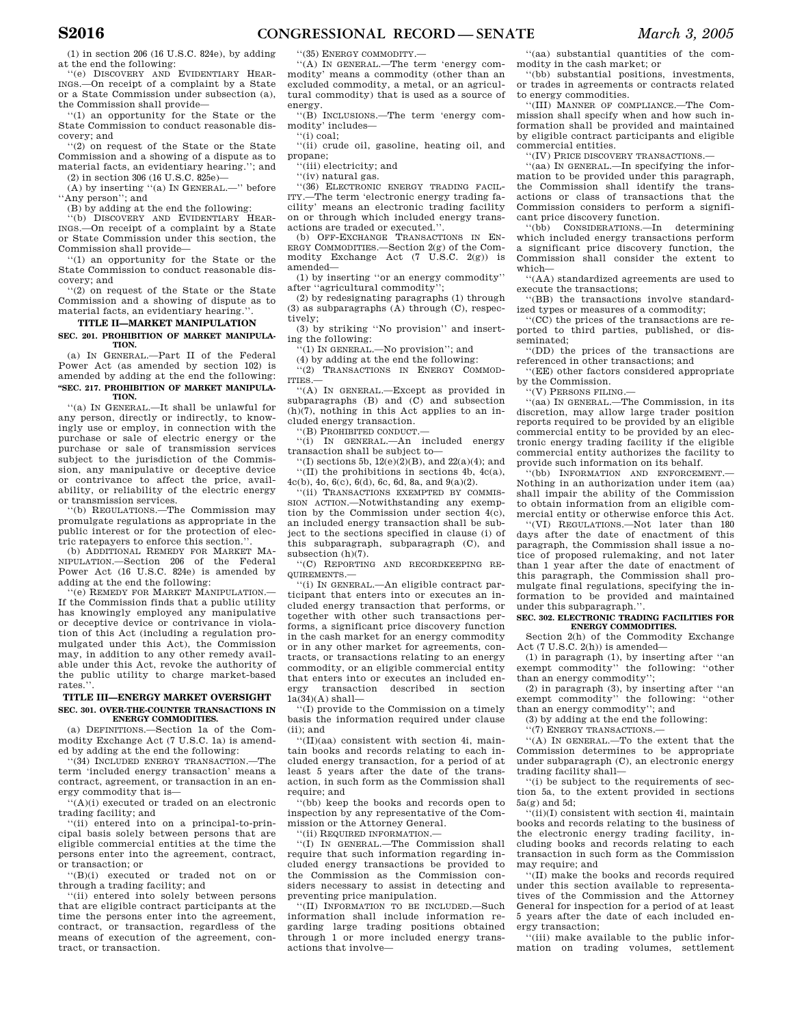(1) in section 206 (16 U.S.C. 824e), by adding at the end the following:

''(e) DISCOVERY AND EVIDENTIARY HEAR-INGS.—On receipt of a complaint by a State or a State Commission under subsection (a), the Commission shall provide—

''(1) an opportunity for the State or the State Commission to conduct reasonable discovery; and

''(2) on request of the State or the State Commission and a showing of a dispute as to material facts, an evidentiary hearing.''; and (2) in section 306 (16 U.S.C. 825e)—

(A) by inserting ''(a) IN GENERAL.—'' before ''Any person''; and

(B) by adding at the end the following:

'(b) DISCOVERY AND EVIDENTIARY HEAR-INGS.—On receipt of a complaint by a State or State Commission under this section, the Commission shall provide—

''(1) an opportunity for the State or the State Commission to conduct reasonable discovery; and

''(2) on request of the State or the State Commission and a showing of dispute as to material facts, an evidentiary hearing.''.

### **TITLE II—MARKET MANIPULATION SEC. 201. PROHIBITION OF MARKET MANIPULA-**

**TION.**  (a) IN GENERAL.—Part II of the Federal Power Act (as amended by section 102) is

amended by adding at the end the following: **''SEC. 217. PROHIBITION OF MARKET MANIPULA-TION.** 

''(a) IN GENERAL.—It shall be unlawful for any person, directly or indirectly, to knowingly use or employ, in connection with the purchase or sale of electric energy or the purchase or sale of transmission services subject to the jurisdiction of the Commission, any manipulative or deceptive device or contrivance to affect the price, availability, or reliability of the electric energy or transmission services.

''(b) REGULATIONS.—The Commission may promulgate regulations as appropriate in the public interest or for the protection of electric ratepayers to enforce this section.''.

(b) ADDITIONAL REMEDY FOR MARKET MA-NIPULATION.—Section 206 of the Federal Power Act (16 U.S.C. 824e) is amended by adding at the end the following:

'(e) REMEDY FOR MARKET MANIPULATION. If the Commission finds that a public utility has knowingly employed any manipulative or deceptive device or contrivance in violation of this Act (including a regulation promulgated under this Act), the Commission may, in addition to any other remedy available under this Act, revoke the authority of the public utility to charge market-based rates.''.

### **TITLE III—ENERGY MARKET OVERSIGHT SEC. 301. OVER-THE-COUNTER TRANSACTIONS IN ENERGY COMMODITIES.**

(a) DEFINITIONS.—Section 1a of the Commodity Exchange Act (7 U.S.C. 1a) is amended by adding at the end the following:

''(34) INCLUDED ENERGY TRANSACTION.—The term 'included energy transaction' means a contract, agreement, or transaction in an energy commodity that is—

 $'(A)(i)$  executed or traded on an electronic trading facility; and

''(ii) entered into on a principal-to-principal basis solely between persons that are eligible commercial entities at the time the persons enter into the agreement, contract, or transaction; or

''(B)(i) executed or traded not on or through a trading facility; and

''(ii) entered into solely between persons that are eligible contract participants at the time the persons enter into the agreement, contract, or transaction, regardless of the means of execution of the agreement, contract, or transaction.

''(35) ENERGY COMMODITY.—

''(A) IN GENERAL.—The term 'energy commodity' means a commodity (other than an excluded commodity, a metal, or an agricultural commodity) that is used as a source of energy.

''(B) INCLUSIONS.—The term 'energy commodity' includes—

''(i) coal;

''(ii) crude oil, gasoline, heating oil, and propane;

''(iii) electricity; and

''(iv) natural gas.

''(36) ELECTRONIC ENERGY TRADING FACIL-ITY.—The term 'electronic energy trading facility' means an electronic trading facility on or through which included energy transactions are traded or executed.''. (b) OFF-EXCHANGE TRANSACTIONS IN EN-

ERGY COMMODITIES.—Section 2(g) of the Commodity Exchange Act (7 U.S.C. 2(g)) is amended—

(1) by inserting ''or an energy commodity'' after ''agricultural commodity'';

(2) by redesignating paragraphs (1) through (3) as subparagraphs (A) through (C), respectively;

(3) by striking ''No provision'' and inserting the following:

 $(1)$  In GENERAL.—No provision''; and

(4) by adding at the end the following: ''(2) TRANSACTIONS IN ENERGY COMMOD-

ITIES.—

''(A) IN GENERAL.—Except as provided in subparagraphs (B) and (C) and subsection  $(h)(7)$ , nothing in this Act applies to an included energy transaction.

''(B) PROHIBITED CONDUCT.—

''(i) IN GENERAL.—An included energy transaction shall be subject to—

''(I) sections 5b, 12(e)(2)(B), and 22(a)(4); and ''(II) the prohibitions in sections 4b, 4c(a), 4c(b), 4o, 6(c), 6(d), 6c, 6d, 8a, and 9(a)(2).

''(ii) TRANSACTIONS EXEMPTED BY COMMIS-SION ACTION.—Notwithstanding any exemption by the Commission under section 4(c), an included energy transaction shall be subject to the sections specified in clause (i) of this subparagraph, subparagraph (C), and subsection (h)(7).

''(C) REPORTING AND RECORDKEEPING RE-QUIREMENTS.—

''(i) IN GENERAL.—An eligible contract participant that enters into or executes an included energy transaction that performs, or together with other such transactions performs, a significant price discovery function in the cash market for an energy commodity or in any other market for agreements, contracts, or transactions relating to an energy commodity, or an eligible commercial entity that enters into or executes an included energy transaction described in section  $1a(34)(A)$  shall—

''(I) provide to the Commission on a timely basis the information required under clause (ii); and

''(II)(aa) consistent with section 4i, maintain books and records relating to each included energy transaction, for a period of at least 5 years after the date of the transaction, in such form as the Commission shall require; and

''(bb) keep the books and records open to inspection by any representative of the Commission or the Attorney General.

''(ii) REQUIRED INFORMATION.—

''(I) IN GENERAL.—The Commission shall require that such information regarding included energy transactions be provided to the Commission as the Commission considers necessary to assist in detecting and preventing price manipulation.

''(II) INFORMATION TO BE INCLUDED.—Such information shall include information regarding large trading positions obtained through 1 or more included energy transactions that involve—

''(aa) substantial quantities of the commodity in the cash market; or

''(bb) substantial positions, investments, or trades in agreements or contracts related to energy commodities.

''(III) MANNER OF COMPLIANCE.—The Commission shall specify when and how such information shall be provided and maintained by eligible contract participants and eligible commercial entities.

''(IV) PRICE DISCOVERY TRANSACTIONS.—

''(aa) IN GENERAL.—In specifying the information to be provided under this paragraph, the Commission shall identify the transactions or class of transactions that the Commission considers to perform a significant price discovery function.

''(bb) CONSIDERATIONS.—In determining which included energy transactions perform a significant price discovery function, the Commission shall consider the extent to which—

''(AA) standardized agreements are used to execute the transactions;

''(BB) the transactions involve standardized types or measures of a commodity;

''(CC) the prices of the transactions are reported to third parties, published, or disseminated;

''(DD) the prices of the transactions are referenced in other transactions; and

''(EE) other factors considered appropriate by the Commission.

''(V) PERSONS FILING.—

''(aa) IN GENERAL.—The Commission, in its discretion, may allow large trader position reports required to be provided by an eligible commercial entity to be provided by an electronic energy trading facility if the eligible commercial entity authorizes the facility to provide such information on its behalf.

''(bb) INFORMATION AND ENFORCEMENT.— Nothing in an authorization under item (aa) shall impair the ability of the Commission to obtain information from an eligible commercial entity or otherwise enforce this Act.

''(VI) REGULATIONS.—Not later than 180 days after the date of enactment of this paragraph, the Commission shall issue a notice of proposed rulemaking, and not later than 1 year after the date of enactment of this paragraph, the Commission shall promulgate final regulations, specifying the information to be provided and maintained under this subparagraph.''.

#### **SEC. 302. ELECTRONIC TRADING FACILITIES FOR ENERGY COMMODITIES.**

Section 2(h) of the Commodity Exchange Act  $(7 \text{ U.S.C. } 2(h))$  is amended—

(1) in paragraph (1), by inserting after ''an exempt commodity'' the following: ''other than an energy commodity'';

(2) in paragraph (3), by inserting after ''an exempt commodity'' the following: ''other than an energy commodity''; and

(3) by adding at the end the following:

''(7) ENERGY TRANSACTIONS.—

''(A) IN GENERAL.—To the extent that the Commission determines to be appropriate under subparagraph (C), an electronic energy trading facility shall—

''(i) be subject to the requirements of section 5a, to the extent provided in sections 5a(g) and 5d;

 $\lq\lq$  (ii)(I) consistent with section 4i, maintain books and records relating to the business of the electronic energy trading facility, including books and records relating to each transaction in such form as the Commission may require; and

''(II) make the books and records required under this section available to representatives of the Commission and the Attorney General for inspection for a period of at least 5 years after the date of each included energy transaction;

''(iii) make available to the public information on trading volumes, settlement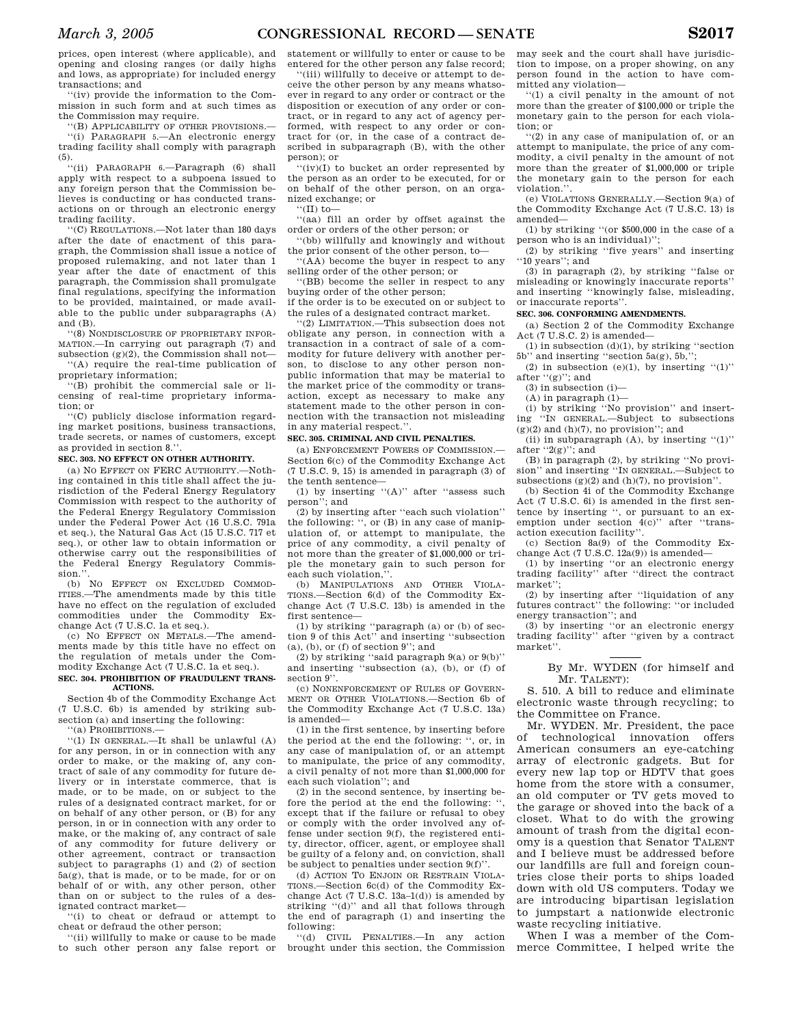prices, open interest (where applicable), and opening and closing ranges (or daily highs and lows, as appropriate) for included energy transactions; and

''(iv) provide the information to the Commission in such form and at such times as the Commission may require.

''(B) APPLICABILITY OF OTHER PROVISIONS.— ''(i) PARAGRAPH 5.—An electronic energy trading facility shall comply with paragraph (5).

''(ii) PARAGRAPH 6.—Paragraph (6) shall apply with respect to a subpoena issued to any foreign person that the Commission believes is conducting or has conducted transactions on or through an electronic energy trading facility.

''(C) REGULATIONS.—Not later than 180 days after the date of enactment of this paragraph, the Commission shall issue a notice of proposed rulemaking, and not later than 1 year after the date of enactment of this paragraph, the Commission shall promulgate final regulations, specifying the information to be provided, maintained, or made available to the public under subparagraphs (A) and (B).

''(8) NONDISCLOSURE OF PROPRIETARY INFOR-MATION.—In carrying out paragraph (7) and subsection  $(g)(2)$ , the Commission shall not—

''(A) require the real-time publication of proprietary information;

''(B) prohibit the commercial sale or licensing of real-time proprietary information; or

''(C) publicly disclose information regarding market positions, business transactions, trade secrets, or names of customers, except as provided in section 8.''.

### **SEC. 303. NO EFFECT ON OTHER AUTHORITY.**

 $(a)$  No EFFECT ON FERC AUTHORITY  $-$ Nothing contained in this title shall affect the jurisdiction of the Federal Energy Regulatory Commission with respect to the authority of the Federal Energy Regulatory Commission under the Federal Power Act (16 U.S.C. 791a et seq.), the Natural Gas Act (15 U.S.C. 717 et seq.), or other law to obtain information or otherwise carry out the responsibilities of the Federal Energy Regulatory Commission."

(b) NO EFFECT ON EXCLUDED COMMOD-ITIES.—The amendments made by this title have no effect on the regulation of excluded commodities under the Commodity Exchange Act (7 U.S.C. 1a et seq.).

(c) NO EFFECT ON METALS.—The amendments made by this title have no effect on the regulation of metals under the Commodity Exchange Act (7 U.S.C. 1a et seq.).

### **SEC. 304. PROHIBITION OF FRAUDULENT TRANS-ACTIONS.**

Section 4b of the Commodity Exchange Act (7 U.S.C. 6b) is amended by striking subsection (a) and inserting the following:

''(a) PROHIBITIONS.—

''(1) IN GENERAL.—It shall be unlawful (A) for any person, in or in connection with any order to make, or the making of, any contract of sale of any commodity for future delivery or in interstate commerce, that is made, or to be made, on or subject to the rules of a designated contract market, for or on behalf of any other person, or (B) for any person, in or in connection with any order to make, or the making of, any contract of sale of any commodity for future delivery or other agreement, contract or transaction subject to paragraphs (1) and (2) of section 5a(g), that is made, or to be made, for or on behalf of or with, any other person, other than on or subject to the rules of a designated contract market—

''(i) to cheat or defraud or attempt to cheat or defraud the other person;

''(ii) willfully to make or cause to be made to such other person any false report or statement or willfully to enter or cause to be entered for the other person any false record;

''(iii) willfully to deceive or attempt to deceive the other person by any means whatsoever in regard to any order or contract or the disposition or execution of any order or contract, or in regard to any act of agency performed, with respect to any order or contract for (or, in the case of a contract described in subparagraph (B), with the other person); or

''(iv)(I) to bucket an order represented by the person as an order to be executed, for or on behalf of the other person, on an organized exchange; or

''(II) to—

''(aa) fill an order by offset against the order or orders of the other person; or

''(bb) willfully and knowingly and without the prior consent of the other person, to—

''(AA) become the buyer in respect to any selling order of the other person; or

''(BB) become the seller in respect to any buying order of the other person;

if the order is to be executed on or subject to the rules of a designated contract market.

''(2) LIMITATION.—This subsection does not obligate any person, in connection with a transaction in a contract of sale of a commodity for future delivery with another person, to disclose to any other person nonpublic information that may be material to the market price of the commodity or transaction, except as necessary to make any statement made to the other person in connection with the transaction not misleading in any material respect.''.

### **SEC. 305. CRIMINAL AND CIVIL PENALTIES.**

(a) ENFORCEMENT POWERS OF COMMISSION.— Section 6(c) of the Commodity Exchange Act (7 U.S.C. 9, 15) is amended in paragraph (3) of the tenth sentence—

(1) by inserting ''(A)'' after ''assess such person''; and

(2) by inserting after ''each such violation'' the following: '', or (B) in any case of manipulation of, or attempt to manipulate, the price of any commodity, a civil penalty of not more than the greater of \$1,000,000 or triple the monetary gain to such person for each such violation,

(b) MANIPULATIONS AND OTHER VIOLA-TIONS.—Section 6(d) of the Commodity Exchange Act (7 U.S.C. 13b) is amended in the first sentence—

(1) by striking ''paragraph (a) or (b) of section 9 of this Act'' and inserting ''subsection  $(a)$ ,  $(b)$ ,  $or$   $(f)$  of section  $9$ "; and

 $(2)$  by striking "said paragraph  $9(a)$  or  $9(b)$ " and inserting ''subsection (a), (b), or (f) of section 9".

(c) NONENFORCEMENT OF RULES OF GOVERN-MENT OR OTHER VIOLATIONS.—Section 6b of the Commodity Exchange Act (7 U.S.C. 13a) is amended—

(1) in the first sentence, by inserting before the period at the end the following: '', or, in any case of manipulation of, or an attempt to manipulate, the price of any commodity, a civil penalty of not more than \$1,000,000 for each such violation''; and

(2) in the second sentence, by inserting before the period at the end the following: '', except that if the failure or refusal to obey or comply with the order involved any offense under section 9(f), the registered entity, director, officer, agent, or employee shall be guilty of a felony and, on conviction, shall be subject to penalties under section 9(f)''.

(d) ACTION TO ENJOIN OR RESTRAIN VIOLA-TIONS.—Section 6c(d) of the Commodity Exchange Act (7 U.S.C.  $13a-1(d)$ ) is amended by striking "(d)" and all that follows through the end of paragraph (1) and inserting the following:

''(d) CIVIL PENALTIES.—In any action brought under this section, the Commission may seek and the court shall have jurisdiction to impose, on a proper showing, on any person found in the action to have committed any violation—

''(1) a civil penalty in the amount of not more than the greater of \$100,000 or triple the monetary gain to the person for each violation; or

''(2) in any case of manipulation of, or an attempt to manipulate, the price of any commodity, a civil penalty in the amount of not more than the greater of \$1,000,000 or triple the monetary gain to the person for each violation.''.

(e) VIOLATIONS GENERALLY.—Section 9(a) of the Commodity Exchange Act (7 U.S.C. 13) is amended—

(1) by striking ''(or \$500,000 in the case of a person who is an individual)''

(2) by striking ''five years'' and inserting ''10 years''; and

(3) in paragraph (2), by striking ''false or misleading or knowingly inaccurate reports'' and inserting ''knowingly false, misleading, or inaccurate reports''.

### **SEC. 306. CONFORMING AMENDMENTS.**

(a) Section 2 of the Commodity Exchange Act (7 U.S.C. 2) is amended—

(1) in subsection (d)(1), by striking "section<br>  $5h$ " and inserting "section  $5a(e)$ ,  $5h$ "  $'$  and inserting "section  $5a(g)$ ,  $5b$ ."

(2) in subsection (e)(1), by inserting  $(1)$ . after "(g)"; and

(3) in subsection (i)—

 $(A)$  in paragraph  $(1)$ —

(i) by striking "No provision" and insert-<br>ing "IN GENERAL.—Subject to subsections ing ''IN GENERAL.—Subject to subsections (g)(2) and (h)(7), no provision''; and

(ii) in subparagraph  $(A)$ , by inserting " $(1)$ " after  $"2(g)"$ ; and

(B) in paragraph (2), by striking ''No provision'' and inserting ''IN GENERAL.—Subject to subsections  $(g)(2)$  and  $(h)(7)$ , no provision''.

(b) Section 4i of the Commodity Exchange Act (7 U.S.C. 6i) is amended in the first sentence by inserting '', or pursuant to an exemption under section 4(c)'' after ''transaction execution facility''.

(c) Section 8a(9) of the Commodity Exchange Act (7 U.S.C. 12a(9)) is amended—

(1) by inserting ''or an electronic energy trading facility'' after ''direct the contract market'';

(2) by inserting after ''liquidation of any futures contract'' the following: ''or included energy transaction''; and

(3) by inserting ''or an electronic energy trading facility'' after ''given by a contract market''.

> By Mr. WYDEN (for himself and Mr. TALENT):

S. 510. A bill to reduce and eliminate electronic waste through recycling; to the Committee on France.

Mr. WYDEN. Mr. President, the pace of technological innovation offers American consumers an eye-catching array of electronic gadgets. But for every new lap top or HDTV that goes home from the store with a consumer, an old computer or TV gets moved to the garage or shoved into the back of a closet. What to do with the growing amount of trash from the digital economy is a question that Senator TALENT and I believe must be addressed before our landfills are full and foreign countries close their ports to ships loaded down with old US computers. Today we are introducing bipartisan legislation to jumpstart a nationwide electronic waste recycling initiative.

When I was a member of the Commerce Committee, I helped write the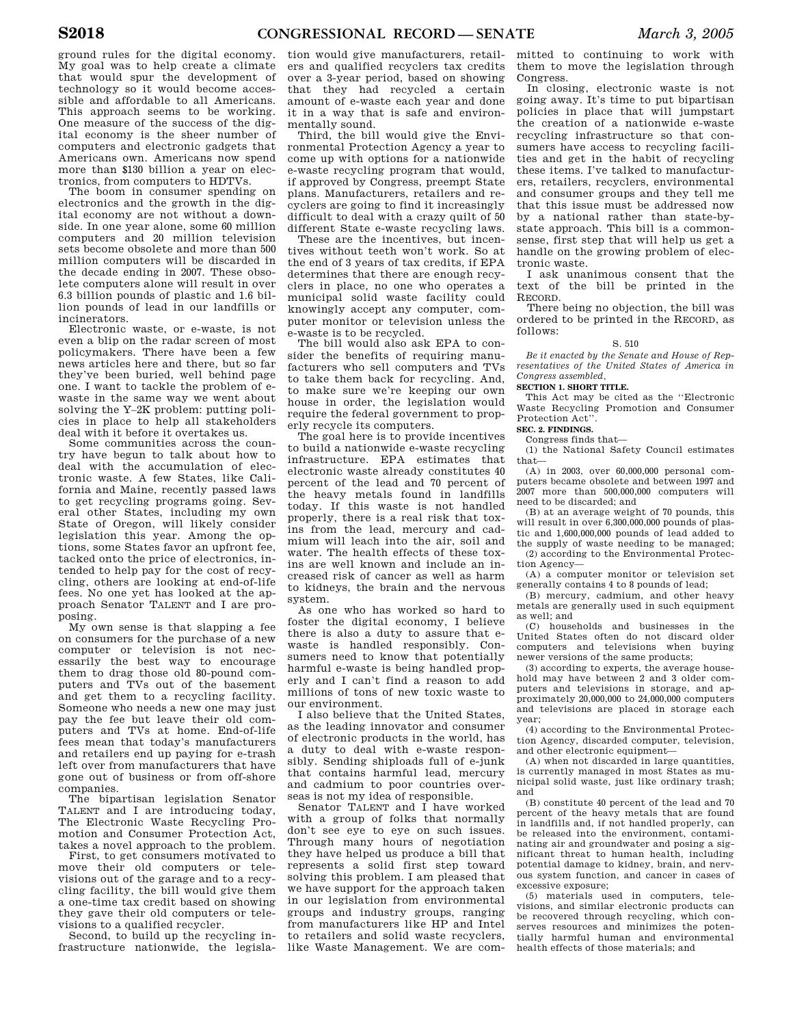ground rules for the digital economy. My goal was to help create a climate that would spur the development of technology so it would become accessible and affordable to all Americans. This approach seems to be working. One measure of the success of the digital economy is the sheer number of computers and electronic gadgets that Americans own. Americans now spend more than \$130 billion a year on electronics, from computers to HDTVs.

The boom in consumer spending on electronics and the growth in the digital economy are not without a downside. In one year alone, some 60 million computers and 20 million television sets become obsolete and more than 500 million computers will be discarded in the decade ending in 2007. These obsolete computers alone will result in over 6.3 billion pounds of plastic and 1.6 billion pounds of lead in our landfills or incinerators.

Electronic waste, or e-waste, is not even a blip on the radar screen of most policymakers. There have been a few news articles here and there, but so far they've been buried, well behind page one. I want to tackle the problem of ewaste in the same way we went about solving the Y–2K problem: putting policies in place to help all stakeholders deal with it before it overtakes us.

Some communities across the country have begun to talk about how to deal with the accumulation of electronic waste. A few States, like California and Maine, recently passed laws to get recycling programs going. Several other States, including my own State of Oregon, will likely consider legislation this year. Among the options, some States favor an upfront fee, tacked onto the price of electronics, intended to help pay for the cost of recycling, others are looking at end-of-life fees. No one yet has looked at the approach Senator TALENT and I are proposing.

My own sense is that slapping a fee on consumers for the purchase of a new computer or television is not necessarily the best way to encourage them to drag those old 80-pound computers and TVs out of the basement and get them to a recycling facility. Someone who needs a new one may just pay the fee but leave their old computers and TVs at home. End-of-life fees mean that today's manufacturers and retailers end up paying for e-trash left over from manufacturers that have gone out of business or from off-shore companies.

The bipartisan legislation Senator TALENT and I are introducing today, The Electronic Waste Recycling Promotion and Consumer Protection Act, takes a novel approach to the problem.

First, to get consumers motivated to move their old computers or televisions out of the garage and to a recycling facility, the bill would give them a one-time tax credit based on showing they gave their old computers or televisions to a qualified recycler.

Second, to build up the recycling infrastructure nationwide, the legisla-

tion would give manufacturers, retailers and qualified recyclers tax credits over a 3-year period, based on showing that they had recycled a certain amount of e-waste each year and done it in a way that is safe and environmentally sound.

Third, the bill would give the Environmental Protection Agency a year to come up with options for a nationwide e-waste recycling program that would, if approved by Congress, preempt State plans. Manufacturers, retailers and recyclers are going to find it increasingly difficult to deal with a crazy quilt of 50 different State e-waste recycling laws.

These are the incentives, but incentives without teeth won't work. So at the end of 3 years of tax credits, if EPA determines that there are enough recyclers in place, no one who operates a municipal solid waste facility could knowingly accept any computer, computer monitor or television unless the e-waste is to be recycled.

The bill would also ask EPA to consider the benefits of requiring manufacturers who sell computers and TVs to take them back for recycling. And, to make sure we're keeping our own house in order, the legislation would require the federal government to properly recycle its computers.

The goal here is to provide incentives to build a nationwide e-waste recycling infrastructure. EPA estimates that electronic waste already constitutes 40 percent of the lead and 70 percent of the heavy metals found in landfills today. If this waste is not handled properly, there is a real risk that toxins from the lead, mercury and cadmium will leach into the air, soil and water. The health effects of these toxins are well known and include an increased risk of cancer as well as harm to kidneys, the brain and the nervous system.

As one who has worked so hard to foster the digital economy, I believe there is also a duty to assure that ewaste is handled responsibly. Consumers need to know that potentially harmful e-waste is being handled properly and I can't find a reason to add millions of tons of new toxic waste to our environment.

I also believe that the United States, as the leading innovator and consumer of electronic products in the world, has a duty to deal with e-waste responsibly. Sending shiploads full of e-junk that contains harmful lead, mercury and cadmium to poor countries overseas is not my idea of responsible.

Senator TALENT and I have worked with a group of folks that normally don't see eye to eye on such issues. Through many hours of negotiation they have helped us produce a bill that represents a solid first step toward solving this problem. I am pleased that we have support for the approach taken in our legislation from environmental groups and industry groups, ranging from manufacturers like HP and Intel to retailers and solid waste recyclers, like Waste Management. We are com-

mitted to continuing to work with them to move the legislation through Congress.

In closing, electronic waste is not going away. It's time to put bipartisan policies in place that will jumpstart the creation of a nationwide e-waste recycling infrastructure so that consumers have access to recycling facilities and get in the habit of recycling these items. I've talked to manufacturers, retailers, recyclers, environmental and consumer groups and they tell me that this issue must be addressed now by a national rather than state-bystate approach. This bill is a commonsense, first step that will help us get a handle on the growing problem of electronic waste.

I ask unanimous consent that the text of the bill be printed in the RECORD.

There being no objection, the bill was ordered to be printed in the RECORD, as follows:

#### S. 510

*Be it enacted by the Senate and House of Representatives of the United States of America in Congress assembled,*

### **SECTION 1. SHORT TITLE.**

This Act may be cited as the ''Electronic Waste Recycling Promotion and Consumer Protection Act''.

### **SEC. 2. FINDINGS.**

Congress finds that—

(1) the National Safety Council estimates that—

(A) in 2003, over 60,000,000 personal computers became obsolete and between 1997 and 2007 more than 500,000,000 computers will need to be discarded; and

(B) at an average weight of 70 pounds, this will result in over 6,300,000,000 pounds of plastic and 1,600,000,000 pounds of lead added to the supply of waste needing to be managed; (2) according to the Environmental Protection Agency—

(A) a computer monitor or television set generally contains 4 to 8 pounds of lead;

(B) mercury, cadmium, and other heavy metals are generally used in such equipment as well; and

(C) households and businesses in the United States often do not discard older computers and televisions when buying newer versions of the same products;

(3) according to experts, the average household may have between 2 and 3 older computers and televisions in storage, and approximately 20,000,000 to 24,000,000 computers and televisions are placed in storage each year;

(4) according to the Environmental Protection Agency, discarded computer, television, and other electronic equipment—

(A) when not discarded in large quantities, is currently managed in most States as municipal solid waste, just like ordinary trash; and

(B) constitute 40 percent of the lead and 70 percent of the heavy metals that are found in landfills and, if not handled properly, can be released into the environment, contaminating air and groundwater and posing a significant threat to human health, including potential damage to kidney, brain, and nervous system function, and cancer in cases of excessive exposure;

(5) materials used in computers, televisions, and similar electronic products can be recovered through recycling, which conserves resources and minimizes the potentially harmful human and environmental health effects of those materials; and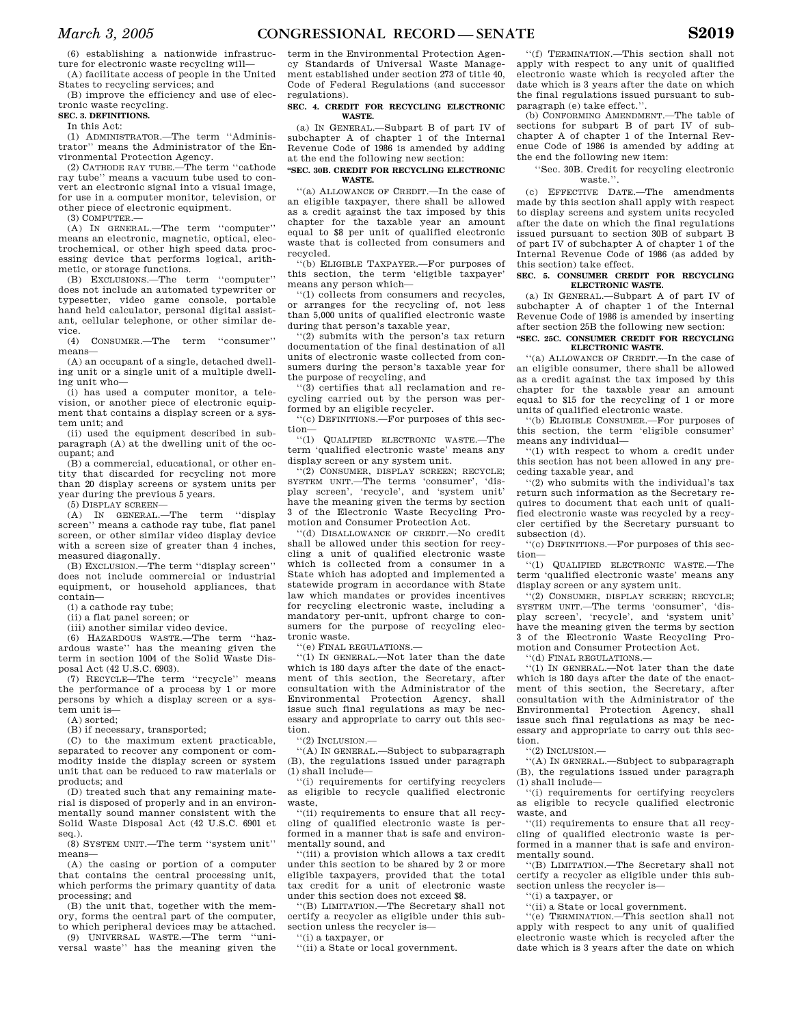(6) establishing a nationwide infrastructure for electronic waste recycling will— (A) facilitate access of people in the United

States to recycling services; and (B) improve the efficiency and use of elec-

tronic waste recycling.

### **SEC. 3. DEFINITIONS.**

In this Act:

(1) ADMINISTRATOR.—The term ''Administrator'' means the Administrator of the Environmental Protection Agency.

(2) CATHODE RAY TUBE.—The term ''cathode ray tube'' means a vacuum tube used to convert an electronic signal into a visual image, for use in a computer monitor, television, or other piece of electronic equipment.

(3) COMPUTER.—

(A) IN GENERAL.—The term ''computer'' means an electronic, magnetic, optical, electrochemical, or other high speed data processing device that performs logical, arithmetic, or storage functions.

(B) EXCLUSIONS.—The term ''computer'' does not include an automated typewriter or typesetter, video game console, portable hand held calculator, personal digital assistant, cellular telephone, or other similar de-

vice.<br> $(4)$ (4) CONSUMER.—The term ''consumer'' means—

(A) an occupant of a single, detached dwelling unit or a single unit of a multiple dwelling unit who—

(i) has used a computer monitor, a television, or another piece of electronic equipment that contains a display screen or a system unit; and

(ii) used the equipment described in subparagraph (A) at the dwelling unit of the occupant; and

(B) a commercial, educational, or other entity that discarded for recycling not more than 20 display screens or system units per year during the previous 5 years.

(5) DISPLAY SCREEN—

(A) IN GENERAL.—The term ''display screen'' means a cathode ray tube, flat panel screen, or other similar video display device with a screen size of greater than 4 inches, measured diagonally.

(B) EXCLUSION.—The term ''display screen'' does not include commercial or industrial equipment, or household appliances, that contain—

(i) a cathode ray tube;

(ii) a flat panel screen; or

(iii) another similar video device.

(6) HAZARDOUS WASTE.—The term ''hazardous waste'' has the meaning given the term in section 1004 of the Solid Waste Disposal Act (42 U.S.C. 6903).

(7) RECYCLE—The term ''recycle'' means the performance of a process by 1 or more persons by which a display screen or a system unit is—

(A) sorted;

(B) if necessary, transported;

(C) to the maximum extent practicable, separated to recover any component or commodity inside the display screen or system unit that can be reduced to raw materials or products; and

(D) treated such that any remaining material is disposed of properly and in an environmentally sound manner consistent with the Solid Waste Disposal Act (42 U.S.C. 6901 et seq.).

(8) SYSTEM UNIT.—The term ''system unit'' means—

(A) the casing or portion of a computer that contains the central processing unit, which performs the primary quantity of data processing; and

(B) the unit that, together with the memory, forms the central part of the computer, to which peripheral devices may be attached.

(9) UNIVERSAL WASTE.—The term ''universal waste'' has the meaning given the

term in the Environmental Protection Agency Standards of Universal Waste Management established under section 273 of title 40, Code of Federal Regulations (and successor regulations).

#### **SEC. 4. CREDIT FOR RECYCLING ELECTRONIC WASTE.**

(a) IN GENERAL.—Subpart B of part IV of subchapter A of chapter 1 of the Internal Revenue Code of 1986 is amended by adding at the end the following new section:

#### **''SEC. 30B. CREDIT FOR RECYCLING ELECTRONIC WASTE.**

''(a) ALLOWANCE OF CREDIT.—In the case of an eligible taxpayer, there shall be allowed as a credit against the tax imposed by this chapter for the taxable year an amount equal to \$8 per unit of qualified electronic waste that is collected from consumers and recycled.

''(b) ELIGIBLE TAXPAYER.—For purposes of this section, the term 'eligible taxpayer' means any person which—

''(1) collects from consumers and recycles, or arranges for the recycling of, not less than 5,000 units of qualified electronic waste during that person's taxable year,

''(2) submits with the person's tax return documentation of the final destination of all units of electronic waste collected from consumers during the person's taxable year for the purpose of recycling, and

''(3) certifies that all reclamation and recycling carried out by the person was performed by an eligible recycler.

''(c) DEFINITIONS.—For purposes of this section—

''(1) QUALIFIED ELECTRONIC WASTE.—The term 'qualified electronic waste' means any display screen or any system unit.

''(2) CONSUMER, DISPLAY SCREEN; RECYCLE; SYSTEM UNIT.—The terms 'consumer', 'display screen', 'recycle', and 'system unit' have the meaning given the terms by section 3 of the Electronic Waste Recycling Promotion and Consumer Protection Act.

''(d) DISALLOWANCE OF CREDIT.—No credit shall be allowed under this section for recycling a unit of qualified electronic waste which is collected from a consumer in a State which has adopted and implemented a statewide program in accordance with State law which mandates or provides incentives for recycling electronic waste, including a mandatory per-unit, upfront charge to consumers for the purpose of recycling electronic waste.

''(e) FINAL REGULATIONS.—

''(1) IN GENERAL.—Not later than the date which is 180 days after the date of the enactment of this section, the Secretary, after consultation with the Administrator of the Environmental Protection Agency, shall issue such final regulations as may be necessary and appropriate to carry out this section.

 $\cdot$ (2) INCLUSION  $-$ 

''(A) IN GENERAL.—Subject to subparagraph (B), the regulations issued under paragraph (1) shall include—

''(i) requirements for certifying recyclers as eligible to recycle qualified electronic waste,

''(ii) requirements to ensure that all recycling of qualified electronic waste is performed in a manner that is safe and environmentally sound, and

''(iii) a provision which allows a tax credit under this section to be shared by 2 or more eligible taxpayers, provided that the total tax credit for a unit of electronic waste under this section does not exceed \$8.

''(B) LIMITATION.—The Secretary shall not certify a recycler as eligible under this subsection unless the recycler is—

''(i) a taxpayer, or

''(ii) a State or local government.

''(f) TERMINATION.—This section shall not apply with respect to any unit of qualified electronic waste which is recycled after the date which is 3 years after the date on which the final regulations issued pursuant to subparagraph (e) take effect.''.

(b) CONFORMING AMENDMENT.—The table of sections for subpart B of part IV of subchapter A of chapter 1 of the Internal Revenue Code of 1986 is amended by adding at the end the following new item:

''Sec. 30B. Credit for recycling electronic waste."

(c) EFFECTIVE DATE.—The amendments made by this section shall apply with respect to display screens and system units recycled after the date on which the final regulations issued pursuant to section 30B of subpart B of part IV of subchapter A of chapter 1 of the Internal Revenue Code of 1986 (as added by this section) take effect.

#### **SEC. 5. CONSUMER CREDIT FOR RECYCLING ELECTRONIC WASTE.**

(a) IN GENERAL.—Subpart A of part IV of subchapter A of chapter 1 of the Internal Revenue Code of 1986 is amended by inserting after section 25B the following new section:

#### **''SEC. 25C. CONSUMER CREDIT FOR RECYCLING ELECTRONIC WASTE.**

''(a) ALLOWANCE OF CREDIT.—In the case of an eligible consumer, there shall be allowed as a credit against the tax imposed by this chapter for the taxable year an amount equal to \$15 for the recycling of 1 or more units of qualified electronic waste.

''(b) ELIGIBLE CONSUMER.—For purposes of this section, the term 'eligible consumer' means any individual—

''(1) with respect to whom a credit under this section has not been allowed in any preceding taxable year, and

''(2) who submits with the individual's tax return such information as the Secretary requires to document that each unit of qualified electronic waste was recycled by a recycler certified by the Secretary pursuant to subsection (d).

''(c) DEFINITIONS.—For purposes of this section—

''(1) QUALIFIED ELECTRONIC WASTE.—The term 'qualified electronic waste' means any display screen or any system unit.

''(2) CONSUMER, DISPLAY SCREEN; RECYCLE; SYSTEM UNIT.—The terms 'consumer', 'display screen', 'recycle', and 'system unit' have the meaning given the terms by section 3 of the Electronic Waste Recycling Promotion and Consumer Protection Act.

''(d) FINAL REGULATIONS.—

''(1) IN GENERAL.—Not later than the date which is 180 days after the date of the enactment of this section, the Secretary, after consultation with the Administrator of the Environmental Protection Agency, shall issue such final regulations as may be necessary and appropriate to carry out this section.

 $''(2)$  INCLUSION  $-$ 

''(A) IN GENERAL.—Subject to subparagraph (B), the regulations issued under paragraph (1) shall include—

''(i) requirements for certifying recyclers as eligible to recycle qualified electronic waste, and

''(ii) requirements to ensure that all recycling of qualified electronic waste is performed in a manner that is safe and environmentally sound.

''(B) LIMITATION.—The Secretary shall not certify a recycler as eligible under this subsection unless the recycler is—

''(i) a taxpayer, or

''(ii) a State or local government.

''(e) TERMINATION.—This section shall not apply with respect to any unit of qualified electronic waste which is recycled after the date which is 3 years after the date on which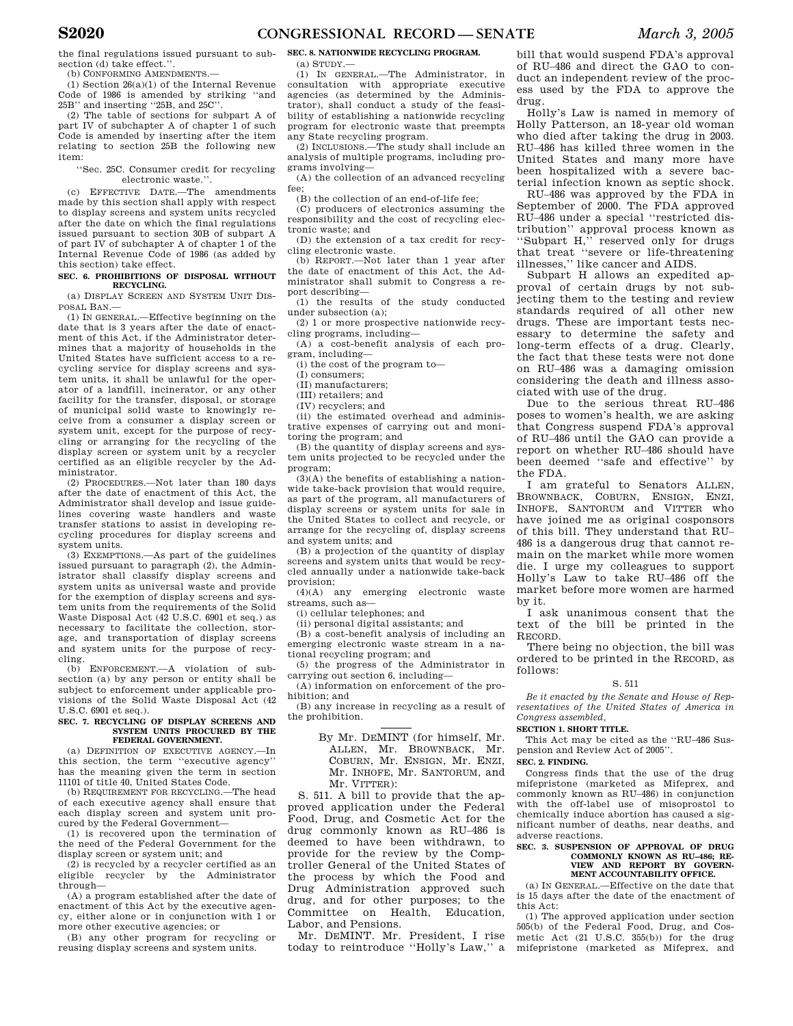the final regulations issued pursuant to subsection (d) take effect."

(b) CONFORMING AMENDMENTS.—

(1) Section 26(a)(1) of the Internal Revenue Code of 1986 is amended by striking ''and 25B'' and inserting ''25B, and 25C''.

(2) The table of sections for subpart A of part IV of subchapter A of chapter 1 of such Code is amended by inserting after the item relating to section 25B the following new item:

''Sec. 25C. Consumer credit for recycling electronic waste.''.

(c) EFFECTIVE DATE.—The amendments made by this section shall apply with respect to display screens and system units recycled after the date on which the final regulations issued pursuant to section 30B of subpart A of part IV of subchapter A of chapter 1 of the Internal Revenue Code of 1986 (as added by this section) take effect.

#### **SEC. 6. PROHIBITIONS OF DISPOSAL WITHOUT RECYCLING.**

(a) DISPLAY SCREEN AND SYSTEM UNIT DIS-POSAL BAN.—

(1) IN GENERAL.—Effective beginning on the date that is 3 years after the date of enactment of this Act, if the Administrator determines that a majority of households in the United States have sufficient access to a recycling service for display screens and system units, it shall be unlawful for the operator of a landfill, incinerator, or any other facility for the transfer, disposal, or storage of municipal solid waste to knowingly receive from a consumer a display screen or system unit, except for the purpose of recycling or arranging for the recycling of the display screen or system unit by a recycler certified as an eligible recycler by the Administrator.

(2) PROCEDURES.—Not later than 180 days after the date of enactment of this Act, the Administrator shall develop and issue guidelines covering waste handlers and waste transfer stations to assist in developing recycling procedures for display screens and system units.

(3) EXEMPTIONS.—As part of the guidelines issued pursuant to paragraph (2), the Administrator shall classify display screens and system units as universal waste and provide for the exemption of display screens and system units from the requirements of the Solid Waste Disposal Act (42 U.S.C. 6901 et seq.) as necessary to facilitate the collection, storage, and transportation of display screens and system units for the purpose of recycling.

(b) ENFORCEMENT.—A violation of subsection (a) by any person or entity shall be subject to enforcement under applicable provisions of the Solid Waste Disposal Act (42 U.S.C. 6901 et seq.).

#### **SEC. 7. RECYCLING OF DISPLAY SCREENS AND SYSTEM UNITS PROCURED BY THE FEDERAL GOVERNMENT.**

(a) DEFINITION OF EXECUTIVE AGENCY.—In this section, the term ''executive agency'' has the meaning given the term in section 11101 of title 40, United States Code.

(b) REQUIREMENT FOR RECYCLING.—The head of each executive agency shall ensure that each display screen and system unit procured by the Federal Government—

(1) is recovered upon the termination of the need of the Federal Government for the display screen or system unit; and

(2) is recycled by a recycler certified as an eligible recycler by the Administrator through—

(A) a program established after the date of enactment of this Act by the executive agency, either alone or in conjunction with 1 or more other executive agencies; or

(B) any other program for recycling or reusing display screens and system units.

# **SEC. 8. NATIONWIDE RECYCLING PROGRAM.**

 $(a)$  STUDY.

(1) IN GENERAL.—The Administrator, in consultation with appropriate executive agencies (as determined by the Administrator), shall conduct a study of the feasibility of establishing a nationwide recycling program for electronic waste that preempts any State recycling program.

(2) INCLUSIONS.—The study shall include an analysis of multiple programs, including programs involving—

(A) the collection of an advanced recycling fee;

(B) the collection of an end-of-life fee;

(C) producers of electronics assuming the responsibility and the cost of recycling electronic waste; and

(D) the extension of a tax credit for recycling electronic waste.

(b) REPORT.—Not later than 1 year after the date of enactment of this Act, the Administrator shall submit to Congress a report describing—

(1) the results of the study conducted under subsection (a);

(2) 1 or more prospective nationwide recycling programs, including—

(A) a cost-benefit analysis of each program, including—

(i) the cost of the program to—

(I) consumers;

(II) manufacturers;

(III) retailers; and

(IV) recyclers; and

(ii) the estimated overhead and administrative expenses of carrying out and monitoring the program; and

(B) the quantity of display screens and system units projected to be recycled under the program;

(3)(A) the benefits of establishing a nationwide take-back provision that would require, as part of the program, all manufacturers of display screens or system units for sale in the United States to collect and recycle, or arrange for the recycling of, display screens and system units; and

(B) a projection of the quantity of display screens and system units that would be recycled annually under a nationwide take-back provision;

(4)(A) any emerging electronic waste streams, such as—

(i) cellular telephones; and

(ii) personal digital assistants; and

(B) a cost-benefit analysis of including an emerging electronic waste stream in a national recycling program; and

(5) the progress of the Administrator in carrying out section 6, including—

(A) information on enforcement of the prohibition; and

(B) any increase in recycling as a result of the prohibition.

> By Mr. DEMINT (for himself, Mr. ALLEN, Mr. BROWNBACK, Mr. COBURN, Mr. ENSIGN, Mr. ENZI, Mr. INHOFE, Mr. SANTORUM, and Mr. VITTER):

S. 511. A bill to provide that the approved application under the Federal Food, Drug, and Cosmetic Act for the drug commonly known as RU–486 is deemed to have been withdrawn, to provide for the review by the Comptroller General of the United States of the process by which the Food and Drug Administration approved such drug, and for other purposes; to the Committee on Health, Education, Labor, and Pensions.

Mr. DEMINT. Mr. President, I rise today to reintroduce ''Holly's Law,'' a bill that would suspend FDA's approval of RU–486 and direct the GAO to conduct an independent review of the process used by the FDA to approve the drug.

Holly's Law is named in memory of Holly Patterson, an 18-year old woman who died after taking the drug in 2003. RU–486 has killed three women in the United States and many more have been hospitalized with a severe bacterial infection known as septic shock.

RU–486 was approved by the FDA in September of 2000. The FDA approved RU–486 under a special ''restricted distribution'' approval process known as ''Subpart H,'' reserved only for drugs that treat ''severe or life-threatening illnesses,'' like cancer and AIDS.

Subpart H allows an expedited approval of certain drugs by not subjecting them to the testing and review standards required of all other new drugs. These are important tests necessary to determine the safety and long-term effects of a drug. Clearly, the fact that these tests were not done on RU–486 was a damaging omission considering the death and illness associated with use of the drug.

Due to the serious threat RU–486 poses to women's health, we are asking that Congress suspend FDA's approval of RU–486 until the GAO can provide a report on whether RU–486 should have been deemed ''safe and effective'' by the FDA.

I am grateful to Senators ALLEN, BROWNBACK, COBURN, ENSIGN, ENZI, INHOFE, SANTORUM and VITTER who have joined me as original cosponsors of this bill. They understand that RU– 486 is a dangerous drug that cannot remain on the market while more women die. I urge my colleagues to support Holly's Law to take RU–486 off the market before more women are harmed by it.

I ask unanimous consent that the text of the bill be printed in the RECORD.

There being no objection, the bill was ordered to be printed in the RECORD, as follows:

#### S. 511

*Be it enacted by the Senate and House of Representatives of the United States of America in Congress assembled,* 

### **SECTION 1. SHORT TITLE.**

This Act may be cited as the ''RU–486 Suspension and Review Act of 2005''.

**SEC. 2. FINDING.** 

Congress finds that the use of the drug mifepristone (marketed as Mifeprex, and commonly known as RU–486) in conjunction with the off-label use of misoprostol to chemically induce abortion has caused a significant number of deaths, near deaths, and adverse reactions.

#### **SEC. 3. SUSPENSION OF APPROVAL OF DRUG COMMONLY KNOWN AS RU–486; RE-VIEW AND REPORT BY GOVERN-MENT ACCOUNTABILITY OFFICE.**

(a) IN GENERAL.—Effective on the date that is 15 days after the date of the enactment of this Act:

(1) The approved application under section 505(b) of the Federal Food, Drug, and Cosmetic Act (21 U.S.C. 355(b)) for the drug mifepristone (marketed as Mifeprex, and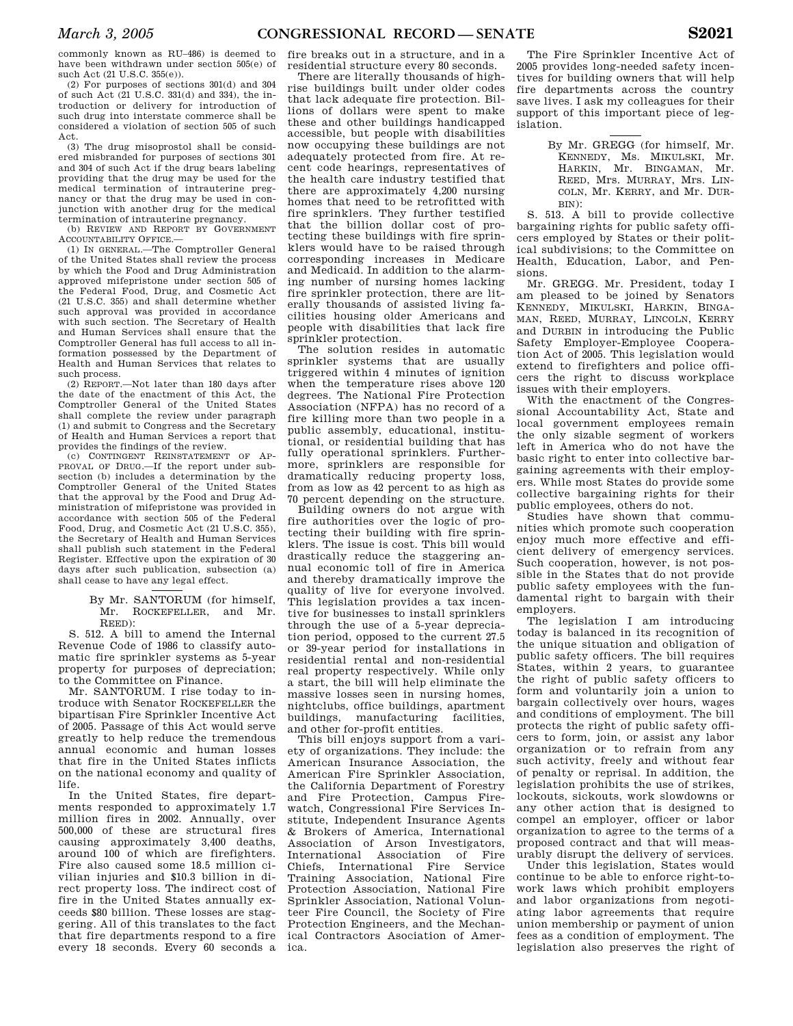commonly known as RU–486) is deemed to have been withdrawn under section 505(e) of such Act (21 U.S.C. 355(e)).

(2) For purposes of sections 301(d) and 304 of such Act (21 U.S.C. 331(d) and 334), the introduction or delivery for introduction of such drug into interstate commerce shall be considered a violation of section 505 of such Act.

(3) The drug misoprostol shall be considered misbranded for purposes of sections 301 and 304 of such Act if the drug bears labeling providing that the drug may be used for the medical termination of intrauterine pregnancy or that the drug may be used in conjunction with another drug for the medical termination of intrauterine pregnancy.

(b) REVIEW AND REPORT BY GOVERNMENT ACCOUNTABILITY OFFICE.—

(1) IN GENERAL.—The Comptroller General of the United States shall review the process by which the Food and Drug Administration approved mifepristone under section 505 of the Federal Food, Drug, and Cosmetic Act (21 U.S.C. 355) and shall determine whether such approval was provided in accordance with such section. The Secretary of Health and Human Services shall ensure that the Comptroller General has full access to all information possessed by the Department of Health and Human Services that relates to such process.

(2) REPORT.—Not later than 180 days after the date of the enactment of this Act, the Comptroller General of the United States shall complete the review under paragraph (1) and submit to Congress and the Secretary of Health and Human Services a report that provides the findings of the review.

(c) CONTINGENT REINSTATEMENT OF AP-PROVAL OF DRUG.—If the report under subsection (b) includes a determination by the Comptroller General of the United States that the approval by the Food and Drug Administration of mifepristone was provided in accordance with section 505 of the Federal Food, Drug, and Cosmetic Act (21 U.S.C. 355), the Secretary of Health and Human Services shall publish such statement in the Federal Register. Effective upon the expiration of 30 days after such publication, subsection (a) shall cease to have any legal effect.

> By Mr. SANTORUM (for himself, Mr. ROCKEFELLER, and Mr. REED):

S. 512. A bill to amend the Internal Revenue Code of 1986 to classify automatic fire sprinkler systems as 5-year property for purposes of depreciation; to the Committee on Finance.

Mr. SANTORUM. I rise today to introduce with Senator ROCKEFELLER the bipartisan Fire Sprinkler Incentive Act of 2005. Passage of this Act would serve greatly to help reduce the tremendous annual economic and human losses that fire in the United States inflicts on the national economy and quality of life.

In the United States, fire departments responded to approximately 1.7 million fires in 2002. Annually, over 500,000 of these are structural fires causing approximately 3,400 deaths, around 100 of which are firefighters. Fire also caused some 18.5 million civilian injuries and \$10.3 billion in direct property loss. The indirect cost of fire in the United States annually exceeds \$80 billion. These losses are staggering. All of this translates to the fact that fire departments respond to a fire every 18 seconds. Every 60 seconds a

fire breaks out in a structure, and in a residential structure every 80 seconds.

There are literally thousands of highrise buildings built under older codes that lack adequate fire protection. Billions of dollars were spent to make these and other buildings handicapped accessible, but people with disabilities now occupying these buildings are not adequately protected from fire. At recent code hearings, representatives of the health care industry testified that there are approximately 4,200 nursing homes that need to be retrofitted with fire sprinklers. They further testified that the billion dollar cost of protecting these buildings with fire sprinklers would have to be raised through corresponding increases in Medicare and Medicaid. In addition to the alarming number of nursing homes lacking fire sprinkler protection, there are literally thousands of assisted living facilities housing older Americans and people with disabilities that lack fire sprinkler protection.

The solution resides in automatic sprinkler systems that are usually triggered within 4 minutes of ignition when the temperature rises above 120 degrees. The National Fire Protection Association (NFPA) has no record of a fire killing more than two people in a public assembly, educational, institutional, or residential building that has fully operational sprinklers. Furthermore, sprinklers are responsible for dramatically reducing property loss, from as low as 42 percent to as high as 70 percent depending on the structure.

Building owners do not argue with fire authorities over the logic of protecting their building with fire sprinklers. The issue is cost. This bill would drastically reduce the staggering annual economic toll of fire in America and thereby dramatically improve the quality of live for everyone involved. This legislation provides a tax incentive for businesses to install sprinklers through the use of a 5-year depreciation period, opposed to the current 27.5 or 39-year period for installations in residential rental and non-residential real property respectively. While only a start, the bill will help eliminate the massive losses seen in nursing homes, nightclubs, office buildings, apartment manufacturing and other for-profit entities.

This bill enjoys support from a variety of organizations. They include: the American Insurance Association, the American Fire Sprinkler Association, the California Department of Forestry and Fire Protection, Campus Firewatch, Congressional Fire Services Institute, Independent Insurance Agents & Brokers of America, International Association of Arson Investigators, International Association of Fire Chiefs, International Fire Service Training Association, National Fire Protection Association, National Fire Sprinkler Association, National Volunteer Fire Council, the Society of Fire Protection Engineers, and the Mechanical Contractors Asociation of America.

The Fire Sprinkler Incentive Act of 2005 provides long-needed safety incentives for building owners that will help fire departments across the country save lives. I ask my colleagues for their support of this important piece of legislation.

> By Mr. GREGG (for himself, Mr. KENNEDY, Ms. MIKULSKI, Mr. HARKIN, Mr. BINGAMAN, Mr. REED, Mrs. MURRAY, Mrs. LIN-COLN, Mr. KERRY, and Mr. DUR- $RIN$ ).

S. 513. A bill to provide collective bargaining rights for public safety officers employed by States or their political subdivisions; to the Committee on Health, Education, Labor, and Pensions.

Mr. GREGG. Mr. President, today I am pleased to be joined by Senators KENNEDY, MIKULSKI, HARKIN, BINGA-MAN, REED, MURRAY, LINCOLN, KERRY and DURBIN in introducing the Public Safety Employer-Employee Cooperation Act of 2005. This legislation would extend to firefighters and police officers the right to discuss workplace issues with their employers.

With the enactment of the Congressional Accountability Act, State and local government employees remain the only sizable segment of workers left in America who do not have the basic right to enter into collective bargaining agreements with their employers. While most States do provide some collective bargaining rights for their public employees, others do not.

Studies have shown that communities which promote such cooperation enjoy much more effective and efficient delivery of emergency services. Such cooperation, however, is not possible in the States that do not provide public safety employees with the fundamental right to bargain with their employers.

The legislation I am introducing today is balanced in its recognition of the unique situation and obligation of public safety officers. The bill requires States, within 2 years, to guarantee the right of public safety officers to form and voluntarily join a union to bargain collectively over hours, wages and conditions of employment. The bill protects the right of public safety officers to form, join, or assist any labor organization or to refrain from any such activity, freely and without fear of penalty or reprisal. In addition, the legislation prohibits the use of strikes, lockouts, sickouts, work slowdowns or any other action that is designed to compel an employer, officer or labor organization to agree to the terms of a proposed contract and that will measurably disrupt the delivery of services.

Under this legislation, States would continue to be able to enforce right-towork laws which prohibit employers and labor organizations from negotiating labor agreements that require union membership or payment of union fees as a condition of employment. The legislation also preserves the right of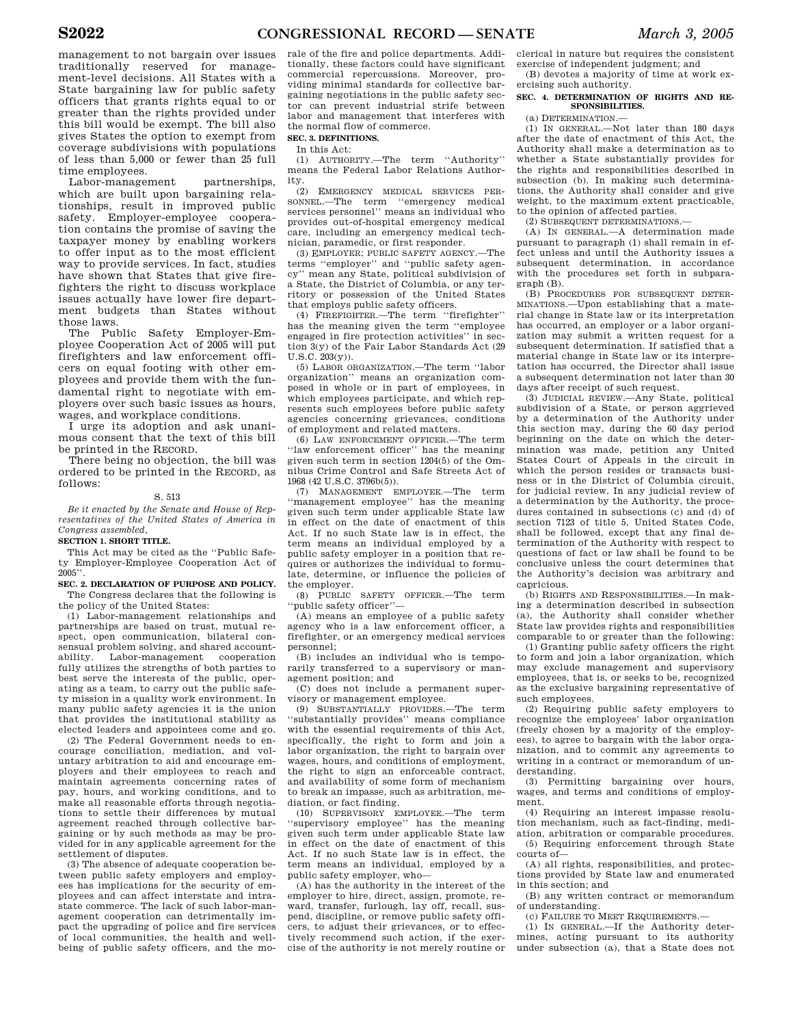management to not bargain over issues traditionally reserved for management-level decisions. All States with a State bargaining law for public safety officers that grants rights equal to or greater than the rights provided under this bill would be exempt. The bill also gives States the option to exempt from coverage subdivisions with populations of less than 5,000 or fewer than 25 full time employees.

Labor-management partnerships. which are built upon bargaining relationships, result in improved public safety. Employer-employee cooperation contains the promise of saving the taxpayer money by enabling workers to offer input as to the most efficient way to provide services. In fact, studies have shown that States that give firefighters the right to discuss workplace issues actually have lower fire department budgets than States without those laws.

The Public Safety Employer-Employee Cooperation Act of 2005 will put firefighters and law enforcement officers on equal footing with other employees and provide them with the fundamental right to negotiate with employers over such basic issues as hours, wages, and workplace conditions.

I urge its adoption and ask unanimous consent that the text of this bill be printed in the RECORD.

There being no objection, the bill was ordered to be printed in the RECORD, as follows:

### S. 513

*Be it enacted by the Senate and House of Representatives of the United States of America in Congress assembled,* 

### **SECTION 1. SHORT TITLE.**

This Act may be cited as the ''Public Safety Employer-Employee Cooperation Act of  $2005$ 

**SEC. 2. DECLARATION OF PURPOSE AND POLICY.**  The Congress declares that the following is the policy of the United States:

(1) Labor-management relationships and partnerships are based on trust, mutual respect, open communication, bilateral consensual problem solving, and shared accountability. Labor-management cooperation fully utilizes the strengths of both parties to best serve the interests of the public, operating as a team, to carry out the public safety mission in a quality work environment. In many public safety agencies it is the union that provides the institutional stability as elected leaders and appointees come and go.

(2) The Federal Government needs to encourage conciliation, mediation, and voluntary arbitration to aid and encourage employers and their employees to reach and maintain agreements concerning rates of pay, hours, and working conditions, and to make all reasonable efforts through negotiations to settle their differences by mutual agreement reached through collective bargaining or by such methods as may be provided for in any applicable agreement for the settlement of disputes.

(3) The absence of adequate cooperation between public safety employers and employees has implications for the security of employees and can affect interstate and intrastate commerce. The lack of such labor-management cooperation can detrimentally impact the upgrading of police and fire services of local communities, the health and wellbeing of public safety officers, and the mo-

rale of the fire and police departments. Additionally, these factors could have significant commercial repercussions. Moreover, providing minimal standards for collective bargaining negotiations in the public safety sector can prevent industrial strife between labor and management that interferes with the normal flow of commerce.

### **SEC. 3. DEFINITIONS.**  In this Act:

(1) AUTHORITY.—The term ''Authority'' means the Federal Labor Relations Authority.

(2) EMERGENCY MEDICAL SERVICES PER-SONNEL.—The term ''emergency medical services personnel'' means an individual who provides out-of-hospital emergency medical care, including an emergency medical technician, paramedic, or first responder.

(3) EMPLOYER; PUBLIC SAFETY AGENCY.—The terms ''employer'' and ''public safety agency'' mean any State, political subdivision of a State, the District of Columbia, or any territory or possession of the United States that employs public safety officers.

(4) FIREFIGHTER.—The term ''firefighter'' has the meaning given the term ''employee engaged in fire protection activities'' in section 3(y) of the Fair Labor Standards Act (29  $U.S.C. 203(y)$ .

(5) LABOR ORGANIZATION.—The term ''labor organization'' means an organization composed in whole or in part of employees, in which employees participate, and which represents such employees before public safety agencies concerning grievances, conditions of employment and related matters.

(6) LAW ENFORCEMENT OFFICER.—The term ''law enforcement officer'' has the meaning given such term in section 1204(5) of the Omnibus Crime Control and Safe Streets Act of 1968 (42 U.S.C. 3796b(5)).

(7) MANAGEMENT EMPLOYEE.—The term ''management employee'' has the meaning given such term under applicable State law in effect on the date of enactment of this Act. If no such State law is in effect, the term means an individual employed by a public safety employer in a position that requires or authorizes the individual to formulate, determine, or influence the policies of the employer.

(8) PUBLIC SAFETY OFFICER.—The term public safety officer"-

(A) means an employee of a public safety agency who is a law enforcement officer, a firefighter, or an emergency medical services personnel;

(B) includes an individual who is temporarily transferred to a supervisory or management position; and

(C) does not include a permanent supervisory or management employee.

(9) SUBSTANTIALLY PROVIDES.—The term 'substantially provides'' means compliance with the essential requirements of this Act, specifically, the right to form and join a labor organization, the right to bargain over wages, hours, and conditions of employment, the right to sign an enforceable contract, and availability of some form of mechanism to break an impasse, such as arbitration, mediation, or fact finding.

(10) SUPERVISORY EMPLOYEE.—The term ''supervisory employee'' has the meaning given such term under applicable State law in effect on the date of enactment of this Act. If no such State law is in effect, the term means an individual, employed by a public safety employer, who—

(A) has the authority in the interest of the employer to hire, direct, assign, promote, reward, transfer, furlough, lay off, recall, suspend, discipline, or remove public safety officers, to adjust their grievances, or to effectively recommend such action, if the exercise of the authority is not merely routine or clerical in nature but requires the consistent exercise of independent judgment; and

(B) devotes a majority of time at work exercising such authority.

### **SEC. 4. DETERMINATION OF RIGHTS AND RE-SPONSIBILITIES.**

(a) DETERMINATION.—

(1) IN GENERAL.—Not later than 180 days after the date of enactment of this Act, the Authority shall make a determination as to whether a State substantially provides for the rights and responsibilities described in subsection (b). In making such determinations, the Authority shall consider and give weight, to the maximum extent practicable, to the opinion of affected parties.

(2) SUBSEQUENT DETERMINATIONS.—

(A) IN GENERAL.—A determination made pursuant to paragraph (1) shall remain in effect unless and until the Authority issues a subsequent determination, in accordance with the procedures set forth in subparagraph (B).

(B) PROCEDURES FOR SUBSEQUENT DETER-MINATIONS.—Upon establishing that a material change in State law or its interpretation has occurred, an employer or a labor organization may submit a written request for a subsequent determination. If satisfied that a material change in State law or its interpretation has occurred, the Director shall issue a subsequent determination not later than 30 days after receipt of such request.

(3) JUDICIAL REVIEW.—Any State, political subdivision of a State, or person aggrieved by a determination of the Authority under this section may, during the 60 day period beginning on the date on which the determination was made, petition any United States Court of Appeals in the circuit in which the person resides or transacts business or in the District of Columbia circuit, for judicial review. In any judicial review of a determination by the Authority, the procedures contained in subsections (c) and (d) of section 7123 of title 5, United States Code, shall be followed, except that any final determination of the Authority with respect to questions of fact or law shall be found to be conclusive unless the court determines that the Authority's decision was arbitrary and capricious.

(b) RIGHTS AND RESPONSIBILITIES.—In making a determination described in subsection (a), the Authority shall consider whether State law provides rights and responsibilities comparable to or greater than the following:

(1) Granting public safety officers the right to form and join a labor organization, which may exclude management and supervisory employees, that is, or seeks to be, recognized as the exclusive bargaining representative of such employees.

(2) Requiring public safety employers to recognize the employees' labor organization (freely chosen by a majority of the employees), to agree to bargain with the labor organization, and to commit any agreements to writing in a contract or memorandum of understanding.

(3) Permitting bargaining over hours, wages, and terms and conditions of employment.

(4) Requiring an interest impasse resolution mechanism, such as fact-finding, mediation, arbitration or comparable procedures.

(5) Requiring enforcement through State courts of—

(A) all rights, responsibilities, and protections provided by State law and enumerated in this section; and

(B) any written contract or memorandum of understanding.

(c) FAILURE TO MEET REQUIREMENTS.—

(1) IN GENERAL.—If the Authority determines, acting pursuant to its authority under subsection (a), that a State does not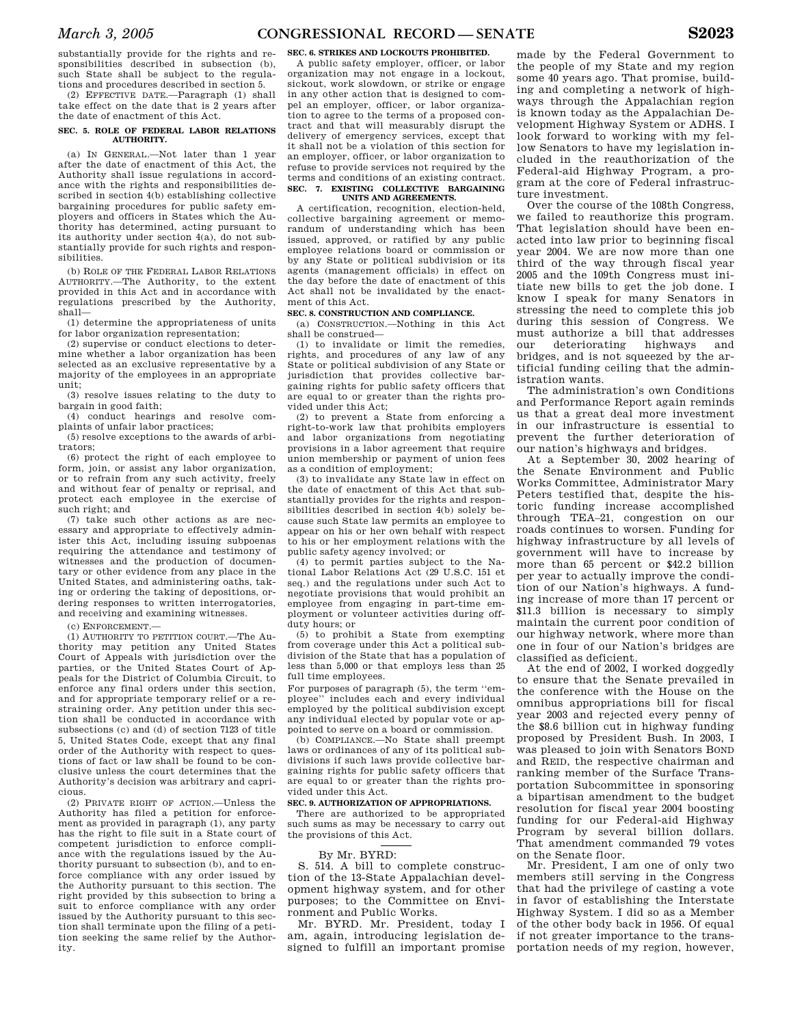substantially provide for the rights and responsibilities described in subsection (b), such State shall be subject to the regulations and procedures described in section 5.

(2) EFFECTIVE DATE.—Paragraph (1) shall take effect on the date that is 2 years after the date of enactment of this Act.

#### **SEC. 5. ROLE OF FEDERAL LABOR RELATIONS AUTHORITY.**

(a) IN GENERAL.—Not later than 1 year after the date of enactment of this Act, the Authority shall issue regulations in accordance with the rights and responsibilities described in section 4(b) establishing collective bargaining procedures for public safety employers and officers in States which the Authority has determined, acting pursuant to its authority under section 4(a), do not substantially provide for such rights and responsibilities.

(b) ROLE OF THE FEDERAL LABOR RELATIONS AUTHORITY.—The Authority, to the extent provided in this Act and in accordance with regulations prescribed by the Authority, shall—

(1) determine the appropriateness of units for labor organization representation;

(2) supervise or conduct elections to determine whether a labor organization has been selected as an exclusive representative by a majority of the employees in an appropriate unit;

(3) resolve issues relating to the duty to bargain in good faith;

(4) conduct hearings and resolve complaints of unfair labor practices;

(5) resolve exceptions to the awards of arbitrators;

(6) protect the right of each employee to form, join, or assist any labor organization, or to refrain from any such activity, freely and without fear of penalty or reprisal, and protect each employee in the exercise of such right; and

(7) take such other actions as are necessary and appropriate to effectively administer this Act, including issuing subpoenas requiring the attendance and testimony of witnesses and the production of documentary or other evidence from any place in the United States, and administering oaths, taking or ordering the taking of depositions, ordering responses to written interrogatories, and receiving and examining witnesses.

(c) ENFORCEMENT.—

(1) AUTHORITY TO PETITION COURT.—The Authority may petition any United States Court of Appeals with jurisdiction over the parties, or the United States Court of Appeals for the District of Columbia Circuit, to enforce any final orders under this section, and for appropriate temporary relief or a restraining order. Any petition under this section shall be conducted in accordance with subsections (c) and (d) of section 7123 of title 5, United States Code, except that any final order of the Authority with respect to questions of fact or law shall be found to be conclusive unless the court determines that the Authority's decision was arbitrary and capricious.

(2) PRIVATE RIGHT OF ACTION.—Unless the Authority has filed a petition for enforcement as provided in paragraph (1), any party has the right to file suit in a State court of competent jurisdiction to enforce compliance with the regulations issued by the Authority pursuant to subsection (b), and to enforce compliance with any order issued by the Authority pursuant to this section. The right provided by this subsection to bring a suit to enforce compliance with any order issued by the Authority pursuant to this section shall terminate upon the filing of a petition seeking the same relief by the Authority.

**SEC. 6. STRIKES AND LOCKOUTS PROHIBITED.**  A public safety employer, officer, or labor organization may not engage in a lockout, sickout, work slowdown, or strike or engage in any other action that is designed to compel an employer, officer, or labor organization to agree to the terms of a proposed contract and that will measurably disrupt the delivery of emergency services, except that it shall not be a violation of this section for an employer, officer, or labor organization to refuse to provide services not required by the terms and conditions of an existing contract. **SEC. 7. EXISTING COLLECTIVE BARGAINING** 

## **UNITS AND AGREEMENTS.**

A certification, recognition, election-held, collective bargaining agreement or memorandum of understanding which has been issued, approved, or ratified by any public employee relations board or commission or by any State or political subdivision or its agents (management officials) in effect on the day before the date of enactment of this Act shall not be invalidated by the enactment of this Act.

### **SEC. 8. CONSTRUCTION AND COMPLIANCE.**

(a) CONSTRUCTION.—Nothing in this Act shall be construed—

(1) to invalidate or limit the remedies, rights, and procedures of any law of any State or political subdivision of any State or jurisdiction that provides collective bargaining rights for public safety officers that are equal to or greater than the rights provided under this Act;

(2) to prevent a State from enforcing a right-to-work law that prohibits employers and labor organizations from negotiating provisions in a labor agreement that require union membership or payment of union fees as a condition of employment;

(3) to invalidate any State law in effect on the date of enactment of this Act that substantially provides for the rights and responsibilities described in section 4(b) solely because such State law permits an employee to appear on his or her own behalf with respect to his or her employment relations with the public safety agency involved; or

(4) to permit parties subject to the National Labor Relations Act (29 U.S.C. 151 et seq.) and the regulations under such Act to negotiate provisions that would prohibit an employee from engaging in part-time employment or volunteer activities during offduty hours; or

(5) to prohibit a State from exempting from coverage under this Act a political subdivision of the State that has a population of less than 5,000 or that employs less than 25 full time employees.

For purposes of paragraph (5), the term ''employee'' includes each and every individual employed by the political subdivision except any individual elected by popular vote or appointed to serve on a board or commission.

(b) COMPLIANCE.—No State shall preempt laws or ordinances of any of its political subdivisions if such laws provide collective bargaining rights for public safety officers that are equal to or greater than the rights provided under this Act.

### **SEC. 9. AUTHORIZATION OF APPROPRIATIONS.**

There are authorized to be appropriated such sums as may be necessary to carry out the provisions of this Act.

### By Mr. BYRD:

S. 514. A bill to complete construction of the 13-State Appalachian development highway system, and for other purposes; to the Committee on Environment and Public Works.

Mr. BYRD. Mr. President, today I am, again, introducing legislation designed to fulfill an important promise portation needs of my region, however,

made by the Federal Government to the people of my State and my region some 40 years ago. That promise, building and completing a network of highways through the Appalachian region is known today as the Appalachian Development Highway System or ADHS. I look forward to working with my fellow Senators to have my legislation included in the reauthorization of the Federal-aid Highway Program, a program at the core of Federal infrastructure investment.

Over the course of the 108th Congress, we failed to reauthorize this program. That legislation should have been enacted into law prior to beginning fiscal year 2004. We are now more than one third of the way through fiscal year 2005 and the 109th Congress must initiate new bills to get the job done. I know I speak for many Senators in stressing the need to complete this job during this session of Congress. We must authorize a bill that addresses our deteriorating highways and bridges, and is not squeezed by the artificial funding ceiling that the administration wants.

The administration's own Conditions and Performance Report again reminds us that a great deal more investment in our infrastructure is essential to prevent the further deterioration of our nation's highways and bridges.

At a September 30, 2002 hearing of the Senate Environment and Public Works Committee, Administrator Mary Peters testified that, despite the historic funding increase accomplished through TEA–21, congestion on our roads continues to worsen. Funding for highway infrastructure by all levels of government will have to increase by more than 65 percent or \$42.2 billion per year to actually improve the condition of our Nation's highways. A funding increase of more than 17 percent or \$11.3 billion is necessary to simply maintain the current poor condition of our highway network, where more than one in four of our Nation's bridges are classified as deficient.

At the end of 2002, I worked doggedly to ensure that the Senate prevailed in the conference with the House on the omnibus appropriations bill for fiscal year 2003 and rejected every penny of the \$8.6 billion cut in highway funding proposed by President Bush. In 2003, I was pleased to join with Senators BOND and REID, the respective chairman and ranking member of the Surface Transportation Subcommittee in sponsoring a bipartisan amendment to the budget resolution for fiscal year 2004 boosting funding for our Federal-aid Highway Program by several billion dollars. That amendment commanded 79 votes on the Senate floor.

Mr. President, I am one of only two members still serving in the Congress that had the privilege of casting a vote in favor of establishing the Interstate Highway System. I did so as a Member of the other body back in 1956. Of equal if not greater importance to the trans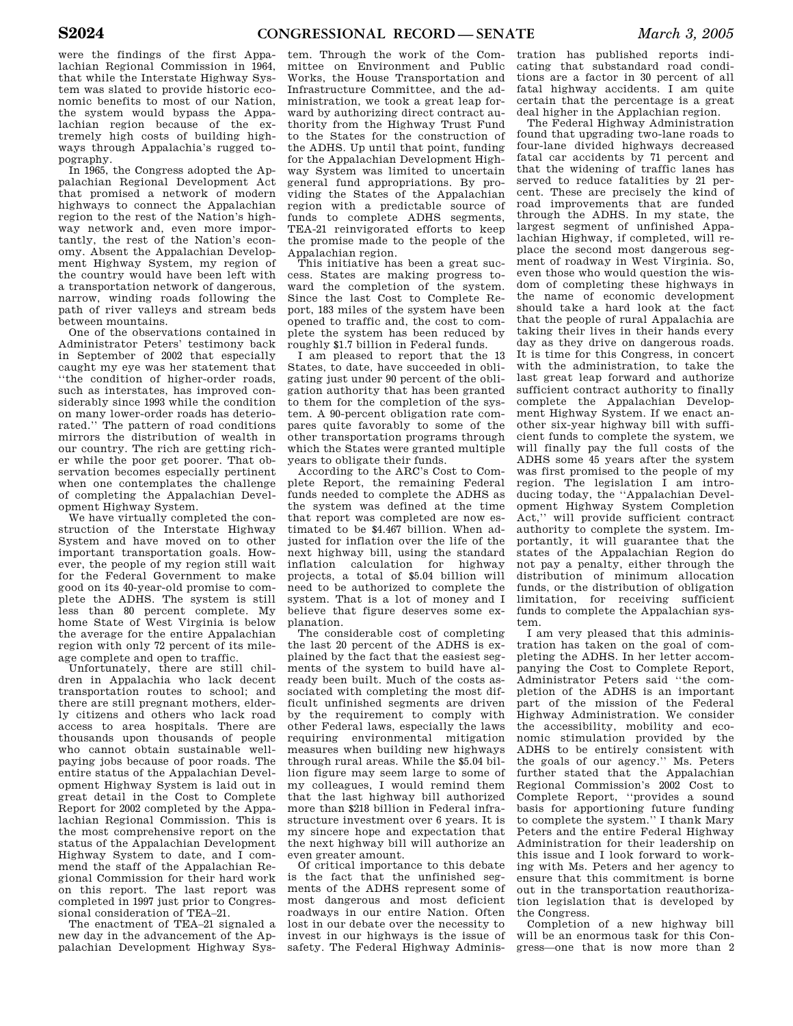were the findings of the first Appalachian Regional Commission in 1964, that while the Interstate Highway System was slated to provide historic economic benefits to most of our Nation, the system would bypass the Appalachian region because of the extremely high costs of building highways through Appalachia's rugged topography.

In 1965, the Congress adopted the Appalachian Regional Development Act that promised a network of modern highways to connect the Appalachian region to the rest of the Nation's highway network and, even more importantly, the rest of the Nation's economy. Absent the Appalachian Development Highway System, my region of the country would have been left with a transportation network of dangerous, narrow, winding roads following the path of river valleys and stream beds between mountains.

One of the observations contained in Administrator Peters' testimony back in September of 2002 that especially caught my eye was her statement that ''the condition of higher-order roads, such as interstates, has improved considerably since 1993 while the condition on many lower-order roads has deteriorated.'' The pattern of road conditions mirrors the distribution of wealth in our country. The rich are getting richer while the poor get poorer. That observation becomes especially pertinent when one contemplates the challenge of completing the Appalachian Development Highway System.

We have virtually completed the construction of the Interstate Highway System and have moved on to other important transportation goals. However, the people of my region still wait for the Federal Government to make good on its 40-year-old promise to complete the ADHS. The system is still less than 80 percent complete. My home State of West Virginia is below the average for the entire Appalachian region with only 72 percent of its mileage complete and open to traffic.

Unfortunately, there are still children in Appalachia who lack decent transportation routes to school; and there are still pregnant mothers, elderly citizens and others who lack road access to area hospitals. There are thousands upon thousands of people who cannot obtain sustainable wellpaying jobs because of poor roads. The entire status of the Appalachian Development Highway System is laid out in great detail in the Cost to Complete Report for 2002 completed by the Appalachian Regional Commission. This is the most comprehensive report on the status of the Appalachian Development Highway System to date, and I commend the staff of the Appalachian Regional Commission for their hard work on this report. The last report was completed in 1997 just prior to Congressional consideration of TEA–21.

The enactment of TEA–21 signaled a new day in the advancement of the Appalachian Development Highway Sys-

tem. Through the work of the Committee on Environment and Public Works, the House Transportation and Infrastructure Committee, and the administration, we took a great leap forward by authorizing direct contract authority from the Highway Trust Fund to the States for the construction of the ADHS. Up until that point, funding for the Appalachian Development Highway System was limited to uncertain general fund appropriations. By providing the States of the Appalachian region with a predictable source of funds to complete ADHS segments, TEA-21 reinvigorated efforts to keep the promise made to the people of the Appalachian region.

This initiative has been a great success. States are making progress toward the completion of the system. Since the last Cost to Complete Report, 183 miles of the system have been opened to traffic and, the cost to complete the system has been reduced by roughly \$1.7 billion in Federal funds.

I am pleased to report that the 13 States, to date, have succeeded in obligating just under 90 percent of the obligation authority that has been granted to them for the completion of the system. A 90-percent obligation rate compares quite favorably to some of the other transportation programs through which the States were granted multiple years to obligate their funds.

According to the ARC's Cost to Complete Report, the remaining Federal funds needed to complete the ADHS as the system was defined at the time that report was completed are now estimated to be \$4.467 billion. When adjusted for inflation over the life of the next highway bill, using the standard inflation calculation for highway projects, a total of \$5.04 billion will need to be authorized to complete the system. That is a lot of money and I believe that figure deserves some explanation.

The considerable cost of completing the last 20 percent of the ADHS is explained by the fact that the easiest segments of the system to build have already been built. Much of the costs associated with completing the most difficult unfinished segments are driven by the requirement to comply with other Federal laws, especially the laws requiring environmental mitigation measures when building new highways through rural areas. While the \$5.04 billion figure may seem large to some of my colleagues, I would remind them that the last highway bill authorized more than \$218 billion in Federal infrastructure investment over 6 years. It is my sincere hope and expectation that the next highway bill will authorize an even greater amount.

Of critical importance to this debate is the fact that the unfinished segments of the ADHS represent some of most dangerous and most deficient roadways in our entire Nation. Often lost in our debate over the necessity to invest in our highways is the issue of safety. The Federal Highway Adminis-

tration has published reports indicating that substandard road conditions are a factor in 30 percent of all fatal highway accidents. I am quite certain that the percentage is a great deal higher in the Applachian region.

The Federal Highway Administration found that upgrading two-lane roads to four-lane divided highways decreased fatal car accidents by 71 percent and that the widening of traffic lanes has served to reduce fatalities by 21 percent. These are precisely the kind of road improvements that are funded through the ADHS. In my state, the largest segment of unfinished Appalachian Highway, if completed, will replace the second most dangerous segment of roadway in West Virginia. So, even those who would question the wisdom of completing these highways in the name of economic development should take a hard look at the fact that the people of rural Appalachia are taking their lives in their hands every day as they drive on dangerous roads. It is time for this Congress, in concert with the administration, to take the last great leap forward and authorize sufficient contract authority to finally complete the Appalachian Development Highway System. If we enact another six-year highway bill with sufficient funds to complete the system, we will finally pay the full costs of the ADHS some 45 years after the system was first promised to the people of my region. The legislation I am introducing today, the ''Appalachian Development Highway System Completion Act,'' will provide sufficient contract authority to complete the system. Importantly, it will guarantee that the states of the Appalachian Region do not pay a penalty, either through the distribution of minimum allocation funds, or the distribution of obligation limitation, for receiving sufficient funds to complete the Appalachian system.

I am very pleased that this administration has taken on the goal of completing the ADHS. In her letter accompanying the Cost to Complete Report, Administrator Peters said ''the completion of the ADHS is an important part of the mission of the Federal Highway Administration. We consider the accessibility, mobility and economic stimulation provided by the ADHS to be entirely consistent with the goals of our agency.'' Ms. Peters further stated that the Appalachian Regional Commission's 2002 Cost to Complete Report, ''provides a sound basis for apportioning future funding to complete the system.'' I thank Mary Peters and the entire Federal Highway Administration for their leadership on this issue and I look forward to working with Ms. Peters and her agency to ensure that this commitment is borne out in the transportation reauthorization legislation that is developed by the Congress.

Completion of a new highway bill will be an enormous task for this Congress—one that is now more than 2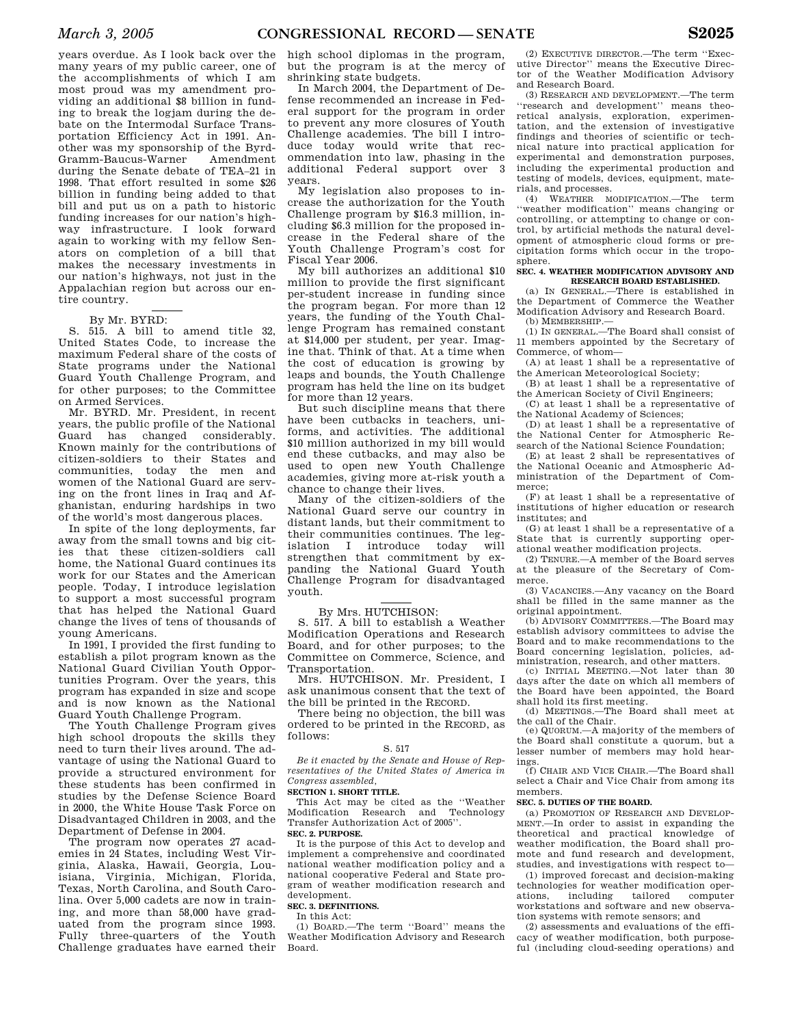years overdue. As I look back over the many years of my public career, one of the accomplishments of which I am most proud was my amendment providing an additional \$8 billion in funding to break the logjam during the debate on the Intermodal Surface Transportation Efficiency Act in 1991. Another was my sponsorship of the Byrd-Gramm-Baucus-Warner Amendment during the Senate debate of TEA–21 in 1998. That effort resulted in some \$26 billion in funding being added to that bill and put us on a path to historic funding increases for our nation's highway infrastructure. I look forward again to working with my fellow Senators on completion of a bill that makes the necessary investments in our nation's highways, not just in the Appalachian region but across our entire country.

### By Mr. BYRD:

S. 515. A bill to amend title 32, United States Code, to increase the maximum Federal share of the costs of State programs under the National Guard Youth Challenge Program, and for other purposes; to the Committee on Armed Services.

Mr. BYRD. Mr. President, in recent years, the public profile of the National Guard has changed considerably. Known mainly for the contributions of citizen-soldiers to their States and communities, today the men and women of the National Guard are serving on the front lines in Iraq and Afghanistan, enduring hardships in two of the world's most dangerous places.

In spite of the long deployments, far away from the small towns and big cities that these citizen-soldiers call home, the National Guard continues its work for our States and the American people. Today, I introduce legislation to support a most successful program that has helped the National Guard change the lives of tens of thousands of young Americans.

In 1991, I provided the first funding to establish a pilot program known as the National Guard Civilian Youth Opportunities Program. Over the years, this program has expanded in size and scope and is now known as the National Guard Youth Challenge Program.

The Youth Challenge Program gives high school dropouts the skills they need to turn their lives around. The advantage of using the National Guard to provide a structured environment for these students has been confirmed in studies by the Defense Science Board in 2000, the White House Task Force on Disadvantaged Children in 2003, and the Department of Defense in 2004.

The program now operates 27 academies in 24 States, including West Virginia, Alaska, Hawaii, Georgia, Louisiana, Virginia, Michigan, Florida, Texas, North Carolina, and South Carolina. Over 5,000 cadets are now in training, and more than 58,000 have graduated from the program since 1993. Fully three-quarters of the Youth Challenge graduates have earned their

high school diplomas in the program, but the program is at the mercy of shrinking state budgets.

In March 2004, the Department of Defense recommended an increase in Federal support for the program in order to prevent any more closures of Youth Challenge academies. The bill I introduce today would write that recommendation into law, phasing in the additional Federal support over 3 years.

My legislation also proposes to increase the authorization for the Youth Challenge program by \$16.3 million, including \$6.3 million for the proposed increase in the Federal share of the Youth Challenge Program's cost for Fiscal Year 2006.

My bill authorizes an additional \$10 million to provide the first significant per-student increase in funding since the program began. For more than 12 years, the funding of the Youth Challenge Program has remained constant at \$14,000 per student, per year. Imagine that. Think of that. At a time when the cost of education is growing by leaps and bounds, the Youth Challenge program has held the line on its budget for more than 12 years.

But such discipline means that there have been cutbacks in teachers, uniforms, and activities. The additional \$10 million authorized in my bill would end these cutbacks, and may also be used to open new Youth Challenge academies, giving more at-risk youth a chance to change their lives.

Many of the citizen-soldiers of the National Guard serve our country in distant lands, but their commitment to their communities continues. The leg-<br>islation I introduce today will islation I introduce today strengthen that commitment by expanding the National Guard Youth Challenge Program for disadvantaged youth.

### By Mrs. HUTCHISON:

S. 517. A bill to establish a Weather Modification Operations and Research Board, and for other purposes; to the Committee on Commerce, Science, and Transportation.

Mrs. HUTCHISON. Mr. President, I ask unanimous consent that the text of the bill be printed in the RECORD.

There being no objection, the bill was ordered to be printed in the RECORD, as follows:

#### S. 517

*Be it enacted by the Senate and House of Representatives of the United States of America in Congress assembled,*

### **SECTION 1. SHORT TITLE.**

This Act may be cited as the ''Weather Modification Research and Technology Transfer Authorization Act of 2005''. **SEC. 2. PURPOSE.** 

It is the purpose of this Act to develop and implement a comprehensive and coordinated national weather modification policy and a national cooperative Federal and State program of weather modification research and development.

### **SEC. 3. DEFINITIONS.**

In this Act:

(1) BOARD.—The term ''Board'' means the Weather Modification Advisory and Research Board.

(2) EXECUTIVE DIRECTOR.—The term ''Executive Director'' means the Executive Director of the Weather Modification Advisory and Research Board.

(3) RESEARCH AND DEVELOPMENT.—The term ''research and development'' means theoretical analysis, exploration, experimentation, and the extension of investigative findings and theories of scientific or technical nature into practical application for experimental and demonstration purposes, including the experimental production and testing of models, devices, equipment, materials, and processes.

(4) WEATHER MODIFICATION.—The term ''weather modification'' means changing or controlling, or attempting to change or control, by artificial methods the natural development of atmospheric cloud forms or precipitation forms which occur in the troposphere.

#### **SEC. 4. WEATHER MODIFICATION ADVISORY AND RESEARCH BOARD ESTABLISHED.**

(a) IN GENERAL.—There is established in the Department of Commerce the Weather Modification Advisory and Research Board. (b) MEMBERSHIP.—

(1) IN GENERAL.—The Board shall consist of

11 members appointed by the Secretary of Commerce, of whom—

(A) at least 1 shall be a representative of the American Meteorological Society;

(B) at least 1 shall be a representative of the American Society of Civil Engineers;

(C) at least 1 shall be a representative of the National Academy of Sciences;

(D) at least 1 shall be a representative of the National Center for Atmospheric Research of the National Science Foundation;

(E) at least 2 shall be representatives of the National Oceanic and Atmospheric Administration of the Department of Commerce;

(F) at least 1 shall be a representative of institutions of higher education or research institutes; and

(G) at least 1 shall be a representative of a State that is currently supporting operational weather modification projects.

(2) TENURE.—A member of the Board serves at the pleasure of the Secretary of Commerce.

(3) VACANCIES.—Any vacancy on the Board shall be filled in the same manner as the original appointment.

(b) ADVISORY COMMITTEES.—The Board may establish advisory committees to advise the Board and to make recommendations to the Board concerning legislation, policies, administration, research, and other matters.

(c) INITIAL MEETING.—Not later than 30 days after the date on which all members of the Board have been appointed, the Board shall hold its first meeting.

(d) MEETINGS.—The Board shall meet at the call of the Chair.

(e) QUORUM.—A majority of the members of the Board shall constitute a quorum, but a lesser number of members may hold hearings.

(f) CHAIR AND VICE CHAIR.—The Board shall select a Chair and Vice Chair from among its members.

### **SEC. 5. DUTIES OF THE BOARD.**

(a) PROMOTION OF RESEARCH AND DEVELOP-MENT.—In order to assist in expanding the theoretical and practical knowledge of weather modification, the Board shall promote and fund research and development, studies, and investigations with respect to—

(1) improved forecast and decision-making technologies for weather modification oper-<br>ations. including tailored computer including workstations and software and new observation systems with remote sensors; and

(2) assessments and evaluations of the efficacy of weather modification, both purposeful (including cloud-seeding operations) and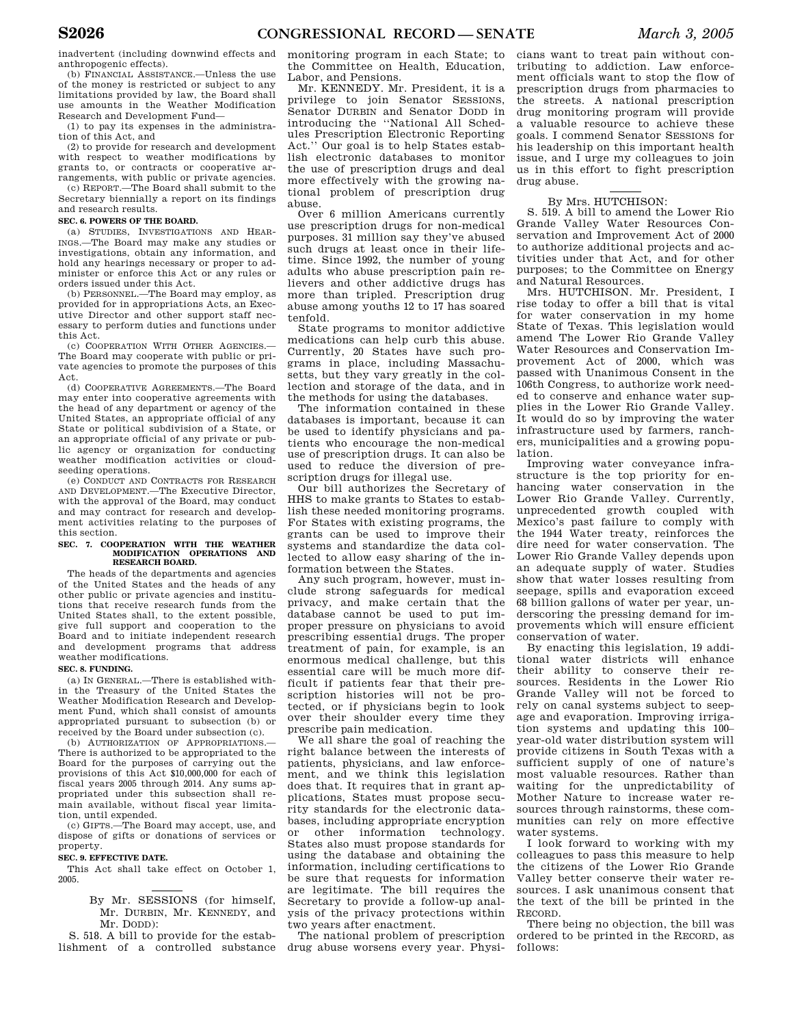inadvertent (including downwind effects and anthropogenic effects).

(b) FINANCIAL ASSISTANCE.—Unless the use of the money is restricted or subject to any limitations provided by law, the Board shall use amounts in the Weather Modification Research and Development Fund—

(1) to pay its expenses in the administration of this Act, and

(2) to provide for research and development with respect to weather modifications by grants to, or contracts or cooperative arrangements, with public or private agencies.

(c) REPORT.—The Board shall submit to the Secretary biennially a report on its findings and research results.

### **SEC. 6. POWERS OF THE BOARD.**

(a) STUDIES, INVESTIGATIONS AND HEAR-INGS.—The Board may make any studies or investigations, obtain any information, and hold any hearings necessary or proper to administer or enforce this Act or any rules or orders issued under this Act.

(b) PERSONNEL.—The Board may employ, as provided for in appropriations Acts, an Executive Director and other support staff necessary to perform duties and functions under this Act.

(c) COOPERATION WITH OTHER AGENCIES.— The Board may cooperate with public or private agencies to promote the purposes of this Act.

(d) COOPERATIVE AGREEMENTS.—The Board may enter into cooperative agreements with the head of any department or agency of the United States, an appropriate official of any State or political subdivision of a State, or an appropriate official of any private or public agency or organization for conducting weather modification activities or cloudseeding operations.

(e) CONDUCT AND CONTRACTS FOR RESEARCH AND DEVELOPMENT.—The Executive Director, with the approval of the Board, may conduct and may contract for research and development activities relating to the purposes of this section.

# **SEC. 7. COOPERATION WITH THE WEATHER MODIFICATION OPERATIONS AND RESEARCH BOARD.**

The heads of the departments and agencies of the United States and the heads of any other public or private agencies and institutions that receive research funds from the United States shall, to the extent possible, give full support and cooperation to the Board and to initiate independent research and development programs that address weather modifications.

### **SEC. 8. FUNDING.**

(a) IN GENERAL.—There is established within the Treasury of the United States the Weather Modification Research and Development Fund, which shall consist of amounts appropriated pursuant to subsection (b) or received by the Board under subsection (c).

(b) AUTHORIZATION OF APPROPRIATIONS. There is authorized to be appropriated to the Board for the purposes of carrying out the provisions of this Act \$10,000,000 for each of fiscal years 2005 through 2014. Any sums appropriated under this subsection shall remain available, without fiscal year limitation, until expended.

(c) GIFTS.—The Board may accept, use, and dispose of gifts or donations of services or property.

#### **SEC. 9. EFFECTIVE DATE.**

This Act shall take effect on October 1, 2005.

> By Mr. SESSIONS (for himself, Mr. DURBIN, Mr. KENNEDY, and Mr. DODD):

S. 518. A bill to provide for the establishment of a controlled substance monitoring program in each State; to the Committee on Health, Education, Labor, and Pensions.

Mr. KENNEDY. Mr. President, it is a privilege to join Senator SESSIONS, Senator DURBIN and Senator DODD in introducing the ''National All Schedules Prescription Electronic Reporting Act.'' Our goal is to help States establish electronic databases to monitor the use of prescription drugs and deal more effectively with the growing national problem of prescription drug abuse.

Over 6 million Americans currently use prescription drugs for non-medical purposes. 31 million say they've abused such drugs at least once in their lifetime. Since 1992, the number of young adults who abuse prescription pain relievers and other addictive drugs has more than tripled. Prescription drug abuse among youths 12 to 17 has soared tenfold.

State programs to monitor addictive medications can help curb this abuse. Currently, 20 States have such programs in place, including Massachusetts, but they vary greatly in the collection and storage of the data, and in the methods for using the databases.

The information contained in these databases is important, because it can be used to identify physicians and patients who encourage the non-medical use of prescription drugs. It can also be used to reduce the diversion of prescription drugs for illegal use.

Our bill authorizes the Secretary of HHS to make grants to States to establish these needed monitoring programs. For States with existing programs, the grants can be used to improve their systems and standardize the data collected to allow easy sharing of the information between the States.

Any such program, however, must include strong safeguards for medical privacy, and make certain that the database cannot be used to put improper pressure on physicians to avoid prescribing essential drugs. The proper treatment of pain, for example, is an enormous medical challenge, but this essential care will be much more difficult if patients fear that their prescription histories will not be protected, or if physicians begin to look over their shoulder every time they prescribe pain medication.

We all share the goal of reaching the right balance between the interests of patients, physicians, and law enforcement, and we think this legislation does that. It requires that in grant applications, States must propose security standards for the electronic databases, including appropriate encryption or other information technology. States also must propose standards for using the database and obtaining the information, including certifications to be sure that requests for information are legitimate. The bill requires the Secretary to provide a follow-up analysis of the privacy protections within two years after enactment.

The national problem of prescription drug abuse worsens every year. Physi-

cians want to treat pain without contributing to addiction. Law enforcement officials want to stop the flow of prescription drugs from pharmacies to the streets. A national prescription drug monitoring program will provide a valuable resource to achieve these goals. I commend Senator SESSIONS for his leadership on this important health issue, and I urge my colleagues to join us in this effort to fight prescription drug abuse.

### By Mrs. HUTCHISON:

S. 519. A bill to amend the Lower Rio Grande Valley Water Resources Conservation and Improvement Act of 2000 to authorize additional projects and activities under that Act, and for other purposes; to the Committee on Energy and Natural Resources.

Mrs. HUTCHISON. Mr. President, I rise today to offer a bill that is vital for water conservation in my home State of Texas. This legislation would amend The Lower Rio Grande Valley Water Resources and Conservation Improvement Act of 2000, which was passed with Unanimous Consent in the 106th Congress, to authorize work needed to conserve and enhance water supplies in the Lower Rio Grande Valley. It would do so by improving the water infrastructure used by farmers, ranchers, municipalities and a growing population.

Improving water conveyance infrastructure is the top priority for enhancing water conservation in the Lower Rio Grande Valley. Currently, unprecedented growth coupled with Mexico's past failure to comply with the 1944 Water treaty, reinforces the dire need for water conservation. The Lower Rio Grande Valley depends upon an adequate supply of water. Studies show that water losses resulting from seepage, spills and evaporation exceed 68 billion gallons of water per year, underscoring the pressing demand for improvements which will ensure efficient conservation of water.

By enacting this legislation, 19 additional water districts will enhance their ability to conserve their resources. Residents in the Lower Rio Grande Valley will not be forced to rely on canal systems subject to seepage and evaporation. Improving irrigation systems and updating this 100– year-old water distribution system will provide citizens in South Texas with a sufficient supply of one of nature's most valuable resources. Rather than waiting for the unpredictability of Mother Nature to increase water resources through rainstorms, these communities can rely on more effective water systems.

I look forward to working with my colleagues to pass this measure to help the citizens of the Lower Rio Grande Valley better conserve their water resources. I ask unanimous consent that the text of the bill be printed in the RECORD.

There being no objection, the bill was ordered to be printed in the RECORD, as follows: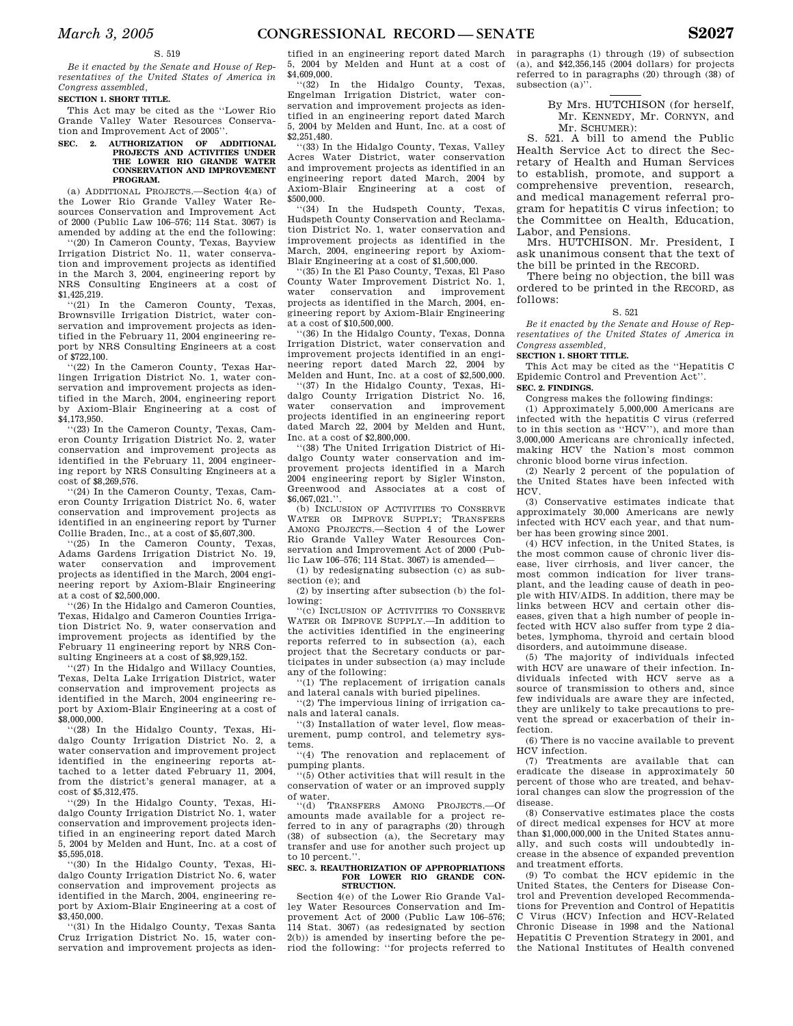### S. 519

*Be it enacted by the Senate and House of Representatives of the United States of America in Congress assembled,* 

### **SECTION 1. SHORT TITLE.**

This Act may be cited as the ''Lower Rio Grande Valley Water Resources Conservation and Improvement Act of 2005''.

### **SEC. 2. AUTHORIZATION OF ADDITIONAL PROJECTS AND ACTIVITIES UNDER THE LOWER RIO GRANDE WATER CONSERVATION AND IMPROVEMENT PROGRAM.**

(a) ADDITIONAL PROJECTS.—Section 4(a) of the Lower Rio Grande Valley Water Resources Conservation and Improvement Act of 2000 (Public Law 106–576; 114 Stat. 3067) is amended by adding at the end the following:

''(20) In Cameron County, Texas, Bayview Irrigation District No. 11, water conservation and improvement projects as identified in the March 3, 2004, engineering report by NRS Consulting Engineers at a cost of \$1,425,219.

 $(21)$  In the Cameron County, Texas, Brownsville Irrigation District, water conservation and improvement projects as identified in the February 11, 2004 engineering report by NRS Consulting Engineers at a cost of \$722,100.

''(22) In the Cameron County, Texas Harlingen Irrigation District No. 1, water conservation and improvement projects as identified in the March, 2004, engineering report by Axiom-Blair Engineering at a cost of \$4,173,950.

''(23) In the Cameron County, Texas, Cameron County Irrigation District No. 2, water conservation and improvement projects as identified in the February 11, 2004 engineering report by NRS Consulting Engineers at a cost of \$8,269,576.

''(24) In the Cameron County, Texas, Cameron County Irrigation District No. 6, water conservation and improvement projects as identified in an engineering report by Turner Collie Braden, Inc., at a cost of \$5,607,300.

''(25) In the Cameron County, Texas, Adams Gardens Irrigation District No. 19, water conservation and improvement projects as identified in the March, 2004 engineering report by Axiom-Blair Engineering at a cost of \$2,500,000.

''(26) In the Hidalgo and Cameron Counties, Texas, Hidalgo and Cameron Counties Irrigation District No. 9, water conservation and improvement projects as identified by the February 11 engineering report by NRS Consulting Engineers at a cost of \$8,929,152.

''(27) In the Hidalgo and Willacy Counties, Texas, Delta Lake Irrigation District, water conservation and improvement projects as identified in the March, 2004 engineering report by Axiom-Blair Engineering at a cost of \$8,000,000.

''(28) In the Hidalgo County, Texas, Hidalgo County Irrigation District No. 2, a water conservation and improvement project identified in the engineering reports attached to a letter dated February 11, 2004, from the district's general manager, at a cost of \$5,312,475.

''(29) In the Hidalgo County, Texas, Hidalgo County Irrigation District No. 1, water conservation and improvement projects identified in an engineering report dated March 5, 2004 by Melden and Hunt, Inc. at a cost of \$5,595,018.

''(30) In the Hidalgo County, Texas, Hidalgo County Irrigation District No. 6, water conservation and improvement projects as identified in the March, 2004, engineering report by Axiom-Blair Engineering at a cost of  $\overline{\$3,450,000}$ .

''(31) In the Hidalgo County, Texas Santa Cruz Irrigation District No. 15, water conservation and improvement projects as iden-

tified in an engineering report dated March 5, 2004 by Melden and Hunt at a cost of \$4,609,000.

''(32) In the Hidalgo County, Texas, Engelman Irrigation District, water conservation and improvement projects as identified in an engineering report dated March 5, 2004 by Melden and Hunt, Inc. at a cost of \$2,251,480.

''(33) In the Hidalgo County, Texas, Valley Acres Water District, water conservation and improvement projects as identified in an engineering report dated March, 2004 by Axiom-Blair Engineering at a cost of \$500,000.

''(34) In the Hudspeth County, Texas, Hudspeth County Conservation and Reclamation District No. 1, water conservation and improvement projects as identified in the March, 2004, engineering report by Axiom-Blair Engineering at a cost of \$1,500,000.

''(35) In the El Paso County, Texas, El Paso County Water Improvement District No. 1, water conservation and improvement projects as identified in the March, 2004, engineering report by Axiom-Blair Engineering at a cost of \$10,500,000.

''(36) In the Hidalgo County, Texas, Donna Irrigation District, water conservation and improvement projects identified in an engineering report dated March 22, 2004 by Melden and Hunt, Inc. at a cost of \$2,500,000.

''(37) In the Hidalgo County, Texas, Hidalgo County Irrigation District No. 16, water conservation and improvement projects identified in an engineering report dated March 22, 2004 by Melden and Hunt, Inc. at a cost of \$2,800,000.

''(38) The United Irrigation District of Hidalgo County water conservation and improvement projects identified in a March 2004 engineering report by Sigler Winston, Greenwood and Associates at a cost of \$6,067,021.'

(b) INCLUSION OF ACTIVITIES TO CONSERVE WATER OR IMPROVE SUPPLY; TRANSFERS AMONG PROJECTS.—Section 4 of the Lower Rio Grande Valley Water Resources Conservation and Improvement Act of 2000 (Public Law 106–576; 114 Stat. 3067) is amended—

(1) by redesignating subsection (c) as subsection (e); and

(2) by inserting after subsection (b) the following:

''(c) INCLUSION OF ACTIVITIES TO CONSERVE WATER OR IMPROVE SUPPLY.—In addition to the activities identified in the engineering reports referred to in subsection (a), each project that the Secretary conducts or participates in under subsection (a) may include any of the following:

''(1) The replacement of irrigation canals and lateral canals with buried pipelines.

''(2) The impervious lining of irrigation canals and lateral canals.

''(3) Installation of water level, flow measurement, pump control, and telemetry systems.

''(4) The renovation and replacement of pumping plants.

''(5) Other activities that will result in the conservation of water or an improved supply of water.

''(d) TRANSFERS AMONG PROJECTS.—Of amounts made available for a project referred to in any of paragraphs (20) through (38) of subsection (a), the Secretary may transfer and use for another such project up to 10 percent.'

#### **SEC. 3. REAUTHORIZATION OF APPROPRIATIONS FOR LOWER RIO GRANDE CON-STRUCTION.**

Section 4(e) of the Lower Rio Grande Valley Water Resources Conservation and Improvement Act of 2000 (Public Law 106–576; 114 Stat. 3067) (as redesignated by section 2(b)) is amended by inserting before the period the following: ''for projects referred to in paragraphs (1) through (19) of subsection (a), and \$42,356,145 (2004 dollars) for projects referred to in paragraphs (20) through (38) of subsection (a)''.

> By Mrs. HUTCHISON (for herself, Mr. KENNEDY, Mr. CORNYN, and Mr. SCHUMER).

S. 521. A bill to amend the Public Health Service Act to direct the Secretary of Health and Human Services to establish, promote, and support a comprehensive prevention, research, and medical management referral program for hepatitis C virus infection; to the Committee on Health, Education, Labor, and Pensions.

Mrs. HUTCHISON. Mr. President, I ask unanimous consent that the text of the bill be printed in the RECORD.

There being no objection, the bill was ordered to be printed in the RECORD, as follows:

### S. 521

*Be it enacted by the Senate and House of Representatives of the United States of America in Congress assembled,* 

#### **SECTION 1. SHORT TITLE.**

This Act may be cited as the ''Hepatitis C Epidemic Control and Prevention Act''. **SEC. 2. FINDINGS.** 

Congress makes the following findings:

(1) Approximately 5,000,000 Americans are infected with the hepatitis C virus (referred to in this section as ''HCV''), and more than 3,000,000 Americans are chronically infected, making HCV the Nation's most common chronic blood borne virus infection.

(2) Nearly 2 percent of the population of the United States have been infected with HCV.

(3) Conservative estimates indicate that approximately 30,000 Americans are newly infected with HCV each year, and that number has been growing since 2001.

(4) HCV infection, in the United States, is the most common cause of chronic liver disease, liver cirrhosis, and liver cancer, the most common indication for liver transplant, and the leading cause of death in people with HIV/AIDS. In addition, there may be links between HCV and certain other diseases, given that a high number of people infected with HCV also suffer from type 2 diabetes, lymphoma, thyroid and certain blood disorders, and autoimmune disease.

(5) The majority of individuals infected with HCV are unaware of their infection. Individuals infected with HCV serve as a source of transmission to others and, since few individuals are aware they are infected, they are unlikely to take precautions to prevent the spread or exacerbation of their infection.

(6) There is no vaccine available to prevent HCV infection.

(7) Treatments are available that can eradicate the disease in approximately 50 percent of those who are treated, and behavioral changes can slow the progression of the disease.

(8) Conservative estimates place the costs of direct medical expenses for HCV at more than \$1,000,000,000 in the United States annually, and such costs will undoubtedly increase in the absence of expanded prevention and treatment efforts.

(9) To combat the HCV epidemic in the United States, the Centers for Disease Control and Prevention developed Recommendations for Prevention and Control of Hepatitis C Virus (HCV) Infection and HCV-Related Chronic Disease in 1998 and the National Hepatitis C Prevention Strategy in 2001, and the National Institutes of Health convened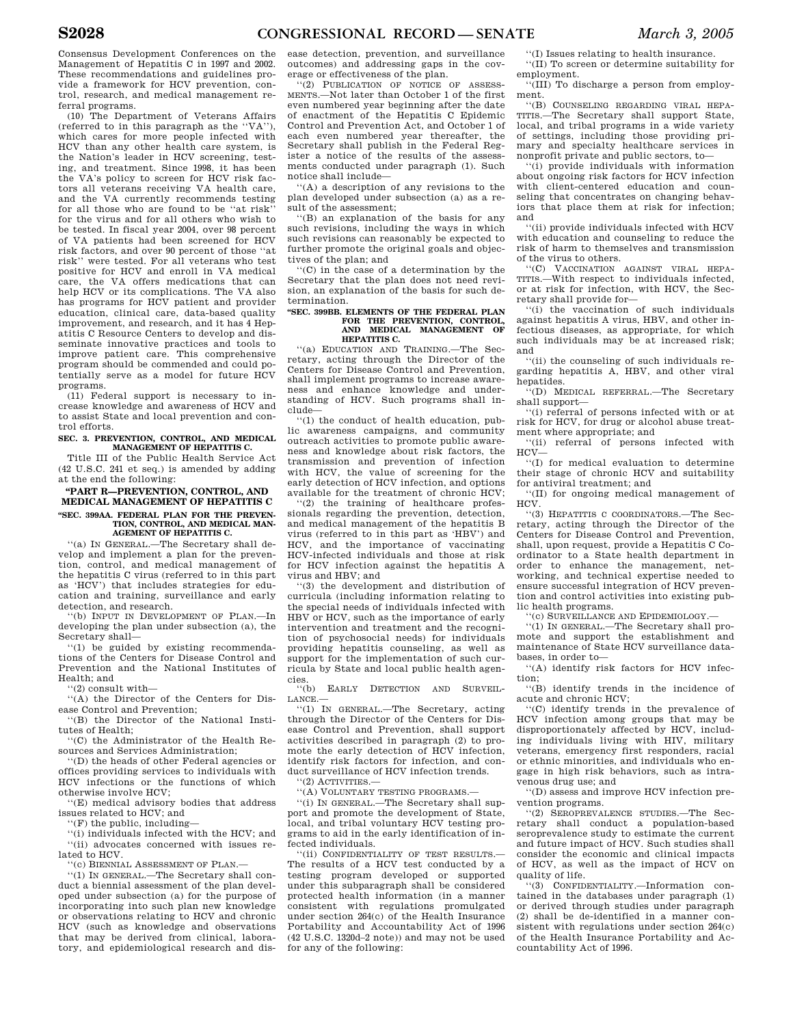Consensus Development Conferences on the Management of Hepatitis C in 1997 and 2002. These recommendations and guidelines provide a framework for HCV prevention, control, research, and medical management referral programs.

(10) The Department of Veterans Affairs (referred to in this paragraph as the ''VA''), which cares for more people infected with HCV than any other health care system, is the Nation's leader in HCV screening, testing, and treatment. Since 1998, it has been the VA's policy to screen for HCV risk factors all veterans receiving VA health care, and the VA currently recommends testing for all those who are found to be ''at risk'' for the virus and for all others who wish to be tested. In fiscal year 2004, over 98 percent of VA patients had been screened for HCV risk factors, and over 90 percent of those ''at risk'' were tested. For all veterans who test positive for HCV and enroll in VA medical care, the VA offers medications that can help HCV or its complications. The VA also has programs for HCV patient and provider education, clinical care, data-based quality improvement, and research, and it has 4 Hepatitis C Resource Centers to develop and disseminate innovative practices and tools to improve patient care. This comprehensive program should be commended and could potentially serve as a model for future HCV programs.

(11) Federal support is necessary to increase knowledge and awareness of HCV and to assist State and local prevention and control efforts.

#### **SEC. 3. PREVENTION, CONTROL, AND MEDICAL MANAGEMENT OF HEPATITIS C.**

Title III of the Public Health Service Act (42 U.S.C. 241 et seq.) is amended by adding at the end the following:

#### **''PART R—PREVENTION, CONTROL, AND MEDICAL MANAGEMENT OF HEPATITIS C ''SEC. 399AA. FEDERAL PLAN FOR THE PREVEN-TION, CONTROL, AND MEDICAL MAN-AGEMENT OF HEPATITIS C.**

''(a) IN GENERAL.—The Secretary shall develop and implement a plan for the prevention, control, and medical management of the hepatitis C virus (referred to in this part as 'HCV') that includes strategies for education and training, surveillance and early detection, and research.

''(b) INPUT IN DEVELOPMENT OF PLAN.—In developing the plan under subsection (a), the Secretary shall—

''(1) be guided by existing recommendations of the Centers for Disease Control and Prevention and the National Institutes of Health; and

''(2) consult with—

''(A) the Director of the Centers for Dis-

ease Control and Prevention; ''(B) the Director of the National Institutes of Health;

''(C) the Administrator of the Health Resources and Services Administration;

''(D) the heads of other Federal agencies or offices providing services to individuals with HCV infections or the functions of which otherwise involve HCV;

''(E) medical advisory bodies that address issues related to HCV; and

''(F) the public, including—

''(i) individuals infected with the HCV; and ''(ii) advocates concerned with issues related to HCV.

''(c) BIENNIAL ASSESSMENT OF PLAN.—

''(1) IN GENERAL.—The Secretary shall conduct a biennial assessment of the plan developed under subsection (a) for the purpose of incorporating into such plan new knowledge or observations relating to HCV and chronic HCV (such as knowledge and observations that may be derived from clinical, laboratory, and epidemiological research and disease detection, prevention, and surveillance outcomes) and addressing gaps in the coverage or effectiveness of the plan.

''(2) PUBLICATION OF NOTICE OF ASSESS-MENTS.—Not later than October 1 of the first even numbered year beginning after the date of enactment of the Hepatitis C Epidemic Control and Prevention Act, and October 1 of each even numbered year thereafter, the Secretary shall publish in the Federal Register a notice of the results of the assessments conducted under paragraph (1). Such notice shall include—

''(A) a description of any revisions to the plan developed under subsection (a) as a result of the assessment;

''(B) an explanation of the basis for any such revisions, including the ways in which such revisions can reasonably be expected to further promote the original goals and objectives of the plan; and

''(C) in the case of a determination by the Secretary that the plan does not need revision, an explanation of the basis for such determination.

#### **''SEC. 399BB. ELEMENTS OF THE FEDERAL PLAN**  FOR THE PREVENTION, CONTROL **AND MEDICAL MANAGEMENT OF HEPATITIS C.**

''(a) EDUCATION AND TRAINING.—The Secretary, acting through the Director of the Centers for Disease Control and Prevention, shall implement programs to increase awareness and enhance knowledge and understanding of HCV. Such programs shall include—

''(1) the conduct of health education, public awareness campaigns, and community outreach activities to promote public awareness and knowledge about risk factors, the transmission and prevention of infection with HCV, the value of screening for the early detection of HCV infection, and options available for the treatment of chronic HCV;

''(2) the training of healthcare professionals regarding the prevention, detection, and medical management of the hepatitis B virus (referred to in this part as 'HBV') and HCV, and the importance of vaccinating HCV-infected individuals and those at risk for HCV infection against the hepatitis A virus and HBV; and

''(3) the development and distribution of curricula (including information relating to the special needs of individuals infected with HBV or HCV, such as the importance of early intervention and treatment and the recognition of psychosocial needs) for individuals providing hepatitis counseling, as well as support for the implementation of such curricula by State and local public health agencies.

''(b) EARLY DETECTION AND SURVEIL-LANCE.—

''(1) IN GENERAL.—The Secretary, acting through the Director of the Centers for Disease Control and Prevention, shall support activities described in paragraph (2) to promote the early detection of HCV infection, identify risk factors for infection, and conduct surveillance of HCV infection trends. ''(2) ACTIVITIES.—

''(A) VOLUNTARY TESTING PROGRAMS.— ''(i) IN GENERAL.—The Secretary shall support and promote the development of State, local, and tribal voluntary HCV testing programs to aid in the early identification of in-

fected individuals. ''(ii) CONFIDENTIALITY OF TEST RESULTS.— The results of a HCV test conducted by a testing program developed or supported under this subparagraph shall be considered protected health information (in a manner consistent with regulations promulgated under section 264(c) of the Health Insurance Portability and Accountability Act of 1996 (42 U.S.C. 1320d–2 note)) and may not be used for any of the following:

''(I) Issues relating to health insurance. ''(II) To screen or determine suitability for employment.

''(III) To discharge a person from employment.

''(B) COUNSELING REGARDING VIRAL HEPA-TITIS.—The Secretary shall support State, local, and tribal programs in a wide variety of settings, including those providing primary and specialty healthcare services in nonprofit private and public sectors, to—

''(i) provide individuals with information about ongoing risk factors for HCV infection with client-centered education and counseling that concentrates on changing behaviors that place them at risk for infection; and

''(ii) provide individuals infected with HCV with education and counseling to reduce the risk of harm to themselves and transmission of the virus to others.

''(C) VACCINATION AGAINST VIRAL HEPA-TITIS.—With respect to individuals infected, or at risk for infection, with HCV, the Secretary shall provide for—

''(i) the vaccination of such individuals against hepatitis A virus, HBV, and other infectious diseases, as appropriate, for which such individuals may be at increased risk; and

''(ii) the counseling of such individuals regarding hepatitis A, HBV, and other viral hepatides.

''(D) MEDICAL REFERRAL.—The Secretary shall support—

''(i) referral of persons infected with or at risk for HCV, for drug or alcohol abuse treatment where appropriate; and

''(ii) referral of persons infected with  $HCV -$ 

''(I) for medical evaluation to determine their stage of chronic HCV and suitability for antiviral treatment; and

''(II) for ongoing medical management of HCV.

''(3) HEPATITIS C COORDINATORS.—The Secretary, acting through the Director of the Centers for Disease Control and Prevention, shall, upon request, provide a Hepatitis C Coordinator to a State health department in order to enhance the management, networking, and technical expertise needed to ensure successful integration of HCV prevention and control activities into existing public health programs.

'(c) SURVEILLANCE AND EPIDEMIOLOGY.

''(1) IN GENERAL.—The Secretary shall promote and support the establishment and maintenance of State HCV surveillance databases, in order to—

''(A) identify risk factors for HCV infection;

''(B) identify trends in the incidence of acute and chronic HCV;

''(C) identify trends in the prevalence of HCV infection among groups that may be disproportionately affected by HCV, including individuals living with HIV, military veterans, emergency first responders, racial or ethnic minorities, and individuals who engage in high risk behaviors, such as intravenous drug use; and

''(D) assess and improve HCV infection prevention programs.

''(2) SEROPREVALENCE STUDIES.—The Secretary shall conduct a population-based seroprevalence study to estimate the current and future impact of HCV. Such studies shall consider the economic and clinical impacts of HCV, as well as the impact of HCV on quality of life.

''(3) CONFIDENTIALITY.—Information contained in the databases under paragraph (1) or derived through studies under paragraph (2) shall be de-identified in a manner consistent with regulations under section 264(c) of the Health Insurance Portability and Accountability Act of 1996.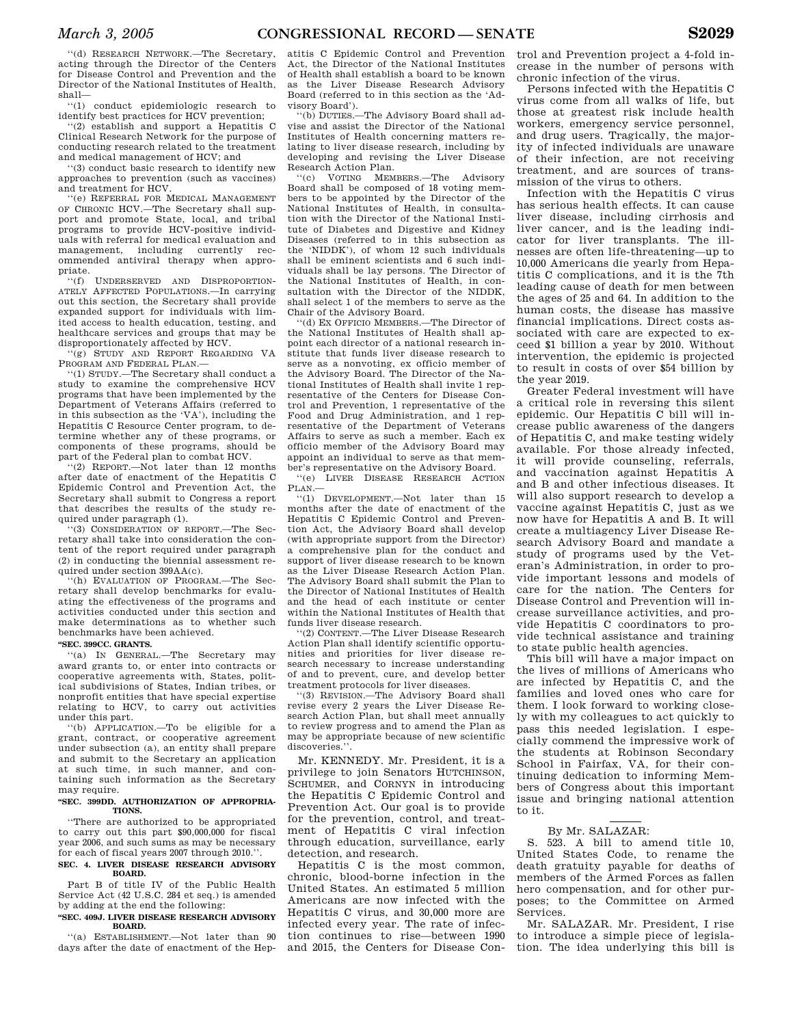''(d) RESEARCH NETWORK.—The Secretary, acting through the Director of the Centers for Disease Control and Prevention and the Director of the National Institutes of Health, shall—

''(1) conduct epidemiologic research to identify best practices for HCV prevention;

''(2) establish and support a Hepatitis C Clinical Research Network for the purpose of conducting research related to the treatment and medical management of HCV; and

''(3) conduct basic research to identify new approaches to prevention (such as vaccines) and treatment for HCV.

''(e) REFERRAL FOR MEDICAL MANAGEMENT OF CHRONIC HCV.—The Secretary shall support and promote State, local, and tribal programs to provide HCV-positive individuals with referral for medical evaluation and management, including currently recommended antiviral therapy when appropriate.

''(f) UNDERSERVED AND DISPROPORTION-ATELY AFFECTED POPULATIONS.—In carrying out this section, the Secretary shall provide expanded support for individuals with limited access to health education, testing, and healthcare services and groups that may be disproportionately affected by HCV.

'(g) STUDY AND REPORT REGARDING VA PROGRAM AND FEDERAL PLAN.

''(1) STUDY.—The Secretary shall conduct a study to examine the comprehensive HCV programs that have been implemented by the Department of Veterans Affairs (referred to in this subsection as the 'VA'), including the Hepatitis C Resource Center program, to determine whether any of these programs, or components of these programs, should be part of the Federal plan to combat HCV.

''(2) REPORT.—Not later than 12 months after date of enactment of the Hepatitis C Epidemic Control and Prevention Act, the Secretary shall submit to Congress a report that describes the results of the study required under paragraph (1).

''(3) CONSIDERATION OF REPORT.—The Secretary shall take into consideration the content of the report required under paragraph (2) in conducting the biennial assessment required under section 399AA(c).

''(h) EVALUATION OF PROGRAM.—The Secretary shall develop benchmarks for evaluating the effectiveness of the programs and activities conducted under this section and make determinations as to whether such benchmarks have been achieved.

### **''SEC. 399CC. GRANTS.**

''(a) IN GENERAL.—The Secretary may award grants to, or enter into contracts or cooperative agreements with, States, political subdivisions of States, Indian tribes, or nonprofit entities that have special expertise relating to HCV, to carry out activities under this part.

''(b) APPLICATION.—To be eligible for a grant, contract, or cooperative agreement under subsection (a), an entity shall prepare and submit to the Secretary an application at such time, in such manner, and containing such information as the Secretary may require.

#### **''SEC. 399DD. AUTHORIZATION OF APPROPRIA-TIONS.**

''There are authorized to be appropriated to carry out this part \$90,000,000 for fiscal year 2006, and such sums as may be necessary for each of fiscal years 2007 through 2010.''.

#### **SEC. 4. LIVER DISEASE RESEARCH ADVISORY BOARD.**

Part B of title IV of the Public Health Service Act (42 U.S.C. 284 et seq.) is amended by adding at the end the following:

### **''SEC. 409J. LIVER DISEASE RESEARCH ADVISORY BOARD.**

''(a) ESTABLISHMENT.—Not later than 90 days after the date of enactment of the Hep-

atitis C Epidemic Control and Prevention Act, the Director of the National Institutes of Health shall establish a board to be known as the Liver Disease Research Advisory Board (referred to in this section as the 'Advisory Board').

''(b) DUTIES.—The Advisory Board shall advise and assist the Director of the National Institutes of Health concerning matters relating to liver disease research, including by developing and revising the Liver Disease Research Action Plan.<br>"(c) VOTING MEM

VOTING MEMBERS.—The Advisory Board shall be composed of 18 voting members to be appointed by the Director of the National Institutes of Health, in consultation with the Director of the National Institute of Diabetes and Digestive and Kidney Diseases (referred to in this subsection as the 'NIDDK'), of whom 12 such individuals shall be eminent scientists and 6 such individuals shall be lay persons. The Director of the National Institutes of Health, in consultation with the Director of the NIDDK. shall select 1 of the members to serve as the Chair of the Advisory Board.

'(d) EX OFFICIO MEMBERS.—The Director of the National Institutes of Health shall appoint each director of a national research institute that funds liver disease research to serve as a nonvoting, ex officio member of the Advisory Board. The Director of the National Institutes of Health shall invite 1 representative of the Centers for Disease Control and Prevention, 1 representative of the Food and Drug Administration, and 1 representative of the Department of Veterans Affairs to serve as such a member. Each ex officio member of the Advisory Board may appoint an individual to serve as that member's representative on the Advisory Board.

''(e) LIVER DISEASE RESEARCH ACTION PLAN.—

''(1) DEVELOPMENT.—Not later than 15 months after the date of enactment of the Hepatitis C Epidemic Control and Prevention Act, the Advisory Board shall develop (with appropriate support from the Director) a comprehensive plan for the conduct and support of liver disease research to be known as the Liver Disease Research Action Plan. The Advisory Board shall submit the Plan to the Director of National Institutes of Health and the head of each institute or center within the National Institutes of Health that funds liver disease research.

''(2) CONTENT.—The Liver Disease Research Action Plan shall identify scientific opportunities and priorities for liver disease research necessary to increase understanding of and to prevent, cure, and develop better treatment protocols for liver diseases.

''(3) REVISION.—The Advisory Board shall revise every 2 years the Liver Disease Research Action Plan, but shall meet annually to review progress and to amend the Plan as may be appropriate because of new scientific discoveries.''.

Mr. KENNEDY. Mr. President, it is a privilege to join Senators HUTCHINSON, SCHUMER, and CORNYN in introducing the Hepatitis C Epidemic Control and Prevention Act. Our goal is to provide for the prevention, control, and treatment of Hepatitis C viral infection through education, surveillance, early detection, and research.

Hepatitis C is the most common, chronic, blood-borne infection in the United States. An estimated 5 million Americans are now infected with the Hepatitis C virus, and 30,000 more are infected every year. The rate of infection continues to rise—between 1990 and 2015, the Centers for Disease Con-

trol and Prevention project a 4-fold increase in the number of persons with chronic infection of the virus.

Persons infected with the Hepatitis C virus come from all walks of life, but those at greatest risk include health workers, emergency service personnel, and drug users. Tragically, the majority of infected individuals are unaware of their infection, are not receiving treatment, and are sources of transmission of the virus to others.

Infection with the Hepatitis C virus has serious health effects. It can cause liver disease, including cirrhosis and liver cancer, and is the leading indicator for liver transplants. The illnesses are often life-threatening—up to 10,000 Americans die yearly from Hepatitis C complications, and it is the 7th leading cause of death for men between the ages of 25 and 64. In addition to the human costs, the disease has massive financial implications. Direct costs associated with care are expected to exceed \$1 billion a year by 2010. Without intervention, the epidemic is projected to result in costs of over \$54 billion by the year 2019.

Greater Federal investment will have a critical role in reversing this silent epidemic. Our Hepatitis C bill will increase public awareness of the dangers of Hepatitis C, and make testing widely available. For those already infected, it will provide counseling, referrals, and vaccination against Hepatitis A and B and other infectious diseases. It will also support research to develop a vaccine against Hepatitis C, just as we now have for Hepatitis A and B. It will create a multiagency Liver Disease Research Advisory Board and mandate a study of programs used by the Veteran's Administration, in order to provide important lessons and models of care for the nation. The Centers for Disease Control and Prevention will increase surveillance activities, and provide Hepatitis C coordinators to provide technical assistance and training to state public health agencies.

This bill will have a major impact on the lives of millions of Americans who are infected by Hepatitis C, and the families and loved ones who care for them. I look forward to working closely with my colleagues to act quickly to pass this needed legislation. I especially commend the impressive work of the students at Robinson Secondary School in Fairfax, VA, for their continuing dedication to informing Members of Congress about this important issue and bringing national attention to it.

### By Mr. SALAZAR:

S. 523. A bill to amend title 10, United States Code, to rename the death gratuity payable for deaths of members of the Armed Forces as fallen hero compensation, and for other purposes; to the Committee on Armed Services.

Mr. SALAZAR. Mr. President, I rise to introduce a simple piece of legislation. The idea underlying this bill is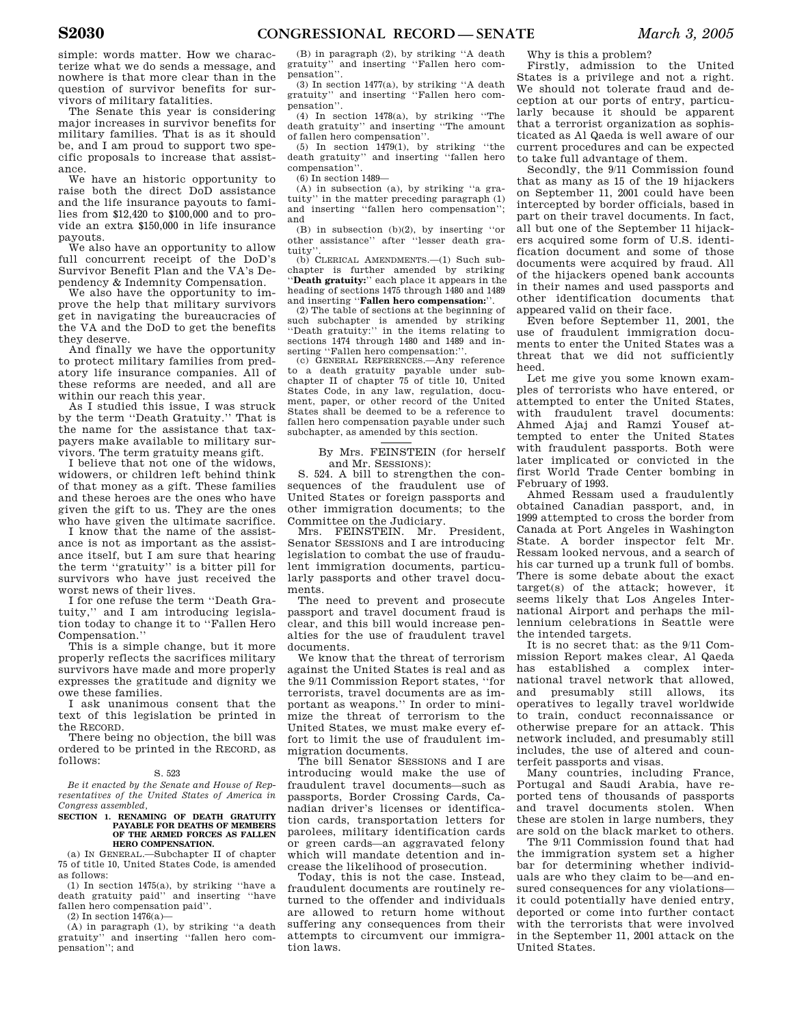simple: words matter. How we characterize what we do sends a message, and nowhere is that more clear than in the question of survivor benefits for survivors of military fatalities.

The Senate this year is considering major increases in survivor benefits for military families. That is as it should be, and I am proud to support two specific proposals to increase that assistance.

We have an historic opportunity to raise both the direct DoD assistance and the life insurance payouts to families from \$12,420 to \$100,000 and to provide an extra \$150,000 in life insurance payouts.

We also have an opportunity to allow full concurrent receipt of the DoD's Survivor Benefit Plan and the VA's Dependency & Indemnity Compensation.

We also have the opportunity to improve the help that military survivors get in navigating the bureaucracies of the VA and the DoD to get the benefits they deserve.

And finally we have the opportunity to protect military families from predatory life insurance companies. All of these reforms are needed, and all are within our reach this year.

As I studied this issue, I was struck by the term ''Death Gratuity.'' That is the name for the assistance that taxpayers make available to military survivors. The term gratuity means gift.

I believe that not one of the widows, widowers, or children left behind think of that money as a gift. These families and these heroes are the ones who have given the gift to us. They are the ones who have given the ultimate sacrifice.

I know that the name of the assistance is not as important as the assistance itself, but I am sure that hearing the term ''gratuity'' is a bitter pill for survivors who have just received the worst news of their lives.

I for one refuse the term ''Death Gratuity,'' and I am introducing legislation today to change it to ''Fallen Hero Compensation.''

This is a simple change, but it more properly reflects the sacrifices military survivors have made and more properly expresses the gratitude and dignity we owe these families.

I ask unanimous consent that the text of this legislation be printed in the RECORD.

There being no objection, the bill was ordered to be printed in the RECORD, as follows:

#### S. 523

*Be it enacted by the Senate and House of Representatives of the United States of America in Congress assembled,* 

#### **SECTION 1. RENAMING OF DEATH GRATUITY PAYABLE FOR DEATHS OF MEMBERS OF THE ARMED FORCES AS FALLEN HERO COMPENSATION.**

(a) IN GENERAL.—Subchapter II of chapter 75 of title 10, United States Code, is amended as follows:

(1) In section 1475(a), by striking ''have a death gratuity paid'' and inserting ''have fallen hero compensation paid''.

 $(2)$  In section 1476 $(a)$ -

(A) in paragraph (1), by striking ''a death gratuity'' and inserting ''fallen hero compensation''; and

(B) in paragraph (2), by striking ''A death gratuity'' and inserting ''Fallen hero compensation''.

(3) In section 1477(a), by striking ''A death gratuity'' and inserting ''Fallen hero compensation''.

(4) In section 1478(a), by striking ''The death gratuity'' and inserting ''The amount of fallen hero compensation''.

(5) In section 1479(1), by striking ''the death gratuity'' and inserting ''fallen hero compensation''.

(6) In section 1489—

(A) in subsection (a), by striking ''a gratuity'' in the matter preceding paragraph (1) and inserting ''fallen hero compensation''; and

(B) in subsection (b)(2), by inserting ''or other assistance'' after ''lesser death gratuity

(b) CLERICAL AMENDMENTS.—(1) Such subchapter is further amended by striking ''**Death gratuity:**'' each place it appears in the heading of sections 1475 through 1480 and 1489 and inserting ''**Fallen hero compensation:**''.

(2) The table of sections at the beginning of such subchapter is amended by striking ''Death gratuity:'' in the items relating to sections 1474 through 1480 and 1489 and inserting ''Fallen hero compensation:''.

(c) GENERAL REFERENCES.—Any reference to a death gratuity payable under sub-chapter II of chapter 75 of title 10, United States Code, in any law, regulation, document, paper, or other record of the United States shall be deemed to be a reference to fallen hero compensation payable under such subchapter, as amended by this section.

### By Mrs. FEINSTEIN (for herself and Mr. SESSIONS):

S. 524. A bill to strengthen the consequences of the fraudulent use of United States or foreign passports and other immigration documents; to the Committee on the Judiciary.<br>Mrs. FEINSTEIN. Mr. President.

Mrs. FEINSTEIN. Mr. Senator SESSIONS and I are introducing legislation to combat the use of fraudulent immigration documents, particularly passports and other travel documents.

The need to prevent and prosecute passport and travel document fraud is clear, and this bill would increase penalties for the use of fraudulent travel documents.

We know that the threat of terrorism against the United States is real and as the 9/11 Commission Report states, ''for terrorists, travel documents are as important as weapons.'' In order to minimize the threat of terrorism to the United States, we must make every effort to limit the use of fraudulent immigration documents.

The bill Senator SESSIONS and I are introducing would make the use of fraudulent travel documents—such as passports, Border Crossing Cards, Canadian driver's licenses or identification cards, transportation letters for parolees, military identification cards or green cards—an aggravated felony which will mandate detention and increase the likelihood of prosecution.

Today, this is not the case. Instead, fraudulent documents are routinely returned to the offender and individuals are allowed to return home without suffering any consequences from their attempts to circumvent our immigration laws.

Why is this a problem?

Firstly, admission to the United States is a privilege and not a right. We should not tolerate fraud and deception at our ports of entry, particularly because it should be apparent that a terrorist organization as sophisticated as Al Qaeda is well aware of our current procedures and can be expected to take full advantage of them.

Secondly, the 9/11 Commission found that as many as 15 of the 19 hijackers on September 11, 2001 could have been intercepted by border officials, based in part on their travel documents. In fact, all but one of the September 11 hijackers acquired some form of U.S. identification document and some of those documents were acquired by fraud. All of the hijackers opened bank accounts in their names and used passports and other identification documents that appeared valid on their face.

Even before September 11, 2001, the use of fraudulent immigration documents to enter the United States was a threat that we did not sufficiently heed.

Let me give you some known examples of terrorists who have entered, or attempted to enter the United States, with fraudulent travel documents: Ahmed Ajaj and Ramzi Yousef attempted to enter the United States with fraudulent passports. Both were later implicated or convicted in the first World Trade Center bombing in February of 1993.

Ahmed Ressam used a fraudulently obtained Canadian passport, and, in 1999 attempted to cross the border from Canada at Port Angeles in Washington State. A border inspector felt Mr. Ressam looked nervous, and a search of his car turned up a trunk full of bombs. There is some debate about the exact target(s) of the attack; however, it seems likely that Los Angeles International Airport and perhaps the millennium celebrations in Seattle were the intended targets.

It is no secret that: as the 9/11 Commission Report makes clear, Al Qaeda has established a complex international travel network that allowed, and presumably still allows, its operatives to legally travel worldwide to train, conduct reconnaissance or otherwise prepare for an attack. This network included, and presumably still includes, the use of altered and counterfeit passports and visas.

Many countries, including France, Portugal and Saudi Arabia, have reported tens of thousands of passports and travel documents stolen. When these are stolen in large numbers, they are sold on the black market to others.

The 9/11 Commission found that had the immigration system set a higher bar for determining whether individuals are who they claim to be—and ensured consequences for any violations it could potentially have denied entry, deported or come into further contact with the terrorists that were involved in the September 11, 2001 attack on the United States.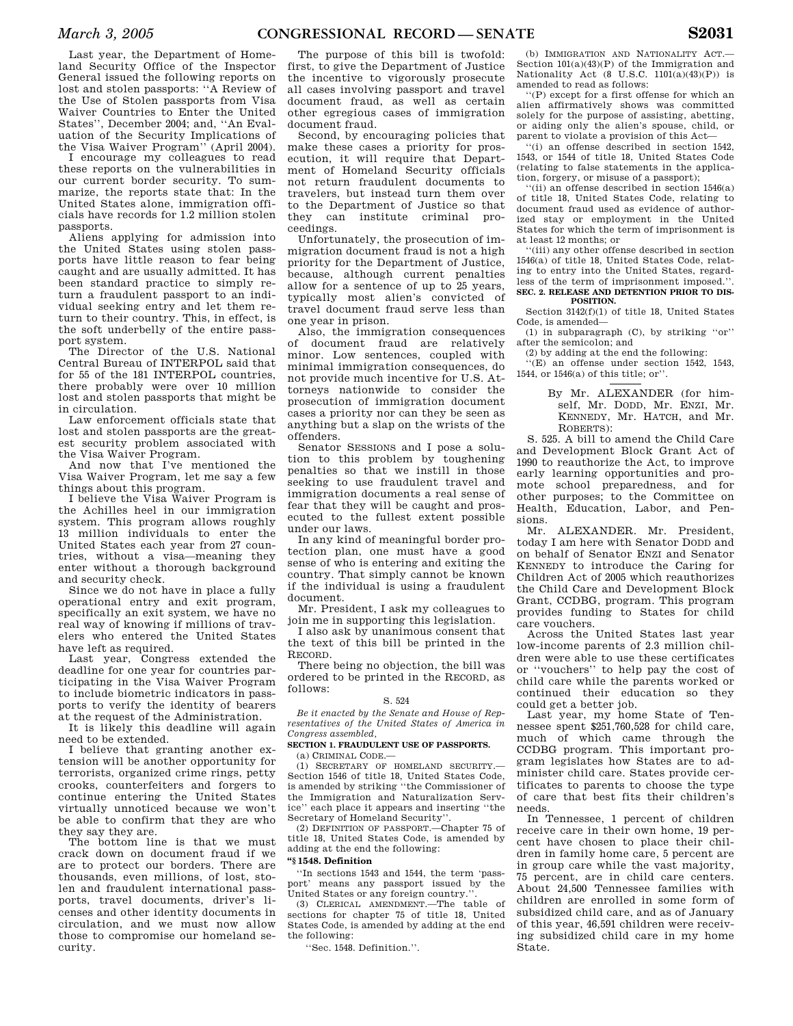Last year, the Department of Homeland Security Office of the Inspector General issued the following reports on lost and stolen passports: ''A Review of the Use of Stolen passports from Visa Waiver Countries to Enter the United States'', December 2004; and, ''An Evaluation of the Security Implications of the Visa Waiver Program'' (April 2004).

I encourage my colleagues to read these reports on the vulnerabilities in our current border security. To summarize, the reports state that: In the United States alone, immigration officials have records for 1.2 million stolen passports.

Aliens applying for admission into the United States using stolen passports have little reason to fear being caught and are usually admitted. It has been standard practice to simply return a fraudulent passport to an individual seeking entry and let them return to their country. This, in effect, is the soft underbelly of the entire passport system.

The Director of the U.S. National Central Bureau of INTERPOL said that for 55 of the 181 INTERPOL countries, there probably were over 10 million lost and stolen passports that might be in circulation.

Law enforcement officials state that lost and stolen passports are the greatest security problem associated with the Visa Waiver Program.

And now that I've mentioned the Visa Waiver Program, let me say a few things about this program.

I believe the Visa Waiver Program is the Achilles heel in our immigration system. This program allows roughly 13 million individuals to enter the United States each year from 27 countries, without a visa—meaning they enter without a thorough background and security check.

Since we do not have in place a fully operational entry and exit program, specifically an exit system, we have no real way of knowing if millions of travelers who entered the United States have left as required.

Last year, Congress extended the deadline for one year for countries participating in the Visa Waiver Program to include biometric indicators in passports to verify the identity of bearers at the request of the Administration.

It is likely this deadline will again need to be extended.

I believe that granting another extension will be another opportunity for terrorists, organized crime rings, petty crooks, counterfeiters and forgers to continue entering the United States virtually unnoticed because we won't be able to confirm that they are who they say they are.

The bottom line is that we must crack down on document fraud if we are to protect our borders. There are thousands, even millions, of lost, stolen and fraudulent international passports, travel documents, driver's licenses and other identity documents in circulation, and we must now allow those to compromise our homeland security.

The purpose of this bill is twofold: first, to give the Department of Justice the incentive to vigorously prosecute all cases involving passport and travel document fraud, as well as certain other egregious cases of immigration document fraud.

Second, by encouraging policies that make these cases a priority for prosecution, it will require that Department of Homeland Security officials not return fraudulent documents to travelers, but instead turn them over to the Department of Justice so that they can institute criminal proceedings.

Unfortunately, the prosecution of immigration document fraud is not a high priority for the Department of Justice, because, although current penalties allow for a sentence of up to 25 years, typically most alien's convicted of travel document fraud serve less than one year in prison.

Also, the immigration consequences of document fraud are relatively minor. Low sentences, coupled with minimal immigration consequences, do not provide much incentive for U.S. Attorneys nationwide to consider the prosecution of immigration document cases a priority nor can they be seen as anything but a slap on the wrists of the offenders.

Senator SESSIONS and I pose a solution to this problem by toughening penalties so that we instill in those seeking to use fraudulent travel and immigration documents a real sense of fear that they will be caught and prosecuted to the fullest extent possible under our laws.

In any kind of meaningful border protection plan, one must have a good sense of who is entering and exiting the country. That simply cannot be known if the individual is using a fraudulent document.

Mr. President, I ask my colleagues to join me in supporting this legislation.

I also ask by unanimous consent that the text of this bill be printed in the RECORD.

There being no objection, the bill was ordered to be printed in the RECORD, as follows:

### S. 524

*Be it enacted by the Senate and House of Representatives of the United States of America in Congress assembled,* 

### **SECTION 1. FRAUDULENT USE OF PASSPORTS.**

(a) CRIMINAL CODE.—

(1) SECRETARY OF HOMELAND SECURITY.— Section 1546 of title 18, United States Code, is amended by striking ''the Commissioner of the Immigration and Naturalization Service'' each place it appears and inserting ''the Secretary of Homeland Security''.

(2) DEFINITION OF PASSPORT.—Chapter 75 of title 18, United States Code, is amended by adding at the end the following:

### **''§ 1548. Definition**

''In sections 1543 and 1544, the term 'passport' means any passport issued by the United States or any foreign country.''.

(3) CLERICAL AMENDMENT.—The table of sections for chapter 75 of title 18, United States Code, is amended by adding at the end the following:

''Sec. 1548. Definition.''.

(b) IMMIGRATION AND NATIONALITY ACT.-Section 101(a)(43)(P) of the Immigration and Nationality Act (8 U.S.C.  $1101(a)(43)(P)$ ) is amended to read as follows:

''(P) except for a first offense for which an alien affirmatively shows was committed solely for the purpose of assisting, abetting, or aiding only the alien's spouse, child, or parent to violate a provision of this Act—

''(i) an offense described in section 1542, 1543, or 1544 of title 18, United States Code (relating to false statements in the application, forgery, or misuse of a passport);

''(ii) an offense described in section 1546(a) of title 18, United States Code, relating to document fraud used as evidence of authorized stay or employment in the United States for which the term of imprisonment is at least 12 months; or

''(iii) any other offense described in section 1546(a) of title 18, United States Code, relating to entry into the United States, regardless of the term of imprisonment imposed.'

### **SEC. 2. RELEASE AND DETENTION PRIOR TO DIS-POSITION.**

Section 3142(f)(1) of title 18, United States Code, is amended—

(1) in subparagraph (C), by striking ''or'' after the semicolon; and

(2) by adding at the end the following:

 $(E)$  an offense under section 1542, 1543, 1544, or 1546(a) of this title; or''.

> By Mr. ALEXANDER (for himself, Mr. DODD, Mr. ENZI, Mr. KENNEDY, Mr. HATCH, and Mr. ROBERTS):

S. 525. A bill to amend the Child Care and Development Block Grant Act of 1990 to reauthorize the Act, to improve early learning opportunities and promote school preparedness, and for other purposes; to the Committee on Health, Education, Labor, and Pensions.

Mr. ALEXANDER. Mr. President, today I am here with Senator DODD and on behalf of Senator ENZI and Senator KENNEDY to introduce the Caring for Children Act of 2005 which reauthorizes the Child Care and Development Block Grant, CCDBG, program. This program provides funding to States for child care vouchers.

Across the United States last year low-income parents of 2.3 million children were able to use these certificates or ''vouchers'' to help pay the cost of child care while the parents worked or continued their education so they could get a better job.

Last year, my home State of Tennessee spent \$251,760,528 for child care, much of which came through the CCDBG program. This important program legislates how States are to administer child care. States provide certificates to parents to choose the type of care that best fits their children's needs.

In Tennessee, 1 percent of children receive care in their own home, 19 percent have chosen to place their children in family home care, 5 percent are in group care while the vast majority, 75 percent, are in child care centers. About 24,500 Tennessee families with children are enrolled in some form of subsidized child care, and as of January of this year, 46,591 children were receiving subsidized child care in my home State.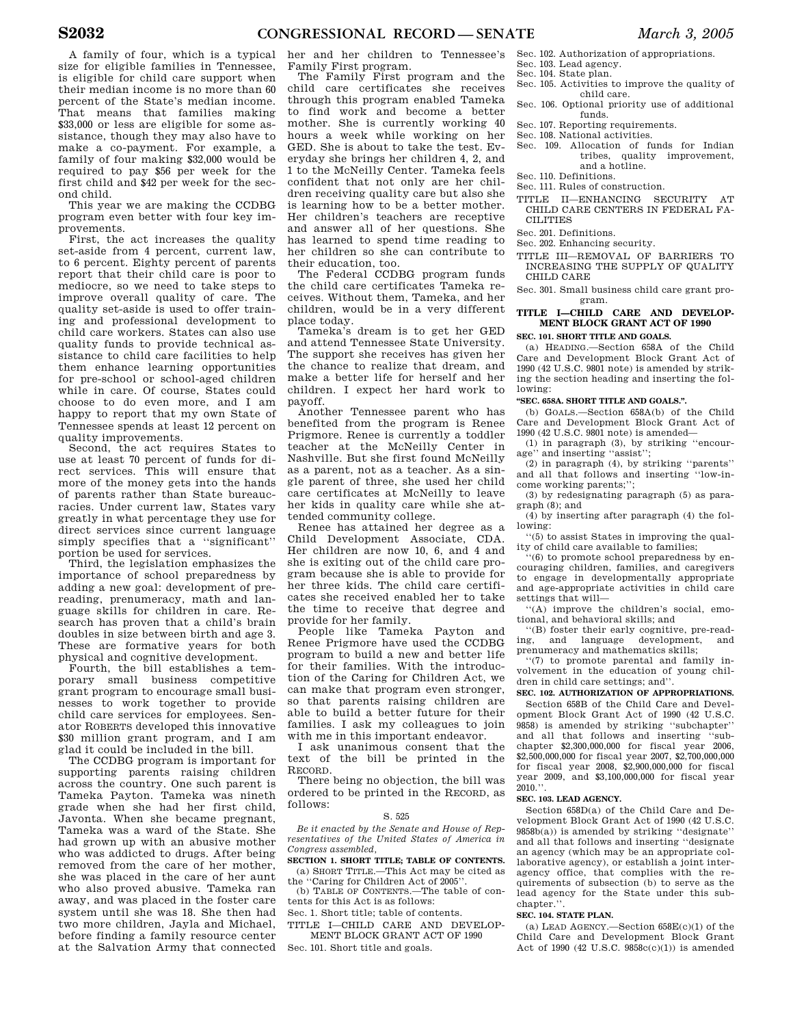A family of four, which is a typical size for eligible families in Tennessee, is eligible for child care support when their median income is no more than 60 percent of the State's median income. That means that families making \$33,000 or less are eligible for some assistance, though they may also have to make a co-payment. For example, a family of four making \$32,000 would be required to pay \$56 per week for the first child and \$42 per week for the second child.

This year we are making the CCDBG program even better with four key improvements.

First, the act increases the quality set-aside from 4 percent, current law, to 6 percent. Eighty percent of parents report that their child care is poor to mediocre, so we need to take steps to improve overall quality of care. The quality set-aside is used to offer training and professional development to child care workers. States can also use quality funds to provide technical assistance to child care facilities to help them enhance learning opportunities for pre-school or school-aged children while in care. Of course, States could choose to do even more, and I am happy to report that my own State of Tennessee spends at least 12 percent on quality improvements.

Second, the act requires States to use at least 70 percent of funds for direct services. This will ensure that more of the money gets into the hands of parents rather than State bureaucracies. Under current law, States vary greatly in what percentage they use for direct services since current language simply specifies that a ''significant'' portion be used for services.

Third, the legislation emphasizes the importance of school preparedness by adding a new goal: development of prereading, prenumeracy, math and language skills for children in care. Research has proven that a child's brain doubles in size between birth and age 3. These are formative years for both physical and cognitive development.

Fourth, the bill establishes a temporary small business competitive grant program to encourage small businesses to work together to provide child care services for employees. Senator ROBERTS developed this innovative \$30 million grant program, and I am glad it could be included in the bill.

The CCDBG program is important for supporting parents raising children across the country. One such parent is Tameka Payton. Tameka was nineth grade when she had her first child, Javonta. When she became pregnant, Tameka was a ward of the State. She had grown up with an abusive mother who was addicted to drugs. After being removed from the care of her mother, she was placed in the care of her aunt who also proved abusive. Tameka ran away, and was placed in the foster care system until she was 18. She then had two more children, Jayla and Michael, before finding a family resource center at the Salvation Army that connected

her and her children to Tennessee's Family First program.

The Family First program and the child care certificates she receives through this program enabled Tameka to find work and become a better mother. She is currently working 40 hours a week while working on her GED. She is about to take the test. Everyday she brings her children 4, 2, and 1 to the McNeilly Center. Tameka feels confident that not only are her children receiving quality care but also she is learning how to be a better mother. Her children's teachers are receptive and answer all of her questions. She has learned to spend time reading to her children so she can contribute to their education, too.

The Federal CCDBG program funds the child care certificates Tameka receives. Without them, Tameka, and her children, would be in a very different place today.

Tameka's dream is to get her GED and attend Tennessee State University. The support she receives has given her the chance to realize that dream, and make a better life for herself and her children. I expect her hard work to payoff.

Another Tennessee parent who has benefited from the program is Renee Prigmore. Renee is currently a toddler teacher at the McNeilly Center in Nashville. But she first found McNeilly as a parent, not as a teacher. As a single parent of three, she used her child care certificates at McNeilly to leave her kids in quality care while she attended community college.

Renee has attained her degree as a Child Development Associate, CDA. Her children are now 10, 6, and 4 and she is exiting out of the child care program because she is able to provide for her three kids. The child care certificates she received enabled her to take the time to receive that degree and provide for her family.

People like Tameka Payton and Renee Prigmore have used the CCDBG program to build a new and better life for their families. With the introduction of the Caring for Children Act, we can make that program even stronger, so that parents raising children are able to build a better future for their families. I ask my colleagues to join with me in this important endeavor.

I ask unanimous consent that the text of the bill be printed in the RECORD.

There being no objection, the bill was ordered to be printed in the RECORD, as follows:

### S. 525

*Be it enacted by the Senate and House of Representatives of the United States of America in Congress assembled,* 

**SECTION 1. SHORT TITLE; TABLE OF CONTENTS.**  (a) SHORT TITLE.—This Act may be cited as

the ''Caring for Children Act of 2005''. (b) TABLE OF CONTENTS.—The table of con-

tents for this Act is as follows:

Sec. 1. Short title; table of contents. TITLE I—CHILD CARE AND DEVELOP-

MENT BLOCK GRANT ACT OF 1990

Sec. 101. Short title and goals.

- Sec. 102. Authorization of appropriations.
- Sec. 103. Lead agency.
- Sec. 104. State plan.
- Sec. 105. Activities to improve the quality of child care.
- Sec. 106. Optional priority use of additional funds.
- Sec. 107. Reporting requirements.
- Sec. 108. National activities.
- Sec. 109. Allocation of funds for Indian tribes, quality improvement, and a hotline.
- Sec. 110. Definitions.
- Sec. 111. Rules of construction.
- TITLE II—ENHANCING SECURITY AT CHILD CARE CENTERS IN FEDERAL FA-**CILITIES**
- Sec. 201. Definitions.
- Sec. 202. Enhancing security.
- TITLE III—REMOVAL OF BARRIERS TO
- INCREASING THE SUPPLY OF QUALITY CHILD CARE

Sec. 301. Small business child care grant program.

## **TITLE I—CHILD CARE AND DEVELOP-MENT BLOCK GRANT ACT OF 1990**

### **SEC. 101. SHORT TITLE AND GOALS.**

(a) HEADING.—Section 658A of the Child Care and Development Block Grant Act of 1990 (42 U.S.C. 9801 note) is amended by striking the section heading and inserting the following:

### **''SEC. 658A. SHORT TITLE AND GOALS.''.**

(b) GOALS.—Section 658A(b) of the Child Care and Development Block Grant Act of 1990 (42 U.S.C. 9801 note) is amended—

(1) in paragraph (3), by striking ''encourage'' and inserting ''assist'';

(2) in paragraph (4), by striking ''parents'' and all that follows and inserting ''low-income working parents;'';

(3) by redesignating paragraph (5) as paragraph (8); and

(4) by inserting after paragraph (4) the following:

''(5) to assist States in improving the quality of child care available to families;

''(6) to promote school preparedness by encouraging children, families, and caregivers to engage in developmentally appropriate and age-appropriate activities in child care settings that will—

''(A) improve the children's social, emotional, and behavioral skills; and

''(B) foster their early cognitive, pre-reading, and language development, prenumeracy and mathematics skills;

''(7) to promote parental and family involvement in the education of young children in child care settings; and''.

#### **SEC. 102. AUTHORIZATION OF APPROPRIATIONS.**

Section 658B of the Child Care and Development Block Grant Act of 1990 (42 U.S.C. 9858) is amended by striking ''subchapter'' and all that follows and inserting ''subchapter \$2,300,000,000 for fiscal year 2006, \$2,500,000,000 for fiscal year 2007, \$2,700,000,000 for fiscal year 2008, \$2,900,000,000 for fiscal year 2009, and \$3,100,000,000 for fiscal year 2010.''.

### **SEC. 103. LEAD AGENCY.**

Section 658D(a) of the Child Care and Development Block Grant Act of 1990 (42 U.S.C.  $9858\bar{b}(a)$ ) is amended by striking "designate" and all that follows and inserting ''designate an agency (which may be an appropriate collaborative agency), or establish a joint interagency office, that complies with the requirements of subsection (b) to serve as the lead agency for the State under this subchapter."

#### **SEC. 104. STATE PLAN.**

(a) LEAD AGENCY.—Section 658E(c)(1) of the Child Care and Development Block Grant Act of 1990 (42 U.S.C. 9858c(c)(1)) is amended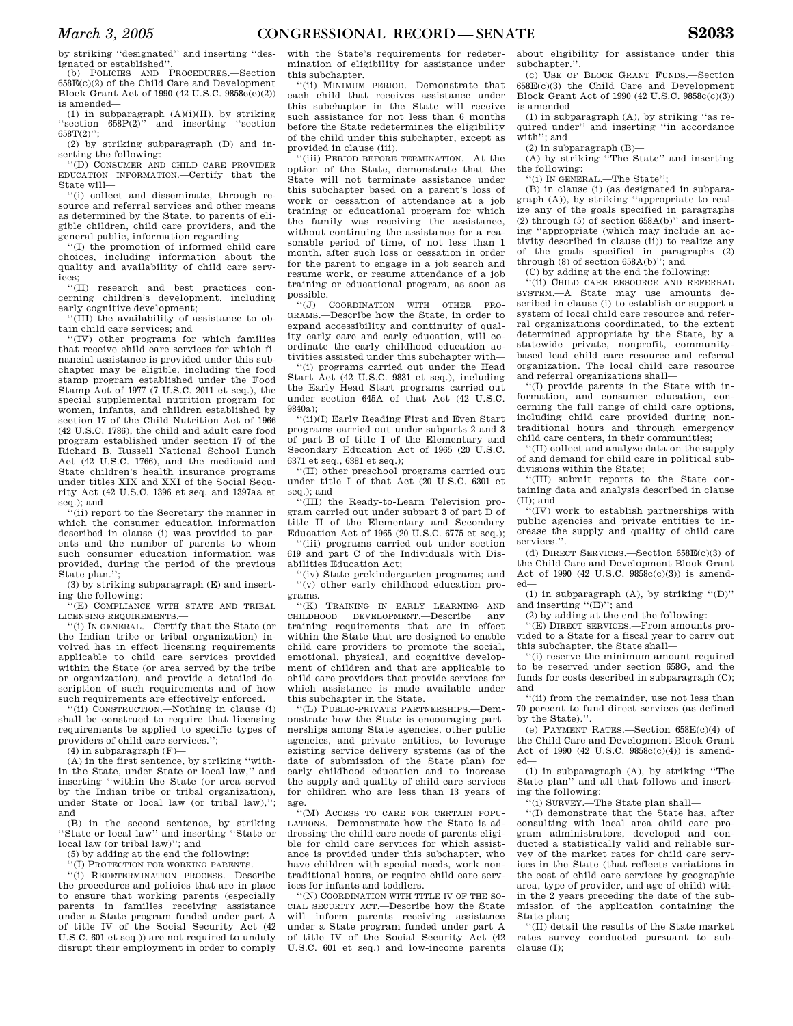by striking ''designated'' and inserting ''designated or established''.

(b) POLICIES AND PROCEDURES.—Section 658E(c)(2) of the Child Care and Development Block Grant Act of 1990 (42 U.S.C. 9858c(c)(2)) is amended—

(1) in subparagraph  $(A)(i)(II)$ , by striking 'section 658P(2)'' and inserting 'section and inserting "section  $658T(2)$ "

(2) by striking subparagraph (D) and inserting the following:

'(D) CONSUMER AND CHILD CARE PROVIDER EDUCATION INFORMATION.—Certify that the State will—

''(i) collect and disseminate, through resource and referral services and other means as determined by the State, to parents of eligible children, child care providers, and the general public, information regarding—

''(I) the promotion of informed child care choices, including information about the quality and availability of child care services;

''(II) research and best practices concerning children's development, including early cognitive development;

''(III) the availability of assistance to obtain child care services; and

''(IV) other programs for which families that receive child care services for which financial assistance is provided under this subchapter may be eligible, including the food stamp program established under the Food Stamp Act of 1977 (7 U.S.C. 2011 et seq.), the special supplemental nutrition program for women, infants, and children established by section 17 of the Child Nutrition Act of 1966 (42 U.S.C. 1786), the child and adult care food program established under section 17 of the Richard B. Russell National School Lunch Act (42 U.S.C. 1766), and the medicaid and State children's health insurance programs under titles XIX and XXI of the Social Security Act (42 U.S.C. 1396 et seq. and 1397aa et seq.); and

(ii) report to the Secretary the manner in which the consumer education information described in clause (i) was provided to parents and the number of parents to whom such consumer education information was provided, during the period of the previous State plan.'';

(3) by striking subparagraph (E) and inserting the following:

''(E) COMPLIANCE WITH STATE AND TRIBAL LICENSING REQUIREMENTS.—

''(i) IN GENERAL.—Certify that the State (or the Indian tribe or tribal organization) involved has in effect licensing requirements applicable to child care services provided within the State (or area served by the tribe or organization), and provide a detailed description of such requirements and of how such requirements are effectively enforced.

''(ii) CONSTRUCTION.—Nothing in clause (i) shall be construed to require that licensing requirements be applied to specific types of providers of child care services.'';

(4) in subparagraph (F)—

(A) in the first sentence, by striking ''within the State, under State or local law,'' and inserting ''within the State (or area served by the Indian tribe or tribal organization), under State or local law (or tribal law),''; and

(B) in the second sentence, by striking ''State or local law'' and inserting ''State or local law (or tribal law)''; and

(5) by adding at the end the following:

''(I) PROTECTION FOR WORKING PARENTS.—

''(i) REDETERMINATION PROCESS.—Describe the procedures and policies that are in place to ensure that working parents (especially parents in families receiving assistance under a State program funded under part A of title IV of the Social Security Act (42 U.S.C. 601 et seq.)) are not required to unduly disrupt their employment in order to comply

with the State's requirements for redetermination of eligibility for assistance under this subchapter.

''(ii) MINIMUM PERIOD.—Demonstrate that each child that receives assistance under this subchapter in the State will receive such assistance for not less than 6 months before the State redetermines the eligibility of the child under this subchapter, except as provided in clause (iii).

''(iii) PERIOD BEFORE TERMINATION.—At the option of the State, demonstrate that the State will not terminate assistance under this subchapter based on a parent's loss of work or cessation of attendance at a job training or educational program for which the family was receiving the assistance, without continuing the assistance for a reasonable period of time, of not less than 1 month, after such loss or cessation in order for the parent to engage in a job search and resume work, or resume attendance of a job training or educational program, as soon as possible.

''(J) COORDINATION WITH OTHER PRO-GRAMS.—Describe how the State, in order to expand accessibility and continuity of quality early care and early education, will coordinate the early childhood education activities assisted under this subchapter with—

''(i) programs carried out under the Head Start Act (42 U.S.C. 9831 et seq.), including the Early Head Start programs carried out under section 645A of that Act (42 U.S.C. 9840a);

''(ii)(I) Early Reading First and Even Start programs carried out under subparts 2 and 3 of part B of title I of the Elementary and Secondary Education Act of 1965 (20 U.S.C. 6371 et seq., 6381 et seq.);

''(II) other preschool programs carried out under title I of that Act (20 U.S.C. 6301 et seq.); and

''(III) the Ready-to-Learn Television program carried out under subpart 3 of part D of title II of the Elementary and Secondary Education Act of 1965 (20 U.S.C. 6775 et seq.);

''(iii) programs carried out under section 619 and part C of the Individuals with Disabilities Education Act;

''(iv) State prekindergarten programs; and ''(v) other early childhood education programs.

''(K) TRAINING IN EARLY LEARNING AND CHILDHOOD DEVELOPMENT.—Describe any training requirements that are in effect within the State that are designed to enable child care providers to promote the social, emotional, physical, and cognitive development of children and that are applicable to child care providers that provide services for which assistance is made available under this subchapter in the State.

''(L) PUBLIC-PRIVATE PARTNERSHIPS.—Demonstrate how the State is encouraging partnerships among State agencies, other public agencies, and private entities, to leverage existing service delivery systems (as of the date of submission of the State plan) for early childhood education and to increase the supply and quality of child care services for children who are less than 13 years of age.

''(M) ACCESS TO CARE FOR CERTAIN POPU-LATIONS.—Demonstrate how the State is addressing the child care needs of parents eligible for child care services for which assistance is provided under this subchapter, who have children with special needs, work nontraditional hours, or require child care services for infants and toddlers.

''(N) COORDINATION WITH TITLE IV OF THE SO-CIAL SECURITY ACT.—Describe how the State will inform parents receiving assistance under a State program funded under part A of title IV of the Social Security Act (42 U.S.C. 601 et seq.) and low-income parents

about eligibility for assistance under this subchapter.''.

(c) USE OF BLOCK GRANT FUNDS.—Section 658E(c)(3) the Child Care and Development Block Grant Act of 1990 (42 U.S.C. 9858c(c)(3)) is amended—

(1) in subparagraph (A), by striking ''as required under'' and inserting ''in accordance with''; and

(2) in subparagraph (B)—

(A) by striking ''The State'' and inserting the following:

''(i) IN GENERAL.—The State'';

(B) in clause (i) (as designated in subparagraph (A)), by striking ''appropriate to realize any of the goals specified in paragraphs  $(2)$  through  $(5)$  of section  $658A(b)$ " and inserting ''appropriate (which may include an activity described in clause (ii)) to realize any of the goals specified in paragraphs (2) through (8) of section 658A(b)''; and

(C) by adding at the end the following:

''(ii) CHILD CARE RESOURCE AND REFERRAL SYSTEM.—A State may use amounts described in clause (i) to establish or support a system of local child care resource and referral organizations coordinated, to the extent determined appropriate by the State, by a statewide private, nonprofit, communitybased lead child care resource and referral organization. The local child care resource and referral organizations shall—

''(I) provide parents in the State with information, and consumer education, concerning the full range of child care options, including child care provided during nontraditional hours and through emergency child care centers, in their communities;

''(II) collect and analyze data on the supply of and demand for child care in political subdivisions within the State;

''(III) submit reports to the State containing data and analysis described in clause (II); and

''(IV) work to establish partnerships with public agencies and private entities to increase the supply and quality of child care services.''.

(d) DIRECT SERVICES.—Section 658E(c)(3) of the Child Care and Development Block Grant Act of 1990 (42 U.S.C. 9858c(c)(3)) is amended—

(1) in subparagraph  $(A)$ , by striking  $\lq (D)$ " and inserting "(E)"; and

(2) by adding at the end the following:

''(E) DIRECT SERVICES.—From amounts provided to a State for a fiscal year to carry out this subchapter, the State shall—

''(i) reserve the minimum amount required to be reserved under section 658G, and the funds for costs described in subparagraph (C); and

''(ii) from the remainder, use not less than 70 percent to fund direct services (as defined by the State).'

(e) PAYMENT RATES.—Section 658E(c)(4) of the Child Care and Development Block Grant Act of 1990 (42 U.S.C. 9858c(c)(4)) is amended—

(1) in subparagraph (A), by striking ''The State plan'' and all that follows and inserting the following:

''(i) SURVEY.—The State plan shall—

''(I) demonstrate that the State has, after consulting with local area child care program administrators, developed and conducted a statistically valid and reliable survey of the market rates for child care services in the State (that reflects variations in the cost of child care services by geographic area, type of provider, and age of child) within the 2 years preceding the date of the submission of the application containing the State plan;

''(II) detail the results of the State market rates survey conducted pursuant to subclause (I);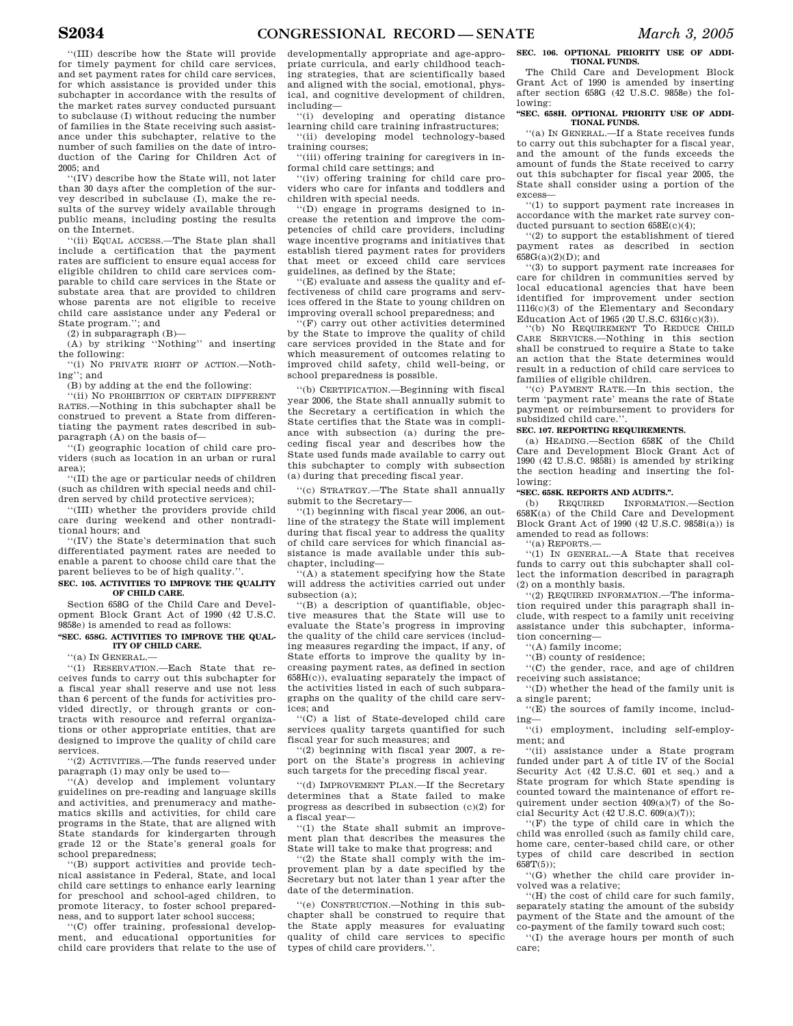''(III) describe how the State will provide for timely payment for child care services, and set payment rates for child care services, for which assistance is provided under this subchapter in accordance with the results of the market rates survey conducted pursuant to subclause (I) without reducing the number of families in the State receiving such assistance under this subchapter, relative to the number of such families on the date of introduction of the Caring for Children Act of 2005; and

''(IV) describe how the State will, not later than 30 days after the completion of the survey described in subclause (I), make the results of the survey widely available through public means, including posting the results on the Internet.

'(ii) EQUAL ACCESS.—The State plan shall include a certification that the payment rates are sufficient to ensure equal access for eligible children to child care services comparable to child care services in the State or substate area that are provided to children whose parents are not eligible to receive child care assistance under any Federal or State program.''; and

(2) in subparagraph (B)—

(A) by striking ''Nothing'' and inserting the following:

''(i) NO PRIVATE RIGHT OF ACTION.—Nothing": and

(B) by adding at the end the following:

''(ii) NO PROHIBITION OF CERTAIN DIFFERENT RATES.—Nothing in this subchapter shall be construed to prevent a State from differentiating the payment rates described in subparagraph (A) on the basis of—

''(I) geographic location of child care providers (such as location in an urban or rural area);

''(II) the age or particular needs of children (such as children with special needs and children served by child protective services);

''(III) whether the providers provide child care during weekend and other nontraditional hours; and

''(IV) the State's determination that such differentiated payment rates are needed to enable a parent to choose child care that the parent believes to be of high quality.'

#### **SEC. 105. ACTIVITIES TO IMPROVE THE QUALITY OF CHILD CARE.**

Section 658G of the Child Care and Development Block Grant Act of 1990 (42 U.S.C. 9858e) is amended to read as follows:

### **''SEC. 658G. ACTIVITIES TO IMPROVE THE QUAL-ITY OF CHILD CARE.**

'(a) IN GENERAL.-

''(1) RESERVATION.—Each State that receives funds to carry out this subchapter for a fiscal year shall reserve and use not less than 6 percent of the funds for activities provided directly, or through grants or contracts with resource and referral organizations or other appropriate entities, that are designed to improve the quality of child care services.

''(2) ACTIVITIES.—The funds reserved under paragraph (1) may only be used to—

''(A) develop and implement voluntary guidelines on pre-reading and language skills and activities, and prenumeracy and mathematics skills and activities, for child care programs in the State, that are aligned with State standards for kindergarten through grade 12 or the State's general goals for school preparedness;

''(B) support activities and provide technical assistance in Federal, State, and local child care settings to enhance early learning for preschool and school-aged children, to promote literacy, to foster school preparedness, and to support later school success;

''(C) offer training, professional development, and educational opportunities for child care providers that relate to the use of

developmentally appropriate and age-appropriate curricula, and early childhood teaching strategies, that are scientifically based and aligned with the social, emotional, physical, and cognitive development of children, including—

''(i) developing and operating distance learning child care training infrastructures;

''(ii) developing model technology-based training courses;

''(iii) offering training for caregivers in informal child care settings; and

''(iv) offering training for child care providers who care for infants and toddlers and children with special needs.

''(D) engage in programs designed to increase the retention and improve the competencies of child care providers, including wage incentive programs and initiatives that establish tiered payment rates for providers that meet or exceed child care services guidelines, as defined by the State;

''(E) evaluate and assess the quality and effectiveness of child care programs and services offered in the State to young children on improving overall school preparedness; and

''(F) carry out other activities determined by the State to improve the quality of child care services provided in the State and for which measurement of outcomes relating to improved child safety, child well-being, or school preparedness is possible.

''(b) CERTIFICATION.—Beginning with fiscal year 2006, the State shall annually submit to the Secretary a certification in which the State certifies that the State was in compliance with subsection (a) during the preceding fiscal year and describes how the State used funds made available to carry out this subchapter to comply with subsection (a) during that preceding fiscal year.

''(c) STRATEGY.—The State shall annually submit to the Secretary—

''(1) beginning with fiscal year 2006, an outline of the strategy the State will implement during that fiscal year to address the quality of child care services for which financial assistance is made available under this subchapter, including—

''(A) a statement specifying how the State will address the activities carried out under subsection (a);

''(B) a description of quantifiable, objective measures that the State will use to evaluate the State's progress in improving the quality of the child care services (including measures regarding the impact, if any, of State efforts to improve the quality by increasing payment rates, as defined in section 658H(c)), evaluating separately the impact of the activities listed in each of such subparagraphs on the quality of the child care services; and

''(C) a list of State-developed child care services quality targets quantified for such fiscal year for such measures; and

''(2) beginning with fiscal year 2007, a report on the State's progress in achieving such targets for the preceding fiscal year.

''(d) IMPROVEMENT PLAN.—If the Secretary determines that a State failed to make progress as described in subsection (c)(2) for a fiscal year—

''(1) the State shall submit an improvement plan that describes the measures the State will take to make that progress; and

''(2) the State shall comply with the improvement plan by a date specified by the Secretary but not later than 1 year after the date of the determination.

''(e) CONSTRUCTION.—Nothing in this subchapter shall be construed to require that the State apply measures for evaluating quality of child care services to specific types of child care providers.''.

#### **SEC. 106. OPTIONAL PRIORITY USE OF ADDI-TIONAL FUNDS.**

The Child Care and Development Block Grant Act of 1990 is amended by inserting after section 658G (42 U.S.C. 9858e) the following:

#### **''SEC. 658H. OPTIONAL PRIORITY USE OF ADDI-TIONAL FUNDS.**

''(a) IN GENERAL.—If a State receives funds to carry out this subchapter for a fiscal year, and the amount of the funds exceeds the amount of funds the State received to carry out this subchapter for fiscal year 2005, the State shall consider using a portion of the excess—

''(1) to support payment rate increases in accordance with the market rate survey conducted pursuant to section 658E(c)(4);

''(2) to support the establishment of tiered payment rates as described in section  $658G(a)(2)(D)$ ; and

''(3) to support payment rate increases for care for children in communities served by local educational agencies that have been identified for improvement under section 1116(c)(3) of the Elementary and Secondary Education Act of 1965 (20 U.S.C. 6316(c)(3)).

(b) NO REQUIREMENT TO REDUCE CHILD CARE SERVICES.—Nothing in this section shall be construed to require a State to take an action that the State determines would result in a reduction of child care services to families of eligible children.

''(c) PAYMENT RATE.—In this section, the term 'payment rate' means the rate of State payment or reimbursement to providers for subsidized child care."

### **SEC. 107. REPORTING REQUIREMENTS.**

(a) HEADING.—Section 658K of the Child Care and Development Block Grant Act of 1990 (42 U.S.C. 9858i) is amended by striking the section heading and inserting the following:

### **''SEC. 658K. REPORTS AND AUDITS.''.**

(b) REQUIRED INFORMATION.—Section 658K(a) of the Child Care and Development Block Grant Act of 1990 (42 U.S.C. 9858i(a)) is amended to read as follows:

''(a) REPORTS.—

''(1) IN GENERAL.—A State that receives funds to carry out this subchapter shall collect the information described in paragraph (2) on a monthly basis.

''(2) REQUIRED INFORMATION.—The information required under this paragraph shall include, with respect to a family unit receiving assistance under this subchapter, information concerning—

''(A) family income;

''(B) county of residence;

''(C) the gender, race, and age of children receiving such assistance;

''(D) whether the head of the family unit is a single parent;

''(E) the sources of family income, including—

''(i) employment, including self-employment; and

''(ii) assistance under a State program funded under part A of title IV of the Social Security Act (42 U.S.C. 601 et seq.) and a State program for which State spending is counted toward the maintenance of effort requirement under section 409(a)(7) of the Social Security Act (42 U.S.C. 609(a)(7));

''(F) the type of child care in which the child was enrolled (such as family child care, home care, center-based child care, or other types of child care described in section  $658T(5)$ ;

''(G) whether the child care provider involved was a relative;

''(H) the cost of child care for such family, separately stating the amount of the subsidy payment of the State and the amount of the co-payment of the family toward such cost;

''(I) the average hours per month of such care;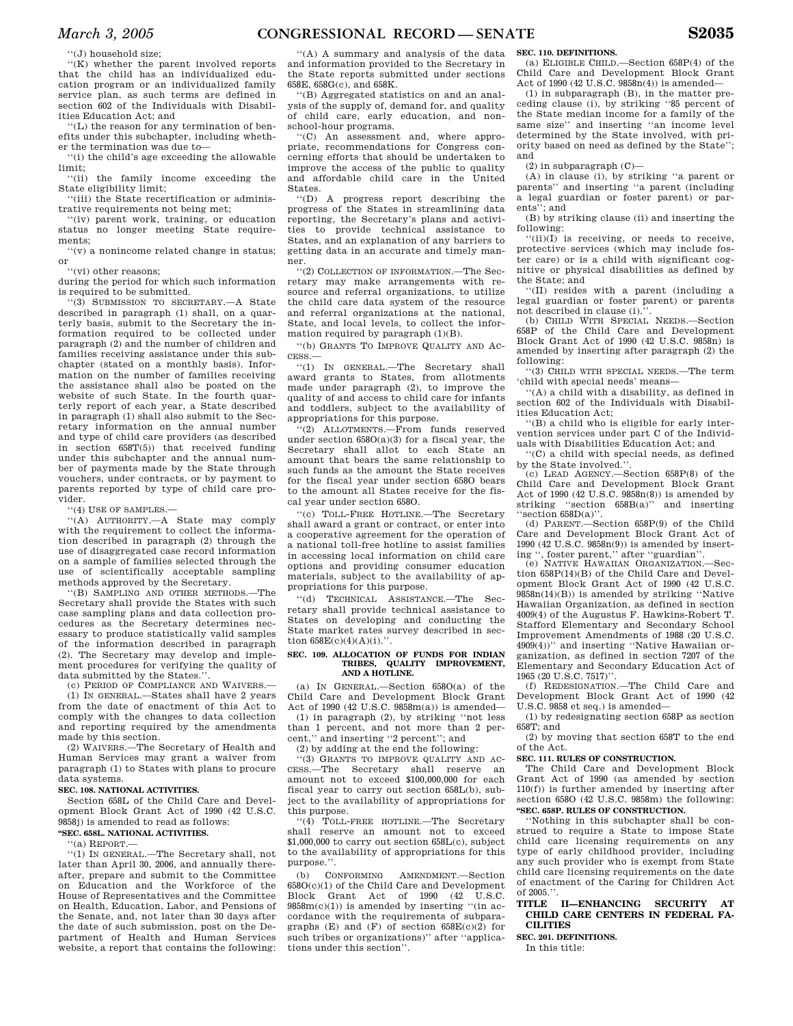''(J) household size;

''(K) whether the parent involved reports that the child has an individualized education program or an individualized family service plan, as such terms are defined in section 602 of the Individuals with Disabilities Education Act; and

''(L) the reason for any termination of benefits under this subchapter, including whether the termination was due to—

'(i) the child's age exceeding the allowable limit;<br>(ii)

the family income exceeding the State eligibility limit;

''(iii) the State recertification or administrative requirements not being met;

'(iv) parent work, training, or education status no longer meeting State requirements;

''(v) a nonincome related change in status; or

''(vi) other reasons;

during the period for which such information is required to be submitted.

''(3) SUBMISSION TO SECRETARY.—A State described in paragraph (1) shall, on a quarterly basis, submit to the Secretary the information required to be collected under paragraph (2) and the number of children and families receiving assistance under this subchapter (stated on a monthly basis). Information on the number of families receiving the assistance shall also be posted on the website of such State. In the fourth quarterly report of each year, a State described in paragraph (1) shall also submit to the Secretary information on the annual number and type of child care providers (as described in section 658T(5)) that received funding under this subchapter and the annual number of payments made by the State through vouchers, under contracts, or by payment to parents reported by type of child care provider.

''(4) USE OF SAMPLES.—

''(A) AUTHORITY.—A State may comply with the requirement to collect the information described in paragraph (2) through the use of disaggregated case record information on a sample of families selected through the use of scientifically acceptable sampling methods approved by the Secretary.

''(B) SAMPLING AND OTHER METHODS.—The Secretary shall provide the States with such case sampling plans and data collection procedures as the Secretary determines necessary to produce statistically valid samples of the information described in paragraph (2). The Secretary may develop and implement procedures for verifying the quality of data submitted by the States.'

(c) PERIOD OF COMPLIANCE AND WAIVERS.—

(1) IN GENERAL.—States shall have 2 years from the date of enactment of this Act to comply with the changes to data collection and reporting required by the amendments made by this section.

(2) WAIVERS.—The Secretary of Health and Human Services may grant a waiver from paragraph (1) to States with plans to procure data systems.

### **SEC. 108. NATIONAL ACTIVITIES.**

Section 658L of the Child Care and Development Block Grant Act of 1990 (42 U.S.C. 9858j) is amended to read as follows:

### **''SEC. 658L. NATIONAL ACTIVITIES.**

''(a) REPORT.—

''(1) IN GENERAL.—The Secretary shall, not later than April 30, 2006, and annually thereafter, prepare and submit to the Committee on Education and the Workforce of the House of Representatives and the Committee on Health, Education, Labor, and Pensions of the Senate, and, not later than 30 days after the date of such submission, post on the Department of Health and Human Services website, a report that contains the following:

''(A) A summary and analysis of the data and information provided to the Secretary in the State reports submitted under sections 658E, 658G(c), and 658K.

''(B) Aggregated statistics on and an analysis of the supply of, demand for, and quality of child care, early education, and nonschool-hour programs.

''(C) An assessment and, where appropriate, recommendations for Congress concerning efforts that should be undertaken to improve the access of the public to quality and affordable child care in the United States.

''(D) A progress report describing the progress of the States in streamlining data reporting, the Secretary's plans and activities to provide technical assistance to States, and an explanation of any barriers to getting data in an accurate and timely manner.

''(2) COLLECTION OF INFORMATION.—The Secretary may make arrangements with resource and referral organizations, to utilize the child care data system of the resource and referral organizations at the national, State, and local levels, to collect the information required by paragraph (1)(B).

''(b) GRANTS TO IMPROVE QUALITY AND AC-CESS.—

''(1) IN GENERAL.—The Secretary shall award grants to States, from allotments made under paragraph (2), to improve the quality of and access to child care for infants and toddlers, subject to the availability of appropriations for this purpose.

''(2) ALLOTMENTS.—From funds reserved under section 658O(a)(3) for a fiscal year, the Secretary shall allot to each State an amount that bears the same relationship to such funds as the amount the State receives for the fiscal year under section 658O bears to the amount all States receive for the fiscal year under section 658O.

''(c) TOLL-FREE HOTLINE.—The Secretary shall award a grant or contract, or enter into a cooperative agreement for the operation of a national toll-free hotline to assist families in accessing local information on child care options and providing consumer education materials, subject to the availability of appropriations for this purpose.

''(d) TECHNICAL ASSISTANCE.—The Secretary shall provide technical assistance to States on developing and conducting the State market rates survey described in section  $658E(c)(4)(A)(i)$ .".

#### **SEC. 109. ALLOCATION OF FUNDS FOR INDIAN TRIBES, QUALITY IMPROVEMENT, AND A HOTLINE.**

(a) IN GENERAL.—Section 658O(a) of the Child Care and Development Block Grant Act of 1990 (42 U.S.C. 9858m(a)) is amended— (1) in paragraph (2), by striking ''not less than 1 percent, and not more than 2 percent,'' and inserting ''2 percent''; and

(2) by adding at the end the following:

''(3) GRANTS TO IMPROVE QUALITY AND AC-CESS.—The Secretary shall reserve an amount not to exceed \$100,000,000 for each fiscal year to carry out section 658L(b), subject to the availability of appropriations for this purpose.

''(4) TOLL-FREE HOTLINE.—The Secretary reserve an amount not to exceed \$1,000,000 to carry out section 658L(c), subject to the availability of appropriations for this purpose.''.

(b) CONFORMING AMENDMENT.—Section  $658O(c)(1)$  of the Child Care and Development<br>Block Grant Act of 1990  $(42 \text{ U.S.C.})$ Grant Act of  $1990$   $(42)$  $9858m(c)(1)$ ) is amended by inserting "(in accordance with the requirements of subparagraphs  $(E)$  and  $(F)$  of section  $658E(c)(2)$  for such tribes or organizations)'' after ''applications under this section''.

### **SEC. 110. DEFINITIONS.**

(a) ELIGIBLE CHILD.—Section 658P(4) of the Child Care and Development Block Grant Act of 1990 (42 U.S.C. 9858n(4)) is amended—

(1) in subparagraph (B), in the matter preceding clause (i), by striking ''85 percent of the State median income for a family of the same size'' and inserting ''an income level determined by the State involved, with priority based on need as defined by the State''; and

 $(2)$  in subparagraph  $(C)$ —

(A) in clause (i), by striking ''a parent or parents'' and inserting ''a parent (including a legal guardian or foster parent) or parents''; and

(B) by striking clause (ii) and inserting the following:

''(ii)(I) is receiving, or needs to receive, protective services (which may include foster care) or is a child with significant cognitive or physical disabilities as defined by the State; and

''(II) resides with a parent (including a legal guardian or foster parent) or parents not described in clause (i).

(b) CHILD WITH SPECIAL NEEDS.—Section 658P of the Child Care and Development Block Grant Act of 1990 (42 U.S.C. 9858n) is amended by inserting after paragraph (2) the following:

''(3) CHILD WITH SPECIAL NEEDS.—The term 'child with special needs' means—

''(A) a child with a disability, as defined in section 602 of the Individuals with Disabilities Education Act;

''(B) a child who is eligible for early intervention services under part C of the Individuals with Disabilities Education Act; and

''(C) a child with special needs, as defined by the State involved.''.

(c) LEAD AGENCY.—Section 658P(8) of the Child Care and Development Block Grant Act of 1990 (42 U.S.C. 9858n(8)) is amended by striking ''section 658B(a)'' and inserting ''section 658D(a)''.

(d) PARENT.—Section  $658P(9)$  of the Child Care and Development Block Grant Act of 1990 (42 U.S.C. 9858n(9)) is amended by inserting '', foster parent,'' after ''guardian''.

(e) NATIVE HAWAIIAN ORGANIZATION. tion 658P(14)(B) of the Child Care and Development Block Grant Act of 1990 (42 U.S.C. 9858n(14)(B)) is amended by striking ''Native Hawaiian Organization, as defined in section 4009(4) of the Augustus F. Hawkins-Robert T. Stafford Elementary and Secondary School Improvement Amendments of 1988 (20 U.S.C. 4909(4))'' and inserting ''Native Hawaiian organization, as defined in section 7207 of the Elementary and Secondary Education Act of 1965 (20 U.S.C. 7517)''.

(f) REDESIGNATION.—The Child Care and Development Block Grant Act of 1990 (42 U.S.C. 9858 et seq.) is amended—

(1) by redesignating section 658P as section 658T; and

(2) by moving that section 658T to the end of the Act.

#### **SEC. 111. RULES OF CONSTRUCTION.**

The Child Care and Development Block Grant Act of 1990 (as amended by section 110(f)) is further amended by inserting after section 658O (42 U.S.C. 9858m) the following: **''SEC. 658P. RULES OF CONSTRUCTION.** 

''Nothing in this subchapter shall be construed to require a State to impose State child care licensing requirements on any type of early childhood provider, including any such provider who is exempt from State child care licensing requirements on the date of enactment of the Caring for Children Act of 2005.''.

### **TITLE II—ENHANCING SECURITY AT CHILD CARE CENTERS IN FEDERAL FA-CILITIES**

**SEC. 201. DEFINITIONS.** 

In this title: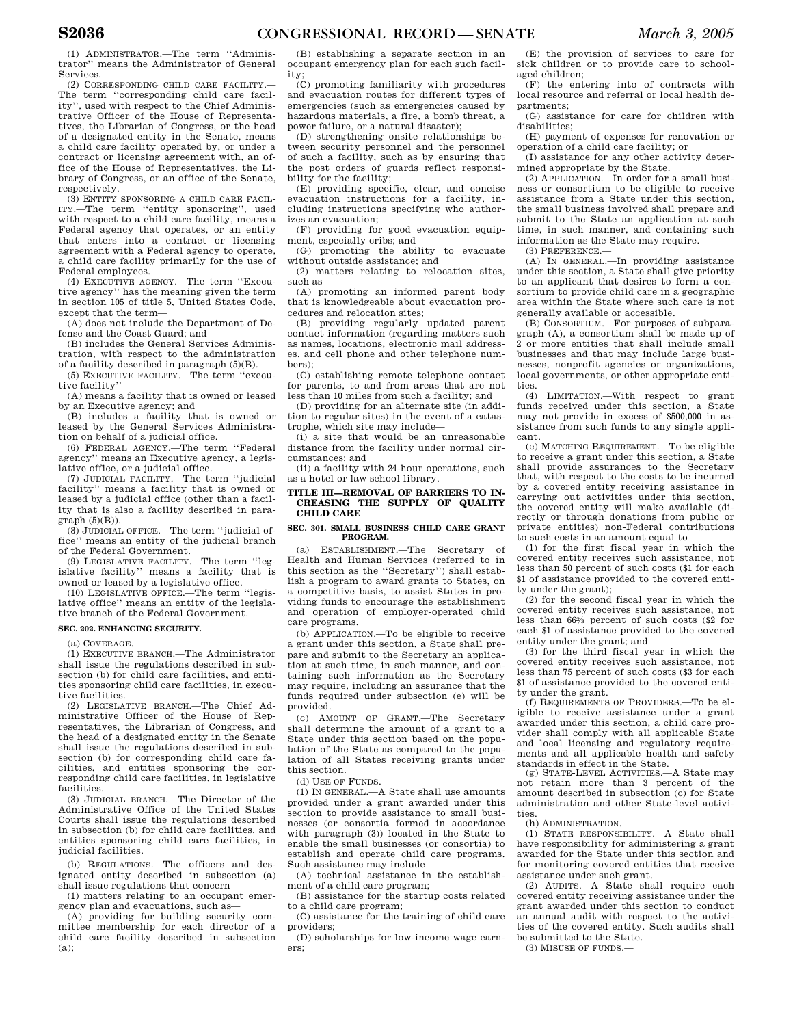(1) ADMINISTRATOR.—The term ''Administrator'' means the Administrator of General Services.

(2) CORRESPONDING CHILD CARE FACILITY. The term ''corresponding child care facility'', used with respect to the Chief Administrative Officer of the House of Representatives, the Librarian of Congress, or the head of a designated entity in the Senate, means a child care facility operated by, or under a contract or licensing agreement with, an office of the House of Representatives, the Library of Congress, or an office of the Senate, respectively.

(3) ENTITY SPONSORING A CHILD CARE FACIL-ITY.—The term ''entity sponsoring'', used with respect to a child care facility, means a Federal agency that operates, or an entity that enters into a contract or licensing agreement with a Federal agency to operate, a child care facility primarily for the use of Federal employees.

(4) EXECUTIVE AGENCY.—The term ''Executive agency'' has the meaning given the term in section 105 of title 5, United States Code, except that the term—

(A) does not include the Department of Defense and the Coast Guard; and

(B) includes the General Services Administration, with respect to the administration of a facility described in paragraph (5)(B).

(5) EXECUTIVE FACILITY.—The term ''executive facility''—

(A) means a facility that is owned or leased by an Executive agency; and

(B) includes a facility that is owned or leased by the General Services Administration on behalf of a judicial office.

(6) FEDERAL AGENCY.—The term ''Federal agency'' means an Executive agency, a legislative office, or a judicial office.

(7) JUDICIAL FACILITY.—The term ''judicial facility'' means a facility that is owned or leased by a judicial office (other than a facility that is also a facility described in paragraph (5)(B)).

(8) JUDICIAL OFFICE.—The term ''judicial office'' means an entity of the judicial branch of the Federal Government.

(9) LEGISLATIVE FACILITY.—The term ''legislative facility'' means a facility that is owned or leased by a legislative office.

(10) LEGISLATIVE OFFICE.—The term ''legislative office'' means an entity of the legislative branch of the Federal Government.

### **SEC. 202. ENHANCING SECURITY.**

(a) COVERAGE.—

(1) EXECUTIVE BRANCH.—The Administrator shall issue the regulations described in subsection (b) for child care facilities, and entities sponsoring child care facilities, in executive facilities.

(2) LEGISLATIVE BRANCH.—The Chief Administrative Officer of the House of Representatives, the Librarian of Congress, and the head of a designated entity in the Senate shall issue the regulations described in subsection (b) for corresponding child care facilities, and entities sponsoring the corresponding child care facilities, in legislative facilities.

(3) JUDICIAL BRANCH.—The Director of the Administrative Office of the United States Courts shall issue the regulations described in subsection (b) for child care facilities, and entities sponsoring child care facilities, in judicial facilities.

(b) REGULATIONS.—The officers and designated entity described in subsection (a) shall issue regulations that concern—

(1) matters relating to an occupant emergency plan and evacuations, such as—

(A) providing for building security committee membership for each director of a child care facility described in subsection (a);

(B) establishing a separate section in an occupant emergency plan for each such facility;

(C) promoting familiarity with procedures and evacuation routes for different types of emergencies (such as emergencies caused by hazardous materials, a fire, a bomb threat, a power failure, or a natural disaster);

(D) strengthening onsite relationships between security personnel and the personnel of such a facility, such as by ensuring that the post orders of guards reflect responsibility for the facility;

(E) providing specific, clear, and concise evacuation instructions for a facility, including instructions specifying who authorizes an evacuation;

(F) providing for good evacuation equipment, especially cribs; and

(G) promoting the ability to evacuate without outside assistance; and

(2) matters relating to relocation sites, such as—

(A) promoting an informed parent body that is knowledgeable about evacuation procedures and relocation sites;

(B) providing regularly updated parent contact information (regarding matters such as names, locations, electronic mail addresses, and cell phone and other telephone numbers);

(C) establishing remote telephone contact for parents, to and from areas that are not less than 10 miles from such a facility; and

(D) providing for an alternate site (in addition to regular sites) in the event of a catastrophe, which site may include—

(i) a site that would be an unreasonable distance from the facility under normal circumstances; and

(ii) a facility with 24-hour operations, such as a hotel or law school library.

### **TITLE III—REMOVAL OF BARRIERS TO IN-CREASING THE SUPPLY OF QUALITY CHILD CARE**

#### **SEC. 301. SMALL BUSINESS CHILD CARE GRANT PROGRAM.**

(a) ESTABLISHMENT.—The Secretary of Health and Human Services (referred to in this section as the ''Secretary'') shall establish a program to award grants to States, on a competitive basis, to assist States in providing funds to encourage the establishment and operation of employer-operated child care programs.

(b) APPLICATION.—To be eligible to receive a grant under this section, a State shall prepare and submit to the Secretary an application at such time, in such manner, and containing such information as the Secretary may require, including an assurance that the funds required under subsection (e) will be provided.

(c) AMOUNT OF GRANT.—The Secretary shall determine the amount of a grant to a State under this section based on the population of the State as compared to the population of all States receiving grants under this section.

 $(d)$  USE OF FUNDS  $-$ 

(1) IN GENERAL.—A State shall use amounts provided under a grant awarded under this section to provide assistance to small businesses (or consortia formed in accordance with paragraph (3)) located in the State to enable the small businesses (or consortia) to establish and operate child care programs. Such assistance may include—

(A) technical assistance in the establishment of a child care program;

(B) assistance for the startup costs related to a child care program;

(C) assistance for the training of child care providers;

(D) scholarships for low-income wage earners;

(E) the provision of services to care for sick children or to provide care to schoolaged children;

(F) the entering into of contracts with local resource and referral or local health departments;

(G) assistance for care for children with disabilities;

(H) payment of expenses for renovation or operation of a child care facility; or

(I) assistance for any other activity determined appropriate by the State.

(2) APPLICATION.—In order for a small business or consortium to be eligible to receive assistance from a State under this section, the small business involved shall prepare and submit to the State an application at such time, in such manner, and containing such information as the State may require.

(3) PREFERENCE.—

(A) IN GENERAL.—In providing assistance under this section, a State shall give priority to an applicant that desires to form a consortium to provide child care in a geographic area within the State where such care is not generally available or accessible.

(B) CONSORTIUM.—For purposes of subparagraph (A), a consortium shall be made up of 2 or more entities that shall include small businesses and that may include large businesses, nonprofit agencies or organizations, local governments, or other appropriate entities.

(4) LIMITATION.—With respect to grant funds received under this section, a State may not provide in excess of \$500,000 in assistance from such funds to any single applicant.

(e) MATCHING REQUIREMENT.—To be eligible to receive a grant under this section, a State shall provide assurances to the Secretary that, with respect to the costs to be incurred by a covered entity receiving assistance in carrying out activities under this section, the covered entity will make available (directly or through donations from public or private entities) non-Federal contributions to such costs in an amount equal to—

(1) for the first fiscal year in which the covered entity receives such assistance, not less than 50 percent of such costs (\$1 for each \$1 of assistance provided to the covered entity under the grant);

(2) for the second fiscal year in which the covered entity receives such assistance, not less than 662⁄3 percent of such costs (\$2 for each \$1 of assistance provided to the covered entity under the grant; and

(3) for the third fiscal year in which the covered entity receives such assistance, not less than 75 percent of such costs (\$3 for each \$1 of assistance provided to the covered enti-

ty under the grant. (f) REQUIREMENTS OF PROVIDERS.—To be eligible to receive assistance under a grant awarded under this section, a child care provider shall comply with all applicable State and local licensing and regulatory requirements and all applicable health and safety standards in effect in the State.

(g) STATE-LEVEL ACTIVITIES.—A State may not retain more than 3 percent of the amount described in subsection (c) for State administration and other State-level activities.

(h) ADMINISTRATION.—

(1) STATE RESPONSIBILITY.—A State shall have responsibility for administering a grant awarded for the State under this section and for monitoring covered entities that receive assistance under such grant.

(2) AUDITS.—A State shall require each covered entity receiving assistance under the grant awarded under this section to conduct an annual audit with respect to the activities of the covered entity. Such audits shall be submitted to the State.

(3) MISUSE OF FUNDS.—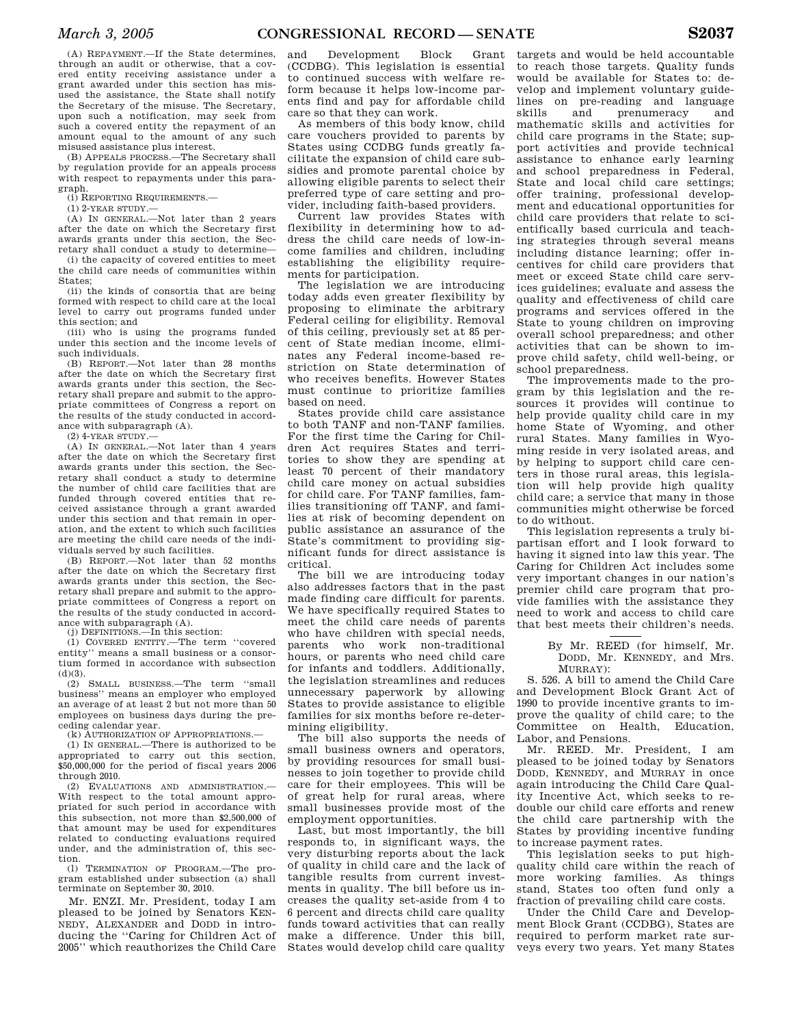(A) REPAYMENT.—If the State determines, through an audit or otherwise, that a covered entity receiving assistance under a grant awarded under this section has misused the assistance, the State shall notify the Secretary of the misuse. The Secretary, upon such a notification, may seek from such a covered entity the repayment of an amount equal to the amount of any such misused assistance plus interest.

(B) APPEALS PROCESS.—The Secretary shall by regulation provide for an appeals process with respect to repayments under this paragraph.

(i) REPORTING REQUIREMENTS.—

(1) 2-YEAR STUDY.—

(A) IN GENERAL.—Not later than 2 years after the date on which the Secretary first awards grants under this section, the Secretary shall conduct a study to determine—

(i) the capacity of covered entities to meet the child care needs of communities within States;

(ii) the kinds of consortia that are being formed with respect to child care at the local level to carry out programs funded under this section; and

(iii) who is using the programs funded under this section and the income levels of such individuals.

(B) REPORT.—Not later than 28 months after the date on which the Secretary first awards grants under this section, the Secretary shall prepare and submit to the appropriate committees of Congress a report on the results of the study conducted in accordance with subparagraph (A).

(2) 4-YEAR STUDY.—

(A) IN GENERAL.—Not later than 4 years after the date on which the Secretary first awards grants under this section, the Secretary shall conduct a study to determine the number of child care facilities that are funded through covered entities that received assistance through a grant awarded under this section and that remain in operation, and the extent to which such facilities are meeting the child care needs of the individuals served by such facilities.

(B) REPORT.—Not later than 52 months after the date on which the Secretary first awards grants under this section, the Secretary shall prepare and submit to the appropriate committees of Congress a report on the results of the study conducted in accordance with subparagraph (A).

(j) DEFINITIONS.—In this section:

(1) COVERED ENTITY.—The term ''covered entity'' means a small business or a consortium formed in accordance with subsection  $(d)(3)$ .

(2) SMALL BUSINESS.—The term ''small business'' means an employer who employed an average of at least 2 but not more than 50 employees on business days during the preceding calendar year.

(k) AUTHORIZATION OF APPROPRIATIONS.—

(1) IN GENERAL.—There is authorized to be appropriated to carry out this section, \$50,000,000 for the period of fiscal years 2006 through 2010.

(2) EVALUATIONS AND ADMINISTRATION.— With respect to the total amount appropriated for such period in accordance with this subsection, not more than \$2,500,000 of that amount may be used for expenditures related to conducting evaluations required under, and the administration of, this section.

(l) TERMINATION OF PROGRAM.—The program established under subsection (a) shall terminate on September 30, 2010.

Mr. ENZI. Mr. President, today I am pleased to be joined by Senators KEN-NEDY, ALEXANDER and DODD in introducing the ''Caring for Children Act of 2005'' which reauthorizes the Child Care

and Development Block Grant (CCDBG). This legislation is essential to continued success with welfare reform because it helps low-income parents find and pay for affordable child care so that they can work.

As members of this body know, child care vouchers provided to parents by States using CCDBG funds greatly facilitate the expansion of child care subsidies and promote parental choice by allowing eligible parents to select their preferred type of care setting and provider, including faith-based providers.

Current law provides States with flexibility in determining how to address the child care needs of low-income families and children, including establishing the eligibility requirements for participation.

The legislation we are introducing today adds even greater flexibility by proposing to eliminate the arbitrary Federal ceiling for eligibility. Removal of this ceiling, previously set at 85 percent of State median income, eliminates any Federal income-based restriction on State determination of who receives benefits. However States must continue to prioritize families based on need.

States provide child care assistance to both TANF and non-TANF families. For the first time the Caring for Children Act requires States and territories to show they are spending at least 70 percent of their mandatory child care money on actual subsidies for child care. For TANF families, families transitioning off TANF, and families at risk of becoming dependent on public assistance an assurance of the State's commitment to providing significant funds for direct assistance is critical.

The bill we are introducing today also addresses factors that in the past made finding care difficult for parents. We have specifically required States to meet the child care needs of parents who have children with special needs, parents who work non-traditional hours, or parents who need child care for infants and toddlers. Additionally, the legislation streamlines and reduces unnecessary paperwork by allowing States to provide assistance to eligible families for six months before re-determining eligibility.

The bill also supports the needs of small business owners and operators, by providing resources for small businesses to join together to provide child care for their employees. This will be of great help for rural areas, where small businesses provide most of the employment opportunities.

Last, but most importantly, the bill responds to, in significant ways, the very disturbing reports about the lack of quality in child care and the lack of tangible results from current investments in quality. The bill before us increases the quality set-aside from 4 to 6 percent and directs child care quality funds toward activities that can really make a difference. Under this bill, States would develop child care quality

targets and would be held accountable to reach those targets. Quality funds would be available for States to: develop and implement voluntary guidelines on pre-reading and language skills and prenumeracy and mathematic skills and activities for child care programs in the State; support activities and provide technical assistance to enhance early learning and school preparedness in Federal, State and local child care settings; offer training, professional development and educational opportunities for child care providers that relate to scientifically based curricula and teaching strategies through several means including distance learning; offer incentives for child care providers that meet or exceed State child care services guidelines; evaluate and assess the quality and effectiveness of child care programs and services offered in the State to young children on improving overall school preparedness; and other activities that can be shown to improve child safety, child well-being, or school preparedness.

The improvements made to the program by this legislation and the resources it provides will continue to help provide quality child care in my home State of Wyoming, and other rural States. Many families in Wyoming reside in very isolated areas, and by helping to support child care centers in those rural areas, this legislation will help provide high quality child care; a service that many in those communities might otherwise be forced to do without.

This legislation represents a truly bipartisan effort and I look forward to having it signed into law this year. The Caring for Children Act includes some very important changes in our nation's premier child care program that provide families with the assistance they need to work and access to child care that best meets their children's needs.

> By Mr. REED (for himself, Mr. DODD, Mr. KENNEDY, and Mrs. MURRAY):

S. 526. A bill to amend the Child Care and Development Block Grant Act of 1990 to provide incentive grants to improve the quality of child care; to the Committee on Health, Education, Labor, and Pensions.

Mr. REED. Mr. President, I am pleased to be joined today by Senators DODD, KENNEDY, and MURRAY in once again introducing the Child Care Quality Incentive Act, which seeks to redouble our child care efforts and renew the child care partnership with the States by providing incentive funding to increase payment rates.

This legislation seeks to put highquality child care within the reach of more working families. As things stand, States too often fund only a fraction of prevailing child care costs.

Under the Child Care and Development Block Grant (CCDBG), States are required to perform market rate surveys every two years. Yet many States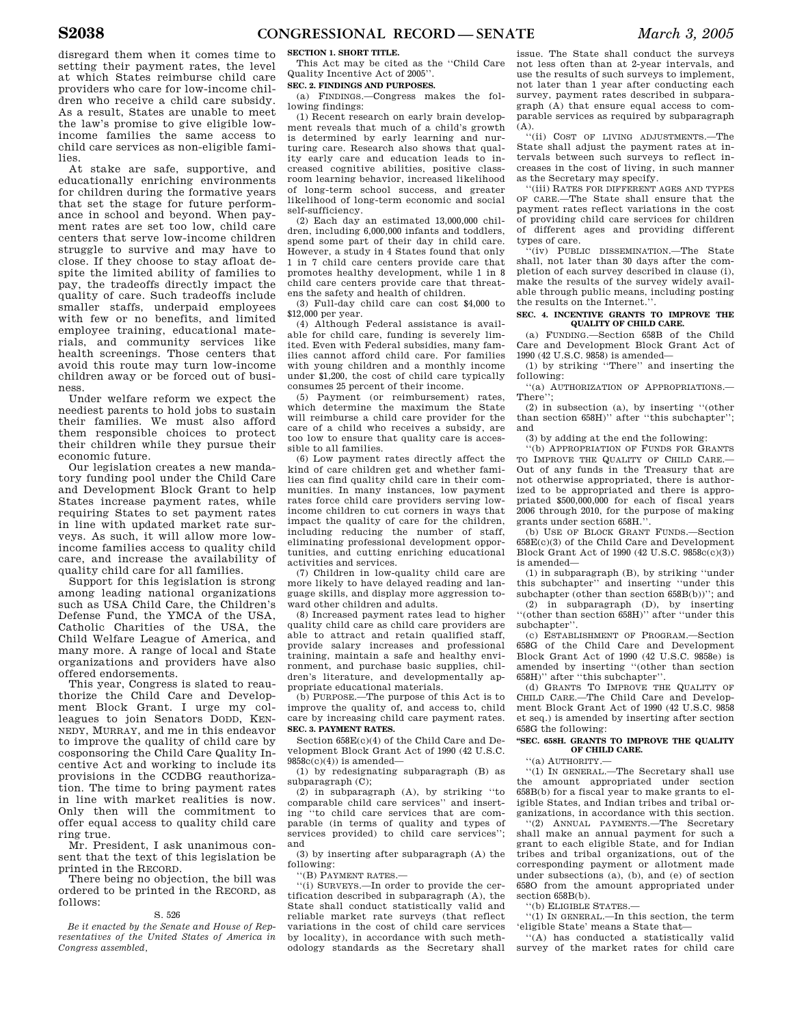disregard them when it comes time to setting their payment rates, the level at which States reimburse child care providers who care for low-income children who receive a child care subsidy. As a result, States are unable to meet the law's promise to give eligible lowincome families the same access to child care services as non-eligible families.

At stake are safe, supportive, and educationally enriching environments for children during the formative years that set the stage for future performance in school and beyond. When payment rates are set too low, child care centers that serve low-income children struggle to survive and may have to close. If they choose to stay afloat despite the limited ability of families to pay, the tradeoffs directly impact the quality of care. Such tradeoffs include smaller staffs, underpaid employees with few or no benefits, and limited employee training, educational materials, and community services like health screenings. Those centers that avoid this route may turn low-income children away or be forced out of business.

Under welfare reform we expect the neediest parents to hold jobs to sustain their families. We must also afford them responsible choices to protect their children while they pursue their economic future.

Our legislation creates a new mandatory funding pool under the Child Care and Development Block Grant to help States increase payment rates, while requiring States to set payment rates in line with updated market rate surveys. As such, it will allow more lowincome families access to quality child care, and increase the availability of quality child care for all families.

Support for this legislation is strong among leading national organizations such as USA Child Care, the Children's Defense Fund, the YMCA of the USA, Catholic Charities of the USA, the Child Welfare League of America, and many more. A range of local and State organizations and providers have also offered endorsements.

This year, Congress is slated to reauthorize the Child Care and Development Block Grant. I urge my colleagues to join Senators DODD, KEN-NEDY, MURRAY, and me in this endeavor to improve the quality of child care by cosponsoring the Child Care Quality Incentive Act and working to include its provisions in the CCDBG reauthorization. The time to bring payment rates in line with market realities is now. Only then will the commitment to offer equal access to quality child care ring true.

Mr. President, I ask unanimous consent that the text of this legislation be printed in the RECORD.

There being no objection, the bill was ordered to be printed in the RECORD, as follows:

### S. 526

*Be it enacted by the Senate and House of Representatives of the United States of America in Congress assembled,* 

### **SECTION 1. SHORT TITLE.**

This Act may be cited as the ''Child Care Quality Incentive Act of 2005''.

#### **SEC. 2. FINDINGS AND PURPOSES.**

(a) FINDINGS.—Congress makes the following findings:

(1) Recent research on early brain development reveals that much of a child's growth is determined by early learning and nurturing care. Research also shows that quality early care and education leads to increased cognitive abilities, positive classroom learning behavior, increased likelihood of long-term school success, and greater likelihood of long-term economic and social self-sufficiency.

(2) Each day an estimated 13,000,000 children, including 6,000,000 infants and toddlers, spend some part of their day in child care. However, a study in 4 States found that only 1 in 7 child care centers provide care that promotes healthy development, while 1 in 8 child care centers provide care that threatens the safety and health of children.

(3) Full-day child care can cost \$4,000 to \$12,000 per year.

(4) Although Federal assistance is available for child care, funding is severely limited. Even with Federal subsidies, many families cannot afford child care. For families with young children and a monthly income under \$1,200, the cost of child care typically consumes 25 percent of their income.

(5) Payment (or reimbursement) rates, which determine the maximum the State will reimburse a child care provider for the care of a child who receives a subsidy, are too low to ensure that quality care is accessible to all families.

(6) Low payment rates directly affect the kind of care children get and whether families can find quality child care in their communities. In many instances, low payment rates force child care providers serving lowincome children to cut corners in ways that impact the quality of care for the children, including reducing the number of staff, eliminating professional development opportunities, and cutting enriching educational activities and services.

(7) Children in low-quality child care are more likely to have delayed reading and language skills, and display more aggression toward other children and adults.

(8) Increased payment rates lead to higher quality child care as child care providers are able to attract and retain qualified staff, provide salary increases and professional training, maintain a safe and healthy environment, and purchase basic supplies, children's literature, and developmentally appropriate educational materials.

(b) PURPOSE.—The purpose of this Act is to improve the quality of, and access to, child care by increasing child care payment rates. **SEC. 3. PAYMENT RATES.** 

Section 658E(c)(4) of the Child Care and Development Block Grant Act of 1990 (42 U.S.C.  $9858c(c)(4)$ ) is amended-

(1) by redesignating subparagraph (B) as subparagraph (C);

(2) in subparagraph (A), by striking ''to comparable child care services'' and inserting ''to child care services that are comparable (in terms of quality and types of services provided) to child care services''; and

(3) by inserting after subparagraph (A) the following:

''(B) PAYMENT RATES.—

''(i) SURVEYS.—In order to provide the certification described in subparagraph (A), the State shall conduct statistically valid and reliable market rate surveys (that reflect variations in the cost of child care services by locality), in accordance with such methodology standards as the Secretary shall

issue. The State shall conduct the surveys not less often than at 2-year intervals, and use the results of such surveys to implement, not later than 1 year after conducting each survey, payment rates described in subparagraph (A) that ensure equal access to comparable services as required by subparagraph  $(A)$ .

''(ii) COST OF LIVING ADJUSTMENTS.—The State shall adjust the payment rates at intervals between such surveys to reflect increases in the cost of living, in such manner as the Secretary may specify.

''(iii) RATES FOR DIFFERENT AGES AND TYPES OF CARE.—The State shall ensure that the payment rates reflect variations in the cost of providing child care services for children of different ages and providing different types of care.

.<br>'(iv) PUBLIC DISSEMINATION.—The State shall, not later than 30 days after the completion of each survey described in clause (i), make the results of the survey widely available through public means, including posting the results on the Internet.''.

#### **SEC. 4. INCENTIVE GRANTS TO IMPROVE THE QUALITY OF CHILD CARE.**

(a) FUNDING.—Section 658B of the Child Care and Development Block Grant Act of 1990 (42 U.S.C. 9858) is amended—

(1) by striking ''There'' and inserting the following:

''(a) AUTHORIZATION OF APPROPRIATIONS.— There'';

(2) in subsection (a), by inserting ''(other than section 658H)'' after ''this subchapter''; and

(3) by adding at the end the following:

''(b) APPROPRIATION OF FUNDS FOR GRANTS TO IMPROVE THE QUALITY OF CHILD CARE.— Out of any funds in the Treasury that are not otherwise appropriated, there is authorized to be appropriated and there is appropriated \$500,000,000 for each of fiscal years 2006 through 2010, for the purpose of making grants under section 658H.''.

(b) USE OF BLOCK GRANT FUNDS.—Section 658E(c)(3) of the Child Care and Development Block Grant Act of 1990 (42 U.S.C. 9858c(c)(3)) is amended—

(1) in subparagraph (B), by striking ''under this subchapter'' and inserting ''under this subchapter (other than section 658B(b))''; and

(2) in subparagraph (D), by inserting ''(other than section 658H)'' after ''under this subchapter''.

(c) ESTABLISHMENT OF PROGRAM.—Section 658G of the Child Care and Development Block Grant Act of 1990 (42 U.S.C. 9858e) is amended by inserting ''(other than section 658H)'' after ''this subchapter''.

(d) GRANTS TO IMPROVE THE QUALITY OF CHILD CARE.—The Child Care and Development Block Grant Act of 1990 (42 U.S.C. 9858 et seq.) is amended by inserting after section 658G the following:

### **''SEC. 658H. GRANTS TO IMPROVE THE QUALITY OF CHILD CARE.**

''(a) AUTHORITY.—

''(1) IN GENERAL.—The Secretary shall use the amount appropriated under section 658B(b) for a fiscal year to make grants to eligible States, and Indian tribes and tribal organizations, in accordance with this section.

''(2) ANNUAL PAYMENTS.—The Secretary shall make an annual payment for such a grant to each eligible State, and for Indian tribes and tribal organizations, out of the corresponding payment or allotment made under subsections (a), (b), and (e) of section 658O from the amount appropriated under section 658B(b).

''(b) ELIGIBLE STATES.—

''(1) IN GENERAL.—In this section, the term 'eligible State' means a State that—

''(A) has conducted a statistically valid survey of the market rates for child care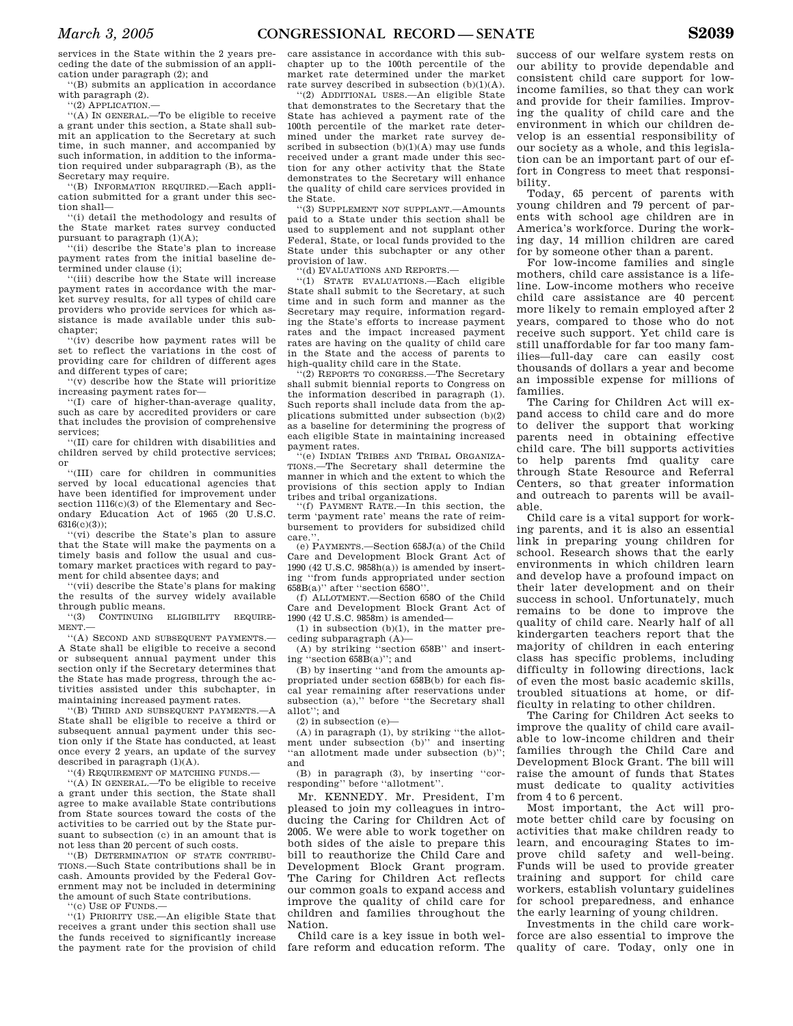services in the State within the 2 years preceding the date of the submission of an application under paragraph (2); and

''(B) submits an application in accordance with paragraph (2).

''(2) APPLICATION.—

''(A) IN GENERAL.—To be eligible to receive a grant under this section, a State shall submit an application to the Secretary at such time, in such manner, and accompanied by such information, in addition to the information required under subparagraph (B), as the Secretary may require.

''(B) INFORMATION REQUIRED.—Each application submitted for a grant under this section shall—

''(i) detail the methodology and results of the State market rates survey conducted pursuant to paragraph  $(1)(A)$ ;

''(ii) describe the State's plan to increase payment rates from the initial baseline determined under clause (i);

''(iii) describe how the State will increase payment rates in accordance with the market survey results, for all types of child care providers who provide services for which assistance is made available under this subchapter;

''(iv) describe how payment rates will be set to reflect the variations in the cost of providing care for children of different ages and different types of care;

''(v) describe how the State will prioritize increasing payment rates for—

''(I) care of higher-than-average quality, such as care by accredited providers or care that includes the provision of comprehensive services;

''(II) care for children with disabilities and children served by child protective services; or

''(III) care for children in communities served by local educational agencies that have been identified for improvement under section  $1116(c)(3)$  of the Elementary and Secondary Education Act of 1965 (20 U.S.C.  $6316(c)(3)$ :

''(vi) describe the State's plan to assure that the State will make the payments on a timely basis and follow the usual and customary market practices with regard to payment for child absentee days; and

''(vii) describe the State's plans for making the results of the survey widely available through public means.

''(3) CONTINUING ELIGIBILITY REQUIRE-MENT.—

''(A) SECOND AND SUBSEQUENT PAYMENTS.— A State shall be eligible to receive a second or subsequent annual payment under this section only if the Secretary determines that the State has made progress, through the activities assisted under this subchapter, in maintaining increased payment rates.

''(B) THIRD AND SUBSEQUENT PAYMENTS.—A State shall be eligible to receive a third or subsequent annual payment under this section only if the State has conducted, at least once every 2 years, an update of the survey described in paragraph (1)(A).

''(4) REQUIREMENT OF MATCHING FUNDS.—

''(A) IN GENERAL.—To be eligible to receive a grant under this section, the State shall agree to make available State contributions from State sources toward the costs of the activities to be carried out by the State pursuant to subsection (c) in an amount that is not less than 20 percent of such costs.

'(B) DETERMINATION OF STATE CONTRIBU-TIONS.—Such State contributions shall be in cash. Amounts provided by the Federal Government may not be included in determining the amount of such State contributions.

''(c) USE OF FUNDS.—

''(1) PRIORITY USE.—An eligible State that receives a grant under this section shall use the funds received to significantly increase the payment rate for the provision of child

care assistance in accordance with this subchapter up to the 100th percentile of the market rate determined under the market rate survey described in subsection  $(\mathrm{b})(1)(\mathrm{A}).$ 

''(2) ADDITIONAL USES.—An eligible State that demonstrates to the Secretary that the State has achieved a payment rate of the 100th percentile of the market rate determined under the market rate survey described in subsection (b)(1)(A) may use funds received under a grant made under this section for any other activity that the State demonstrates to the Secretary will enhance the quality of child care services provided in the State.

''(3) SUPPLEMENT NOT SUPPLANT.—Amounts paid to a State under this section shall be used to supplement and not supplant other Federal, State, or local funds provided to the State under this subchapter or any other provision of law.

'(d) EVALUATIONS AND REPORTS.

''(1) STATE EVALUATIONS.—Each eligible State shall submit to the Secretary, at such time and in such form and manner as the Secretary may require, information regarding the State's efforts to increase payment rates and the impact increased payment rates are having on the quality of child care in the State and the access of parents to high-quality child care in the State.

''(2) REPORTS TO CONGRESS.—The Secretary shall submit biennial reports to Congress on the information described in paragraph (1). Such reports shall include data from the applications submitted under subsection (b)(2) as a baseline for determining the progress of each eligible State in maintaining increased payment rates.

(e) INDIAN TRIBES AND TRIBAL ORGANIZA-TIONS.—The Secretary shall determine the manner in which and the extent to which the provisions of this section apply to Indian tribes and tribal organizations.

'(f) PAYMENT RATE.—In this section, the term 'payment rate' means the rate of reimbursement to providers for subsidized child care.

(e) PAYMENTS.—Section 658J(a) of the Child Care and Development Block Grant Act of 1990 (42 U.S.C. 9858h(a)) is amended by inserting ''from funds appropriated under section 658B(a)'' after ''section 658O''.

(f) ALLOTMENT.—Section 658O of the Child Care and Development Block Grant Act of 1990 (42 U.S.C. 9858m) is amended—

 $(1)$  in subsection  $(b)(1)$ , in the matter pre- $\operatorname{ceding}$  subparagraph  $(\mathbf{A})$ 

(A) by striking ''section 658B'' and inserting ''section 658B(a)''; and

(B) by inserting ''and from the amounts appropriated under section 658B(b) for each fiscal year remaining after reservations under subsection (a),'' before ''the Secretary shall allot''; and

(2) in subsection (e)—

(A) in paragraph (1), by striking ''the allotment under subsection (b)'' and inserting ''an allotment made under subsection (b)''; and

(B) in paragraph (3), by inserting ''corresponding'' before ''allotment''.

Mr. KENNEDY. Mr. President, I'm pleased to join my colleagues in introducing the Caring for Children Act of 2005. We were able to work together on both sides of the aisle to prepare this bill to reauthorize the Child Care and Development Block Grant program. The Caring for Children Act reflects our common goals to expand access and improve the quality of child care for children and families throughout the Nation.

Child care is a key issue in both welfare reform and education reform. The

success of our welfare system rests on our ability to provide dependable and consistent child care support for lowincome families, so that they can work and provide for their families. Improving the quality of child care and the environment in which our children develop is an essential responsibility of our society as a whole, and this legislation can be an important part of our effort in Congress to meet that responsibility.

Today, 65 percent of parents with young children and 79 percent of parents with school age children are in America's workforce. During the working day, 14 million children are cared for by someone other than a parent.

For low-income families and single mothers, child care assistance is a lifeline. Low-income mothers who receive child care assistance are 40 percent more likely to remain employed after 2 years, compared to those who do not receive such support. Yet child care is still unaffordable for far too many families—full-day care can easily cost thousands of dollars a year and become an impossible expense for millions of families.

The Caring for Children Act will expand access to child care and do more to deliver the support that working parents need in obtaining effective child care. The bill supports activities to help parents fmd quality care through State Resource and Referral Centers, so that greater information and outreach to parents will be available.

Child care is a vital support for working parents, and it is also an essential link in preparing young children for school. Research shows that the early environments in which children learn and develop have a profound impact on their later development and on their success in school. Unfortunately, much remains to be done to improve the quality of child care. Nearly half of all kindergarten teachers report that the majority of children in each entering class has specific problems, including difficulty in following directions, lack of even the most basic academic skills, troubled situations at home, or difficulty in relating to other children.

The Caring for Children Act seeks to improve the quality of child care available to low-income children and their families through the Child Care and Development Block Grant. The bill will raise the amount of funds that States must dedicate to quality activities from 4 to 6 percent.

Most important, the Act will promote better child care by focusing on activities that make children ready to learn, and encouraging States to improve child safety and well-being. Funds will be used to provide greater training and support for child care workers, establish voluntary guidelines for school preparedness, and enhance the early learning of young children.

Investments in the child care workforce are also essential to improve the quality of care. Today, only one in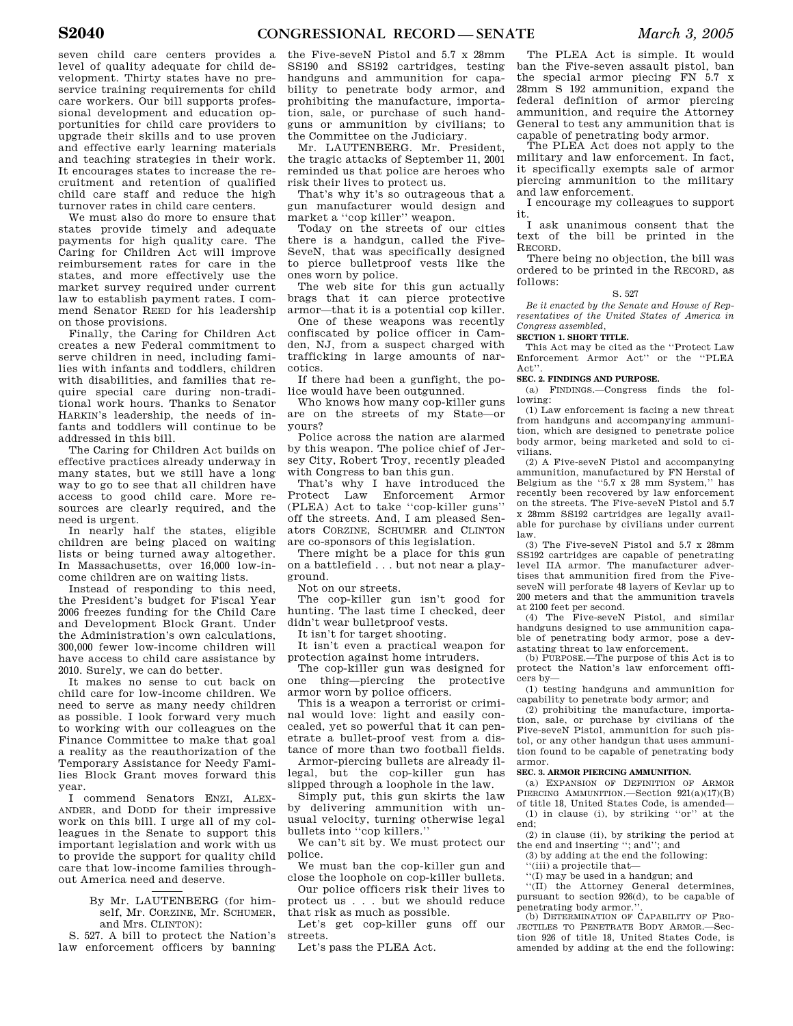seven child care centers provides a level of quality adequate for child development. Thirty states have no preservice training requirements for child care workers. Our bill supports professional development and education opportunities for child care providers to upgrade their skills and to use proven and effective early learning materials and teaching strategies in their work. It encourages states to increase the recruitment and retention of qualified child care staff and reduce the high turnover rates in child care centers.

We must also do more to ensure that states provide timely and adequate payments for high quality care. The Caring for Children Act will improve reimbursement rates for care in the states, and more effectively use the market survey required under current law to establish payment rates. I commend Senator REED for his leadership on those provisions.

Finally, the Caring for Children Act creates a new Federal commitment to serve children in need, including families with infants and toddlers, children with disabilities, and families that require special care during non-traditional work hours. Thanks to Senator HARKIN's leadership, the needs of infants and toddlers will continue to be addressed in this bill.

The Caring for Children Act builds on effective practices already underway in many states, but we still have a long way to go to see that all children have access to good child care. More resources are clearly required, and the need is urgent.

In nearly half the states, eligible children are being placed on waiting lists or being turned away altogether. In Massachusetts, over 16,000 low-income children are on waiting lists.

Instead of responding to this need, the President's budget for Fiscal Year 2006 freezes funding for the Child Care and Development Block Grant. Under the Administration's own calculations, 300,000 fewer low-income children will have access to child care assistance by 2010. Surely, we can do better.

It makes no sense to cut back on child care for low-income children. We need to serve as many needy children as possible. I look forward very much to working with our colleagues on the Finance Committee to make that goal a reality as the reauthorization of the Temporary Assistance for Needy Families Block Grant moves forward this year.

I commend Senators ENZI, ALEX-ANDER, and DODD for their impressive work on this bill. I urge all of my colleagues in the Senate to support this important legislation and work with us to provide the support for quality child care that low-income families throughout America need and deserve.

> By Mr. LAUTENBERG (for himself, Mr. CORZINE, Mr. SCHUMER, and Mrs. CLINTON):

S. 527. A bill to protect the Nation's law enforcement officers by banning

the Five-seveN Pistol and 5.7 x 28mm SS190 and SS192 cartridges, testing handguns and ammunition for capability to penetrate body armor, and prohibiting the manufacture, importation, sale, or purchase of such handguns or ammunition by civilians; to the Committee on the Judiciary.

Mr. LAUTENBERG. Mr. President, the tragic attacks of September 11, 2001 reminded us that police are heroes who risk their lives to protect us.

That's why it's so outrageous that a gun manufacturer would design and market a ''cop killer'' weapon.

Today on the streets of our cities there is a handgun, called the Five-SeveN, that was specifically designed to pierce bulletproof vests like the ones worn by police.

The web site for this gun actually brags that it can pierce protective armor—that it is a potential cop killer.

One of these weapons was recently confiscated by police officer in Camden, NJ, from a suspect charged with trafficking in large amounts of narcotics.

If there had been a gunfight, the police would have been outgunned.

Who knows how many cop-killer guns are on the streets of my State—or yours?

Police across the nation are alarmed by this weapon. The police chief of Jersey City, Robert Troy, recently pleaded with Congress to ban this gun.

That's why I have introduced the Protect Law Enforcement Armor (PLEA) Act to take ''cop-killer guns'' off the streets. And, I am pleased Senators CORZINE, SCHUMER and CLINTON are co-sponsors of this legislation.

There might be a place for this gun on a battlefield . . . but not near a playground.

Not on our streets.

The cop-killer gun isn't good for hunting. The last time I checked, deer didn't wear bulletproof vests.

It isn't for target shooting.

It isn't even a practical weapon for protection against home intruders.

The cop-killer gun was designed for one thing—piercing the protective armor worn by police officers.

This is a weapon a terrorist or criminal would love: light and easily concealed, yet so powerful that it can penetrate a bullet-proof vest from a distance of more than two football fields.

Armor-piercing bullets are already illegal, but the cop-killer gun has slipped through a loophole in the law.

Simply put, this gun skirts the law by delivering ammunition with unusual velocity, turning otherwise legal bullets into ''cop killers.''

We can't sit by. We must protect our police.

We must ban the cop-killer gun and close the loophole on cop-killer bullets.

Our police officers risk their lives to protect us . . . but we should reduce that risk as much as possible.

Let's get cop-killer guns off our streets.

Let's pass the PLEA Act.

The PLEA Act is simple. It would ban the Five-seven assault pistol, ban the special armor piecing FN 5.7 x 28mm S 192 ammunition, expand the federal definition of armor piercing ammunition, and require the Attorney General to test any ammunition that is capable of penetrating body armor.

The PLEA Act does not apply to the military and law enforcement. In fact, it specifically exempts sale of armor piercing ammunition to the military and law enforcement.

I encourage my colleagues to support it.

I ask unanimous consent that the text of the bill be printed in the RECORD.

There being no objection, the bill was ordered to be printed in the RECORD, as follows:

#### S. 527

*Be it enacted by the Senate and House of Representatives of the United States of America in Congress assembled,* 

### **SECTION 1. SHORT TITLE.**

This Act may be cited as the ''Protect Law Enforcement Armor Act'' or the ''PLEA Act."

### **SEC. 2. FINDINGS AND PURPOSE.**

(a) FINDINGS.—Congress finds the following:

(1) Law enforcement is facing a new threat from handguns and accompanying ammunition, which are designed to penetrate police body armor, being marketed and sold to civilians.

(2) A Five-seveN Pistol and accompanying ammunition, manufactured by FN Herstal of Belgium as the ''5.7 x 28 mm System,'' has recently been recovered by law enforcement on the streets. The Five-seveN Pistol and 5.7 x 28mm SS192 cartridges are legally available for purchase by civilians under current law.

(3) The Five-seveN Pistol and 5.7 x 28mm SS192 cartridges are capable of penetrating level IIA armor. The manufacturer advertises that ammunition fired from the FiveseveN will perforate 48 layers of Kevlar up to 200 meters and that the ammunition travels at 2100 feet per second.

(4) The Five-seveN Pistol, and similar handguns designed to use ammunition capable of penetrating body armor, pose a devastating threat to law enforcement.

(b) PURPOSE.—The purpose of this Act is to protect the Nation's law enforcement officers by—

(1) testing handguns and ammunition for capability to penetrate body armor; and

(2) prohibiting the manufacture, importation, sale, or purchase by civilians of the Five-seveN Pistol, ammunition for such pistol, or any other handgun that uses ammunition found to be capable of penetrating body armor.

### **SEC. 3. ARMOR PIERCING AMMUNITION.**

(a) EXPANSION OF DEFINITION OF ARMOR PIERCING AMMUNITION.—Section 921(a)(17)(B) of title 18, United States Code, is amended—

(1) in clause (i), by striking ''or'' at the end;

(2) in clause (ii), by striking the period at the end and inserting ''; and''; and

(3) by adding at the end the following:

''(iii) a projectile that—

''(I) may be used in a handgun; and

''(II) the Attorney General determines, pursuant to section 926(d), to be capable of penetrating body armor."

(b) DETERMINATION OF CAPABILITY OF PRO-JECTILES TO PENETRATE BODY ARMOR.—Section 926 of title 18, United States Code, is amended by adding at the end the following: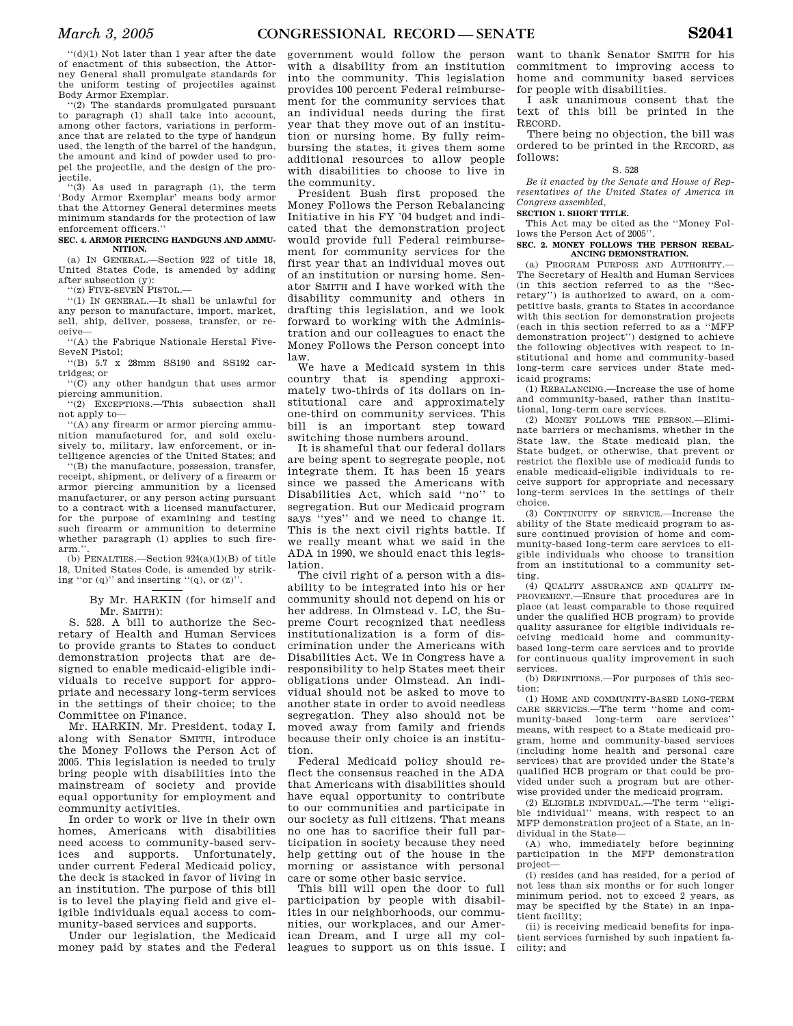''(d)(1) Not later than 1 year after the date of enactment of this subsection, the Attorney General shall promulgate standards for the uniform testing of projectiles against Body Armor Exemplar.

''(2) The standards promulgated pursuant to paragraph (1) shall take into account, among other factors, variations in performance that are related to the type of handgun used, the length of the barrel of the handgun, the amount and kind of powder used to propel the projectile, and the design of the projectile.

''(3) As used in paragraph (1), the term 'Body Armor Exemplar' means body armor that the Attorney General determines meets minimum standards for the protection of law enforcement officers.''

#### **SEC. 4. ARMOR PIERCING HANDGUNS AND AMMU-NITION.**

(a) IN GENERAL.—Section 922 of title 18, United States Code, is amended by adding after subsection (y):

''(z) FIVE-SEVEN PISTOL.—

''(1) IN GENERAL.—It shall be unlawful for any person to manufacture, import, market, sell, ship, deliver, possess, transfer, or receive—

''(A) the Fabrique Nationale Herstal Five-SeveN Pistol;

''(B) 5.7 x 28mm SS190 and SS192 cartridges; or

''(C) any other handgun that uses armor piercing ammunition.

'(2) EXCEPTIONS.—This subsection shall not apply to—

''(A) any firearm or armor piercing ammunition manufactured for, and sold exclusively to, military, law enforcement, or intelligence agencies of the United States; and

''(B) the manufacture, possession, transfer, receipt, shipment, or delivery of a firearm or armor piercing ammunition by a licensed manufacturer, or any person acting pursuant to a contract with a licensed manufacturer, for the purpose of examining and testing such firearm or ammunition to determine whether paragraph (1) applies to such firearm.''.

(b) PENALTIES.—Section  $924(a)(1)(B)$  of title 18, United States Code, is amended by striking "or  $(q)$ " and inserting " $(q)$ , or  $(z)$ ".

> By Mr. HARKIN (for himself and Mr. SMITH):

S. 528. A bill to authorize the Secretary of Health and Human Services to provide grants to States to conduct demonstration projects that are designed to enable medicaid-eligible individuals to receive support for appropriate and necessary long-term services in the settings of their choice; to the Committee on Finance.

Mr. HARKIN. Mr. President, today I, along with Senator SMITH, introduce the Money Follows the Person Act of 2005. This legislation is needed to truly bring people with disabilities into the mainstream of society and provide equal opportunity for employment and community activities.

In order to work or live in their own homes, Americans with disabilities need access to community-based serv-<br>ices and supports. Unfortunately, ices and supports. under current Federal Medicaid policy, the deck is stacked in favor of living in an institution. The purpose of this bill is to level the playing field and give eligible individuals equal access to community-based services and supports.

Under our legislation, the Medicaid money paid by states and the Federal

government would follow the person with a disability from an institution into the community. This legislation provides 100 percent Federal reimbursement for the community services that an individual needs during the first year that they move out of an institution or nursing home. By fully reimbursing the states, it gives them some additional resources to allow people with disabilities to choose to live in the community.

President Bush first proposed the Money Follows the Person Rebalancing Initiative in his FY '04 budget and indicated that the demonstration project would provide full Federal reimbursement for community services for the first year that an individual moves out of an institution or nursing home. Senator SMITH and I have worked with the disability community and others in drafting this legislation, and we look forward to working with the Administration and our colleagues to enact the Money Follows the Person concept into law.

We have a Medicaid system in this country that is spending approximately two-thirds of its dollars on institutional care and approximately one-third on community services. This bill is an important step toward switching those numbers around.

It is shameful that our federal dollars are being spent to segregate people, not integrate them. It has been 15 years since we passed the Americans with Disabilities Act, which said ''no'' to segregation. But our Medicaid program says ''yes'' and we need to change it. This is the next civil rights battle. If we really meant what we said in the ADA in 1990, we should enact this legislation.

The civil right of a person with a disability to be integrated into his or her community should not depend on his or her address. In Olmstead v. LC, the Supreme Court recognized that needless institutionalization is a form of discrimination under the Americans with Disabilities Act. We in Congress have a responsibility to help States meet their obligations under Olmstead. An individual should not be asked to move to another state in order to avoid needless segregation. They also should not be moved away from family and friends because their only choice is an institution.

Federal Medicaid policy should reflect the consensus reached in the ADA that Americans with disabilities should have equal opportunity to contribute to our communities and participate in our society as full citizens. That means no one has to sacrifice their full participation in society because they need help getting out of the house in the morning or assistance with personal care or some other basic service.

This bill will open the door to full participation by people with disabilities in our neighborhoods, our communities, our workplaces, and our American Dream, and I urge all my colleagues to support us on this issue. I

want to thank Senator SMITH for his commitment to improving access to home and community based services for people with disabilities.

I ask unanimous consent that the text of this bill be printed in the RECORD.

There being no objection, the bill was ordered to be printed in the RECORD, as follows:

#### S. 528

*Be it enacted by the Senate and House of Representatives of the United States of America in Congress assembled,*

**SECTION 1. SHORT TITLE.** 

This Act may be cited as the ''Money Follows the Person Act of 2005''.

**SEC. 2. MONEY FOLLOWS THE PERSON REBAL-ANCING DEMONSTRATION.** 

(a) PROGRAM PURPOSE AND AUTHORITY.— The Secretary of Health and Human Services (in this section referred to as the ''Secretary'') is authorized to award, on a competitive basis, grants to States in accordance with this section for demonstration projects (each in this section referred to as a ''MFP demonstration project'') designed to achieve the following objectives with respect to institutional and home and community-based long-term care services under State medicaid programs:

(1) REBALANCING.—Increase the use of home and community-based, rather than institutional, long-term care services.

(2) MONEY FOLLOWS THE PERSON.—Eliminate barriers or mechanisms, whether in the State law, the State medicaid plan, the State budget, or otherwise, that prevent or restrict the flexible use of medicaid funds to enable medicaid-eligible individuals to receive support for appropriate and necessary long-term services in the settings of their choice.

(3) CONTINUITY OF SERVICE.—Increase the ability of the State medicaid program to assure continued provision of home and community-based long-term care services to eligible individuals who choose to transition from an institutional to a community setting.

(4) QUALITY ASSURANCE AND QUALITY IM-PROVEMENT.—Ensure that procedures are in place (at least comparable to those required under the qualified HCB program) to provide quality assurance for eligible individuals receiving medicaid home and communitybased long-term care services and to provide for continuous quality improvement in such services.

(b) DEFINITIONS.—For purposes of this section:

(1) HOME AND COMMUNITY-BASED LONG-TERM CARE SERVICES.—The term ''home and community-based long-term care services'' means, with respect to a State medicaid program, home and community-based services (including home health and personal care services) that are provided under the State's qualified HCB program or that could be provided under such a program but are otherwise provided under the medicaid program.

(2) ELIGIBLE INDIVIDUAL.—The term ''eligible individual'' means, with respect to an MFP demonstration project of a State, an individual in the State—

(A) who, immediately before beginning participation in the MFP demonstration project—

(i) resides (and has resided, for a period of not less than six months or for such longer minimum period, not to exceed 2 years, as may be specified by the State) in an inpatient facility;

(ii) is receiving medicaid benefits for inpatient services furnished by such inpatient facility; and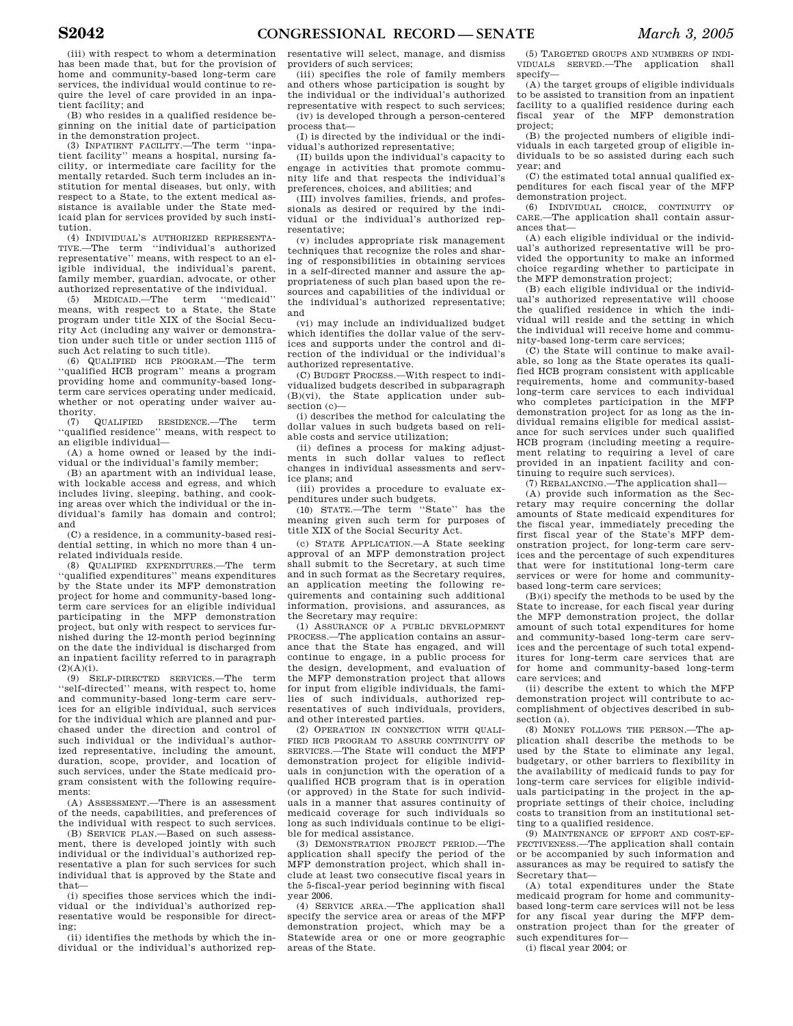(iii) with respect to whom a determination has been made that, but for the provision of home and community-based long-term care services, the individual would continue to require the level of care provided in an inpatient facility; and

(B) who resides in a qualified residence beginning on the initial date of participation in the demonstration project.

(3) INPATIENT FACILITY.—The term ''inpatient facility'' means a hospital, nursing facility, or intermediate care facility for the mentally retarded. Such term includes an institution for mental diseases, but only, with respect to a State, to the extent medical assistance is available under the State medicaid plan for services provided by such institution.

(4) INDIVIDUAL'S AUTHORIZED REPRESENTA-TIVE.—The term ''individual's authorized representative'' means, with respect to an eligible individual, the individual's parent, family member, guardian, advocate, or other authorized representative of the individual.

(5) MEDICAID.—The term ''medicaid'' means, with respect to a State, the State program under title XIX of the Social Security Act (including any waiver or demonstration under such title or under section 1115 of such Act relating to such title).

(6) QUALIFIED HCB PROGRAM.—The term ''qualified HCB program'' means a program providing home and community-based longterm care services operating under medicaid, whether or not operating under waiver authority.

(7) QUALIFIED RESIDENCE.—The term ''qualified residence'' means, with respect to an eligible individual—

(A) a home owned or leased by the individual or the individual's family member;

(B) an apartment with an individual lease, with lockable access and egress, and which includes living, sleeping, bathing, and cooking areas over which the individual or the individual's family has domain and control; and

(C) a residence, in a community-based residential setting, in which no more than 4 unrelated individuals reside.

(8) QUALIFIED EXPENDITURES.—The term ''qualified expenditures'' means expenditures by the State under its MFP demonstration project for home and community-based longterm care services for an eligible individual participating in the MFP demonstration project, but only with respect to services furnished during the 12-month period beginning on the date the individual is discharged from an inpatient facility referred to in paragraph  $(2)(A)(i)$ .

(9) SELF-DIRECTED SERVICES.—The term ''self-directed'' means, with respect to, home and community-based long-term care services for an eligible individual, such services for the individual which are planned and purchased under the direction and control of such individual or the individual's authorized representative, including the amount, duration, scope, provider, and location of such services, under the State medicaid program consistent with the following requirements:

(A) ASSESSMENT.—There is an assessment of the needs, capabilities, and preferences of the individual with respect to such services.

(B) SERVICE PLAN.—Based on such assessment, there is developed jointly with such individual or the individual's authorized representative a plan for such services for such individual that is approved by the State and that—

(i) specifies those services which the individual or the individual's authorized representative would be responsible for directing;

(ii) identifies the methods by which the individual or the individual's authorized rep-

resentative will select, manage, and dismiss providers of such services;

(iii) specifies the role of family members and others whose participation is sought by the individual or the individual's authorized representative with respect to such services; (iv) is developed through a person-centered

process that— (I) is directed by the individual or the individual's authorized representative;

(II) builds upon the individual's capacity to engage in activities that promote community life and that respects the individual's preferences, choices, and abilities; and

(III) involves families, friends, and professionals as desired or required by the individual or the individual's authorized representative;

(v) includes appropriate risk management techniques that recognize the roles and sharing of responsibilities in obtaining services in a self-directed manner and assure the appropriateness of such plan based upon the resources and capabilities of the individual or the individual's authorized representative; and

(vi) may include an individualized budget which identifies the dollar value of the services and supports under the control and direction of the individual or the individual's authorized representative.

(C) BUDGET PROCESS.—With respect to individualized budgets described in subparagraph (B)(vi), the State application under subsection (c)—

(i) describes the method for calculating the dollar values in such budgets based on reliable costs and service utilization;

(ii) defines a process for making adjustments in such dollar values to reflect changes in individual assessments and service plans; and

(iii) provides a procedure to evaluate expenditures under such budgets.

(10) STATE.—The term ''State'' has the meaning given such term for purposes of title XIX of the Social Security Act.

(c) STATE APPLICATION.—A State seeking approval of an MFP demonstration project shall submit to the Secretary, at such time and in such format as the Secretary requires, an application meeting the following requirements and containing such additional information, provisions, and assurances, as the Secretary may require:

(1) ASSURANCE OF A PUBLIC DEVELOPMENT PROCESS.—The application contains an assurance that the State has engaged, and will continue to engage, in a public process for the design, development, and evaluation of the MFP demonstration project that allows for input from eligible individuals, the families of such individuals, authorized representatives of such individuals, providers, and other interested parties.

(2) OPERATION IN CONNECTION WITH QUALI-FIED HCB PROGRAM TO ASSURE CONTINUITY OF SERVICES.—The State will conduct the MFP demonstration project for eligible individuals in conjunction with the operation of a qualified HCB program that is in operation (or approved) in the State for such individuals in a manner that assures continuity of medicaid coverage for such individuals so long as such individuals continue to be eligible for medical assistance.

(3) DEMONSTRATION PROJECT PERIOD.—The application shall specify the period of the MFP demonstration project, which shall include at least two consecutive fiscal years in the 5-fiscal-year period beginning with fiscal year 2006.

(4) SERVICE AREA.—The application shall specify the service area or areas of the MFP demonstration project, which may be a Statewide area or one or more geographic areas of the State.

(5) TARGETED GROUPS AND NUMBERS OF INDI-VIDUALS SERVED.—The application shall specify—

(A) the target groups of eligible individuals to be assisted to transition from an inpatient facility to a qualified residence during each fiscal year of the MFP demonstration project:

(B) the projected numbers of eligible individuals in each targeted group of eligible individuals to be so assisted during each such year; and

(C) the estimated total annual qualified expenditures for each fiscal year of the MFP demonstration project.

(6) INDIVIDUAL CHOICE, CONTINUITY OF CARE.—The application shall contain assurances that—

(A) each eligible individual or the individual's authorized representative will be provided the opportunity to make an informed choice regarding whether to participate in the MFP demonstration project;

(B) each eligible individual or the individual's authorized representative will choose the qualified residence in which the individual will reside and the setting in which the individual will receive home and community-based long-term care services;

(C) the State will continue to make available, so long as the State operates its qualified HCB program consistent with applicable requirements, home and community-based long-term care services to each individual who completes participation in the MFP demonstration project for as long as the individual remains eligible for medical assistance for such services under such qualified HCB program (including meeting a requirement relating to requiring a level of care provided in an inpatient facility and continuing to require such services).

(7) REBALANCING.—The application shall—

(A) provide such information as the Secretary may require concerning the dollar amounts of State medicaid expenditures for the fiscal year, immediately preceding the first fiscal year of the State's MFP demonstration project, for long-term care services and the percentage of such expenditures that were for institutional long-term care services or were for home and communitybased long-term care services;

(B)(i) specify the methods to be used by the State to increase, for each fiscal year during the MFP demonstration project, the dollar amount of such total expenditures for home and community-based long-term care services and the percentage of such total expenditures for long-term care services that are for home and community-based long-term care services; and

(ii) describe the extent to which the MFP demonstration project will contribute to accomplishment of objectives described in subsection (a).

(8) MONEY FOLLOWS THE PERSON.—The application shall describe the methods to be used by the State to eliminate any legal, budgetary, or other barriers to flexibility in the availability of medicaid funds to pay for long-term care services for eligible individuals participating in the project in the appropriate settings of their choice, including costs to transition from an institutional setting to a qualified residence.

(9) MAINTENANCE OF EFFORT AND COST-EF-FECTIVENESS.—The application shall contain or be accompanied by such information and assurances as may be required to satisfy the Secretary that—

(A) total expenditures under the State medicaid program for home and communitybased long-term care services will not be less for any fiscal year during the MFP demonstration project than for the greater of such expenditures for—

(i) fiscal year 2004; or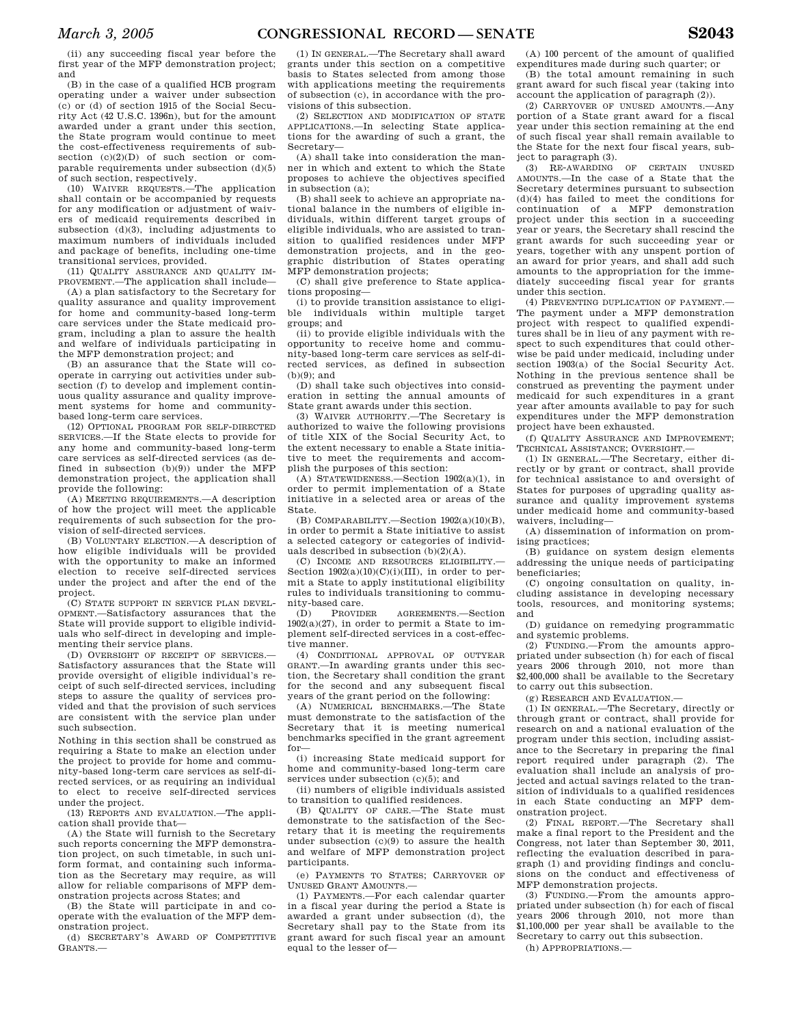(ii) any succeeding fiscal year before the first year of the MFP demonstration project; and

(B) in the case of a qualified HCB program operating under a waiver under subsection (c) or (d) of section 1915 of the Social Security Act (42 U.S.C. 1396n), but for the amount awarded under a grant under this section, the State program would continue to meet the cost-effectiveness requirements of subsection  $(c)(2)(D)$  of such section or comparable requirements under subsection (d)(5) of such section, respectively.

(10) WAIVER REQUESTS.—The application shall contain or be accompanied by requests for any modification or adjustment of waivers of medicaid requirements described in subsection  $(d)(3)$ , including adjustments to maximum numbers of individuals included and package of benefits, including one-time transitional services, provided.

(11) QUALITY ASSURANCE AND QUALITY IM-PROVEMENT.—The application shall include—

(A) a plan satisfactory to the Secretary for quality assurance and quality improvement for home and community-based long-term care services under the State medicaid program, including a plan to assure the health and welfare of individuals participating in the MFP demonstration project; and

(B) an assurance that the State will cooperate in carrying out activities under subsection (f) to develop and implement continuous quality assurance and quality improvement systems for home and communitybased long-term care services.

(12) OPTIONAL PROGRAM FOR SELF-DIRECTED SERVICES.—If the State elects to provide for any home and community-based long-term care services as self-directed services (as defined in subsection  $(b)(9)$  under the MFP demonstration project, the application shall provide the following:

(A) MEETING REQUIREMENTS.—A description of how the project will meet the applicable requirements of such subsection for the provision of self-directed services.

(B) VOLUNTARY ELECTION.—A description of how eligible individuals will be provided with the opportunity to make an informed election to receive self-directed services under the project and after the end of the project.

(C) STATE SUPPORT IN SERVICE PLAN DEVEL-OPMENT.—Satisfactory assurances that the State will provide support to eligible individuals who self-direct in developing and implementing their service plans.

(D) OVERSIGHT OF RECEIPT OF SERVICES.— Satisfactory assurances that the State will provide oversight of eligible individual's receipt of such self-directed services, including steps to assure the quality of services provided and that the provision of such services are consistent with the service plan under such subsection.

Nothing in this section shall be construed as requiring a State to make an election under the project to provide for home and community-based long-term care services as self-directed services, or as requiring an individual to elect to receive self-directed services under the project.

(13) REPORTS AND EVALUATION.—The application shall provide that—

(A) the State will furnish to the Secretary such reports concerning the MFP demonstration project, on such timetable, in such uniform format, and containing such information as the Secretary may require, as will allow for reliable comparisons of MFP demonstration projects across States; and

(B) the State will participate in and cooperate with the evaluation of the MFP demonstration project.

(d) SECRETARY'S AWARD OF COMPETITIVE GRANTS.—

(1) IN GENERAL.—The Secretary shall award grants under this section on a competitive basis to States selected from among those with applications meeting the requirements of subsection (c), in accordance with the provisions of this subsection.

(2) SELECTION AND MODIFICATION OF STATE APPLICATIONS.—In selecting State applications for the awarding of such a grant, the Secretary—

(A) shall take into consideration the manner in which and extent to which the State proposes to achieve the objectives specified in subsection (a);

(B) shall seek to achieve an appropriate national balance in the numbers of eligible individuals, within different target groups of eligible individuals, who are assisted to transition to qualified residences under MFP demonstration projects, and in the geographic distribution of States operating MFP demonstration projects;

(C) shall give preference to State applications proposing—

(i) to provide transition assistance to eligible individuals within multiple target groups; and

(ii) to provide eligible individuals with the opportunity to receive home and community-based long-term care services as self-directed services, as defined in subsection  $(h)(9)$ ; and

(D) shall take such objectives into consideration in setting the annual amounts of State grant awards under this section.

(3) WAIVER AUTHORITY.—The Secretary is authorized to waive the following provisions of title XIX of the Social Security Act, to the extent necessary to enable a State initiative to meet the requirements and accomplish the purposes of this section:

(A) STATEWIDENESS.—Section 1902(a)(1), in order to permit implementation of a State initiative in a selected area or areas of the State.

(B) COMPARABILITY.—Section 1902(a)(10)(B), in order to permit a State initiative to assist a selected category or categories of individuals described in subsection  $(b)(2)(A)$ .

(C) INCOME AND RESOURCES ELIGIBILITY.— Section  $1902(a)(10)(C)(i)(III)$ , in order to permit a State to apply institutional eligibility rules to individuals transitioning to community-based care.

(D) PROVIDER AGREEMENTS.—Section  $1902(a)(27)$ , in order to permit a State to implement self-directed services in a cost-effective manner.

(4) CONDITIONAL APPROVAL OF OUTYEAR GRANT.—In awarding grants under this section, the Secretary shall condition the grant for the second and any subsequent fiscal years of the grant period on the following:

(A) NUMERICAL BENCHMARKS.—The State must demonstrate to the satisfaction of the Secretary that it is meeting numerical benchmarks specified in the grant agreement for—

(i) increasing State medicaid support for home and community-based long-term care services under subsection (c)(5); and

(ii) numbers of eligible individuals assisted to transition to qualified residences.

(B) QUALITY OF CARE.—The State must demonstrate to the satisfaction of the Secretary that it is meeting the requirements under subsection (c)(9) to assure the health and welfare of MFP demonstration project participants.

(e) PAYMENTS TO STATES; CARRYOVER OF UNUSED GRANT AMOUNTS.—

(1) PAYMENTS.—For each calendar quarter in a fiscal year during the period a State is awarded a grant under subsection (d), the Secretary shall pay to the State from its grant award for such fiscal year an amount equal to the lesser of—

(A) 100 percent of the amount of qualified expenditures made during such quarter; or

(B) the total amount remaining in such grant award for such fiscal year (taking into account the application of paragraph (2)).

(2) CARRYOVER OF UNUSED AMOUNTS.—Any portion of a State grant award for a fiscal year under this section remaining at the end of such fiscal year shall remain available to the State for the next four fiscal years, subject to paragraph (3).

(3) RE-AWARDING OF CERTAIN UNUSED AMOUNTS.—In the case of a State that the Secretary determines pursuant to subsection (d)(4) has failed to meet the conditions for continuation of a MFP demonstration project under this section in a succeeding year or years, the Secretary shall rescind the grant awards for such succeeding year or years, together with any unspent portion of an award for prior years, and shall add such amounts to the appropriation for the immediately succeeding fiscal year for grants under this section.

(4) PREVENTING DUPLICATION OF PAYMENT.— The payment under a MFP demonstration project with respect to qualified expenditures shall be in lieu of any payment with respect to such expenditures that could otherwise be paid under medicaid, including under section 1903(a) of the Social Security Act. Nothing in the previous sentence shall be construed as preventing the payment under medicaid for such expenditures in a grant year after amounts available to pay for such expenditures under the MFP demonstration project have been exhausted.

(f) QUALITY ASSURANCE AND IMPROVEMENT; TECHNICAL ASSISTANCE; OVERSIGHT.—

(1) IN GENERAL.—The Secretary, either directly or by grant or contract, shall provide for technical assistance to and oversight of States for purposes of upgrading quality assurance and quality improvement systems under medicaid home and community-based waivers, including—

(A) dissemination of information on promising practices;

(B) guidance on system design elements addressing the unique needs of participating beneficiaries;

(C) ongoing consultation on quality, including assistance in developing necessary tools, resources, and monitoring systems; and

(D) guidance on remedying programmatic and systemic problems.

(2) FUNDING.—From the amounts appropriated under subsection (h) for each of fiscal years 2006 through 2010, not more than \$2,400,000 shall be available to the Secretary to carry out this subsection.

(g) RESEARCH AND EVALUATION.—

(1) IN GENERAL.—The Secretary, directly or through grant or contract, shall provide for research on and a national evaluation of the program under this section, including assistance to the Secretary in preparing the final report required under paragraph (2). The evaluation shall include an analysis of projected and actual savings related to the transition of individuals to a qualified residences in each State conducting an MFP demonstration project.

(2) FINAL REPORT.—The Secretary shall make a final report to the President and the Congress, not later than September 30, 2011, reflecting the evaluation described in paragraph (1) and providing findings and conclusions on the conduct and effectiveness of MFP demonstration projects.

(3) FUNDING.—From the amounts appropriated under subsection (h) for each of fiscal years 2006 through 2010, not more than \$1,100,000 per year shall be available to the Secretary to carry out this subsection.

(h) APPROPRIATIONS.—